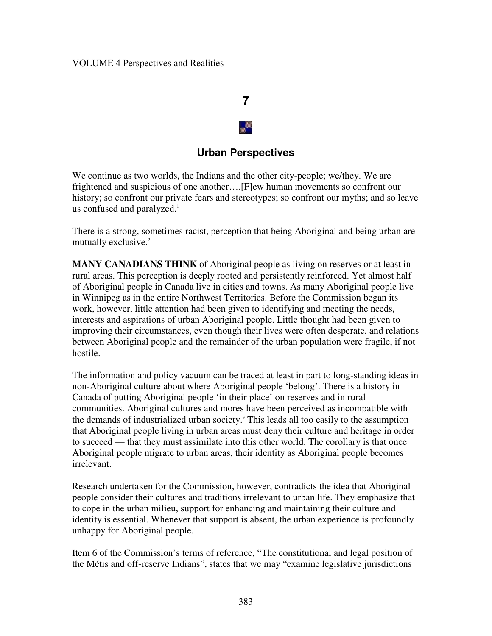# **7** J

## **Urban Perspectives**

We continue as two worlds, the Indians and the other city-people; we/they. We are frightened and suspicious of one another….[F]ew human movements so confront our history; so confront our private fears and stereotypes; so confront our myths; and so leave us confused and paralyzed. 1

There is a strong, sometimes racist, perception that being Aboriginal and being urban are mutually exclusive. 2

**MANY CANADIANS THINK** of Aboriginal people as living on reserves or at least in rural areas. This perception is deeply rooted and persistently reinforced. Yet almost half of Aboriginal people in Canada live in cities and towns. As many Aboriginal people live in Winnipeg as in the entire Northwest Territories. Before the Commission began its work, however, little attention had been given to identifying and meeting the needs, interests and aspirations of urban Aboriginal people. Little thought had been given to improving their circumstances, even though their lives were often desperate, and relations between Aboriginal people and the remainder of the urban population were fragile, if not hostile.

The information and policy vacuum can be traced at least in part to long-standing ideas in non-Aboriginal culture about where Aboriginal people 'belong'. There is a history in Canada of putting Aboriginal people 'in their place' on reserves and in rural communities. Aboriginal cultures and mores have been perceived as incompatible with the demands of industrialized urban society. <sup>3</sup> This leads all too easily to the assumption that Aboriginal people living in urban areas must deny their culture and heritage in order to succeed — that they must assimilate into this other world. The corollary is that once Aboriginal people migrate to urban areas, their identity as Aboriginal people becomes irrelevant.

Research undertaken for the Commission, however, contradicts the idea that Aboriginal people consider their cultures and traditions irrelevant to urban life. They emphasize that to cope in the urban milieu, support for enhancing and maintaining their culture and identity is essential. Whenever that support is absent, the urban experience is profoundly unhappy for Aboriginal people.

Item 6 of the Commission's terms of reference, "The constitutional and legal position of the Métis and off-reserve Indians", states that we may "examine legislative jurisdictions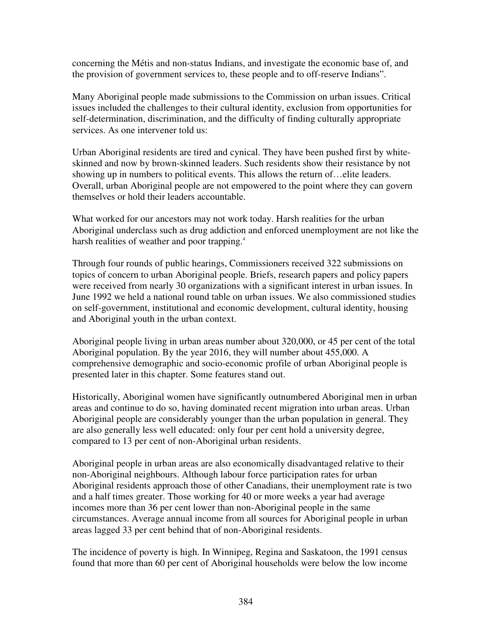concerning the Métis and non-status Indians, and investigate the economic base of, and the provision of government services to, these people and to off-reserve Indians".

Many Aboriginal people made submissions to the Commission on urban issues. Critical issues included the challenges to their cultural identity, exclusion from opportunities for self-determination, discrimination, and the difficulty of finding culturally appropriate services. As one intervener told us:

Urban Aboriginal residents are tired and cynical. They have been pushed first by whiteskinned and now by brown-skinned leaders. Such residents show their resistance by not showing up in numbers to political events. This allows the return of…elite leaders. Overall, urban Aboriginal people are not empowered to the point where they can govern themselves or hold their leaders accountable.

What worked for our ancestors may not work today. Harsh realities for the urban Aboriginal underclass such as drug addiction and enforced unemployment are not like the harsh realities of weather and poor trapping.<sup>4</sup>

Through four rounds of public hearings, Commissioners received 322 submissions on topics of concern to urban Aboriginal people. Briefs, research papers and policy papers were received from nearly 30 organizations with a significant interest in urban issues. In June 1992 we held a national round table on urban issues. We also commissioned studies on self-government, institutional and economic development, cultural identity, housing and Aboriginal youth in the urban context.

Aboriginal people living in urban areas number about 320,000, or 45 per cent of the total Aboriginal population. By the year 2016, they will number about 455,000. A comprehensive demographic and socio-economic profile of urban Aboriginal people is presented later in this chapter. Some features stand out.

Historically, Aboriginal women have significantly outnumbered Aboriginal men in urban areas and continue to do so, having dominated recent migration into urban areas. Urban Aboriginal people are considerably younger than the urban population in general. They are also generally less well educated: only four per cent hold a university degree, compared to 13 per cent of non-Aboriginal urban residents.

Aboriginal people in urban areas are also economically disadvantaged relative to their non-Aboriginal neighbours. Although labour force participation rates for urban Aboriginal residents approach those of other Canadians, their unemployment rate is two and a half times greater. Those working for 40 or more weeks a year had average incomes more than 36 per cent lower than non-Aboriginal people in the same circumstances. Average annual income from all sources for Aboriginal people in urban areas lagged 33 per cent behind that of non-Aboriginal residents.

The incidence of poverty is high. In Winnipeg, Regina and Saskatoon, the 1991 census found that more than 60 per cent of Aboriginal households were below the low income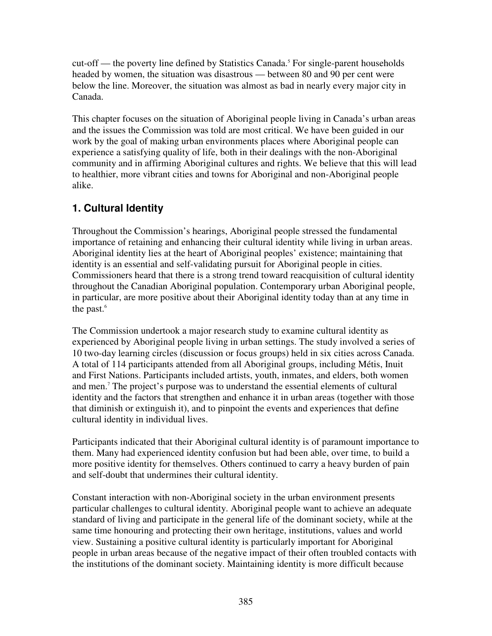cut-off — the poverty line defined by Statistics Canada. <sup>5</sup> For single-parent households headed by women, the situation was disastrous — between 80 and 90 per cent were below the line. Moreover, the situation was almost as bad in nearly every major city in Canada.

This chapter focuses on the situation of Aboriginal people living in Canada's urban areas and the issues the Commission was told are most critical. We have been guided in our work by the goal of making urban environments places where Aboriginal people can experience a satisfying quality of life, both in their dealings with the non-Aboriginal community and in affirming Aboriginal cultures and rights. We believe that this will lead to healthier, more vibrant cities and towns for Aboriginal and non-Aboriginal people alike.

# **1. Cultural Identity**

Throughout the Commission's hearings, Aboriginal people stressed the fundamental importance of retaining and enhancing their cultural identity while living in urban areas. Aboriginal identity lies at the heart of Aboriginal peoples' existence; maintaining that identity is an essential and self-validating pursuit for Aboriginal people in cities. Commissioners heard that there is a strong trend toward reacquisition of cultural identity throughout the Canadian Aboriginal population. Contemporary urban Aboriginal people, in particular, are more positive about their Aboriginal identity today than at any time in the past. 6

The Commission undertook a major research study to examine cultural identity as experienced by Aboriginal people living in urban settings. The study involved a series of 10 two-day learning circles (discussion or focus groups) held in six cities across Canada. A total of 114 participants attended from all Aboriginal groups, including Métis, Inuit and First Nations. Participants included artists, youth, inmates, and elders, both women and men. <sup>7</sup> The project's purpose was to understand the essential elements of cultural identity and the factors that strengthen and enhance it in urban areas (together with those that diminish or extinguish it), and to pinpoint the events and experiences that define cultural identity in individual lives.

Participants indicated that their Aboriginal cultural identity is of paramount importance to them. Many had experienced identity confusion but had been able, over time, to build a more positive identity for themselves. Others continued to carry a heavy burden of pain and self-doubt that undermines their cultural identity.

Constant interaction with non-Aboriginal society in the urban environment presents particular challenges to cultural identity. Aboriginal people want to achieve an adequate standard of living and participate in the general life of the dominant society, while at the same time honouring and protecting their own heritage, institutions, values and world view. Sustaining a positive cultural identity is particularly important for Aboriginal people in urban areas because of the negative impact of their often troubled contacts with the institutions of the dominant society. Maintaining identity is more difficult because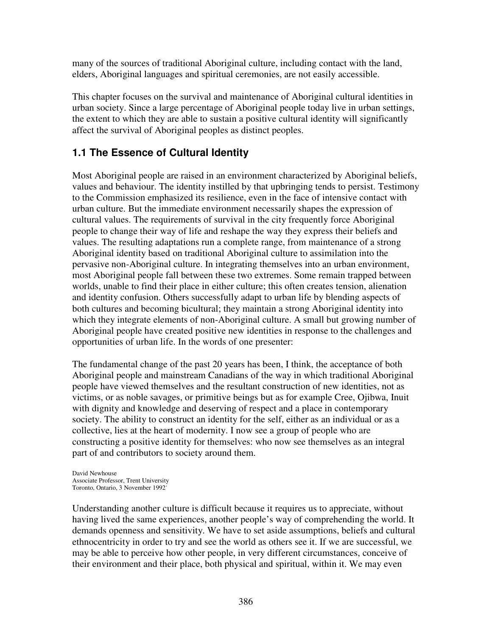many of the sources of traditional Aboriginal culture, including contact with the land, elders, Aboriginal languages and spiritual ceremonies, are not easily accessible.

This chapter focuses on the survival and maintenance of Aboriginal cultural identities in urban society. Since a large percentage of Aboriginal people today live in urban settings, the extent to which they are able to sustain a positive cultural identity will significantly affect the survival of Aboriginal peoples as distinct peoples.

## **1.1 The Essence of Cultural Identity**

Most Aboriginal people are raised in an environment characterized by Aboriginal beliefs, values and behaviour. The identity instilled by that upbringing tends to persist. Testimony to the Commission emphasized its resilience, even in the face of intensive contact with urban culture. But the immediate environment necessarily shapes the expression of cultural values. The requirements of survival in the city frequently force Aboriginal people to change their way of life and reshape the way they express their beliefs and values. The resulting adaptations run a complete range, from maintenance of a strong Aboriginal identity based on traditional Aboriginal culture to assimilation into the pervasive non-Aboriginal culture. In integrating themselves into an urban environment, most Aboriginal people fall between these two extremes. Some remain trapped between worlds, unable to find their place in either culture; this often creates tension, alienation and identity confusion. Others successfully adapt to urban life by blending aspects of both cultures and becoming bicultural; they maintain a strong Aboriginal identity into which they integrate elements of non-Aboriginal culture. A small but growing number of Aboriginal people have created positive new identities in response to the challenges and opportunities of urban life. In the words of one presenter:

The fundamental change of the past 20 years has been, I think, the acceptance of both Aboriginal people and mainstream Canadians of the way in which traditional Aboriginal people have viewed themselves and the resultant construction of new identities, not as victims, or as noble savages, or primitive beings but as for example Cree, Ojibwa, Inuit with dignity and knowledge and deserving of respect and a place in contemporary society. The ability to construct an identity for the self, either as an individual or as a collective, lies at the heart of modernity. I now see a group of people who are constructing a positive identity for themselves: who now see themselves as an integral part of and contributors to society around them.

David Newhouse Associate Professor, Trent University Toronto, Ontario, 3 November 1992 \*

Understanding another culture is difficult because it requires us to appreciate, without having lived the same experiences, another people's way of comprehending the world. It demands openness and sensitivity. We have to set aside assumptions, beliefs and cultural ethnocentricity in order to try and see the world as others see it. If we are successful, we may be able to perceive how other people, in very different circumstances, conceive of their environment and their place, both physical and spiritual, within it. We may even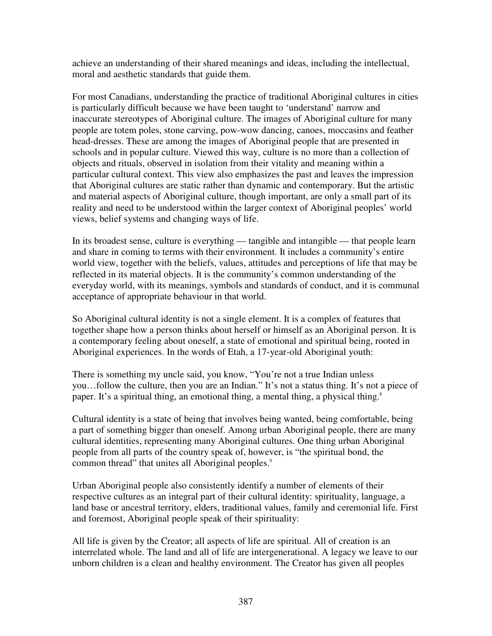achieve an understanding of their shared meanings and ideas, including the intellectual, moral and aesthetic standards that guide them.

For most Canadians, understanding the practice of traditional Aboriginal cultures in cities is particularly difficult because we have been taught to 'understand' narrow and inaccurate stereotypes of Aboriginal culture. The images of Aboriginal culture for many people are totem poles, stone carving, pow-wow dancing, canoes, moccasins and feather head-dresses. These are among the images of Aboriginal people that are presented in schools and in popular culture. Viewed this way, culture is no more than a collection of objects and rituals, observed in isolation from their vitality and meaning within a particular cultural context. This view also emphasizes the past and leaves the impression that Aboriginal cultures are static rather than dynamic and contemporary. But the artistic and material aspects of Aboriginal culture, though important, are only a small part of its reality and need to be understood within the larger context of Aboriginal peoples' world views, belief systems and changing ways of life.

In its broadest sense, culture is everything — tangible and intangible — that people learn and share in coming to terms with their environment. It includes a community's entire world view, together with the beliefs, values, attitudes and perceptions of life that may be reflected in its material objects. It is the community's common understanding of the everyday world, with its meanings, symbols and standards of conduct, and it is communal acceptance of appropriate behaviour in that world.

So Aboriginal cultural identity is not a single element. It is a complex of features that together shape how a person thinks about herself or himself as an Aboriginal person. It is a contemporary feeling about oneself, a state of emotional and spiritual being, rooted in Aboriginal experiences. In the words of Etah, a 17-year-old Aboriginal youth:

There is something my uncle said, you know, "You're not a true Indian unless you…follow the culture, then you are an Indian." It's not a status thing. It's not a piece of paper. It's a spiritual thing, an emotional thing, a mental thing, a physical thing.<sup>8</sup>

Cultural identity is a state of being that involves being wanted, being comfortable, being a part of something bigger than oneself. Among urban Aboriginal people, there are many cultural identities, representing many Aboriginal cultures. One thing urban Aboriginal people from all parts of the country speak of, however, is "the spiritual bond, the common thread" that unites all Aboriginal peoples.<sup>9</sup>

Urban Aboriginal people also consistently identify a number of elements of their respective cultures as an integral part of their cultural identity: spirituality, language, a land base or ancestral territory, elders, traditional values, family and ceremonial life. First and foremost, Aboriginal people speak of their spirituality:

All life is given by the Creator; all aspects of life are spiritual. All of creation is an interrelated whole. The land and all of life are intergenerational. A legacy we leave to our unborn children is a clean and healthy environment. The Creator has given all peoples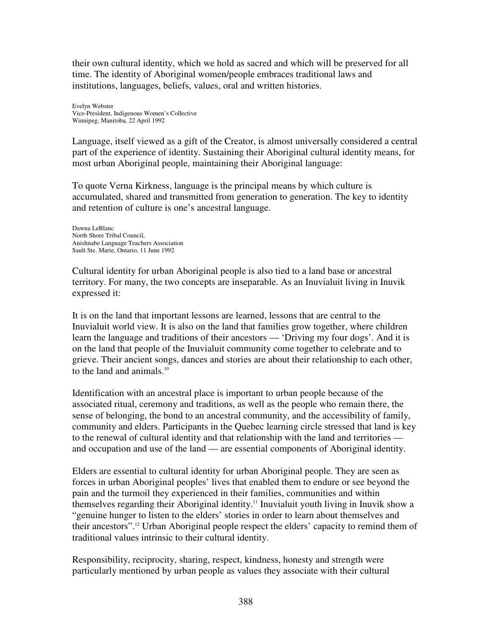their own cultural identity, which we hold as sacred and which will be preserved for all time. The identity of Aboriginal women/people embraces traditional laws and institutions, languages, beliefs, values, oral and written histories.

Evelyn Webster Vice-President, Indigenous Women's Collective Winnipeg, Manitoba, 22 April 1992

Language, itself viewed as a gift of the Creator, is almost universally considered a central part of the experience of identity. Sustaining their Aboriginal cultural identity means, for most urban Aboriginal people, maintaining their Aboriginal language:

To quote Verna Kirkness, language is the principal means by which culture is accumulated, shared and transmitted from generation to generation. The key to identity and retention of culture is one's ancestral language.

Dawna LeBlanc North Shore Tribal Council, Anishnabe Language Teachers Association Sault Ste. Marie, Ontario, 11 June 1992

Cultural identity for urban Aboriginal people is also tied to a land base or ancestral territory. For many, the two concepts are inseparable. As an Inuvialuit living in Inuvik expressed it:

It is on the land that important lessons are learned, lessons that are central to the Inuvialuit world view. It is also on the land that families grow together, where children learn the language and traditions of their ancestors — 'Driving my four dogs'. And it is on the land that people of the Inuvialuit community come together to celebrate and to grieve. Their ancient songs, dances and stories are about their relationship to each other, to the land and animals.<sup>10</sup>

Identification with an ancestral place is important to urban people because of the associated ritual, ceremony and traditions, as well as the people who remain there, the sense of belonging, the bond to an ancestral community, and the accessibility of family, community and elders. Participants in the Quebec learning circle stressed that land is key to the renewal of cultural identity and that relationship with the land and territories and occupation and use of the land — are essential components of Aboriginal identity.

Elders are essential to cultural identity for urban Aboriginal people. They are seen as forces in urban Aboriginal peoples' lives that enabled them to endure or see beyond the pain and the turmoil they experienced in their families, communities and within themselves regarding their Aboriginal identity. 11 Inuvialuit youth living in Inuvik show a "genuine hunger to listen to the elders' stories in order to learn about themselves and their ancestors". <sup>12</sup> Urban Aboriginal people respect the elders' capacity to remind them of traditional values intrinsic to their cultural identity.

Responsibility, reciprocity, sharing, respect, kindness, honesty and strength were particularly mentioned by urban people as values they associate with their cultural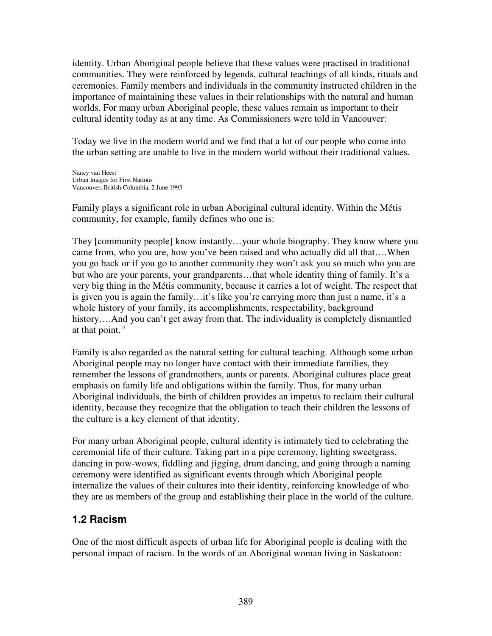identity. Urban Aboriginal people believe that these values were practised in traditional communities. They were reinforced by legends, cultural teachings of all kinds, rituals and ceremonies. Family members and individuals in the community instructed children in the importance of maintaining these values in their relationships with the natural and human worlds. For many urban Aboriginal people, these values remain as important to their cultural identity today as at any time. As Commissioners were told in Vancouver:

Today we live in the modern world and we find that a lot of our people who come into the urban setting are unable to live in the modern world without their traditional values.

Nancy van Heest Urban Images for First Nations Vancouver, British Columbia, 2 June 1993

Family plays a significant role in urban Aboriginal cultural identity. Within the Métis community, for example, family defines who one is:

They [community people] know instantly…your whole biography. They know where you came from, who you are, how you've been raised and who actually did all that….When you go back or if you go to another community they won't ask you so much who you are but who are your parents, your grandparents…that whole identity thing of family. It's a very big thing in the Métis community, because it carries a lot of weight. The respect that is given you is again the family…it's like you're carrying more than just a name, it's a whole history of your family, its accomplishments, respectability, background history....And you can't get away from that. The individuality is completely dismantled at that point. 13

Family is also regarded as the natural setting for cultural teaching. Although some urban Aboriginal people may no longer have contact with their immediate families, they remember the lessons of grandmothers, aunts or parents. Aboriginal cultures place great emphasis on family life and obligations within the family. Thus, for many urban Aboriginal individuals, the birth of children provides an impetus to reclaim their cultural identity, because they recognize that the obligation to teach their children the lessons of the culture is a key element of that identity.

For many urban Aboriginal people, cultural identity is intimately tied to celebrating the ceremonial life of their culture. Taking part in a pipe ceremony, lighting sweetgrass, dancing in pow-wows, fiddling and jigging, drum dancing, and going through a naming ceremony were identified as significant events through which Aboriginal people internalize the values of their cultures into their identity, reinforcing knowledge of who they are as members of the group and establishing their place in the world of the culture.

## **1.2 Racism**

One of the most difficult aspects of urban life for Aboriginal people is dealing with the personal impact of racism. In the words of an Aboriginal woman living in Saskatoon: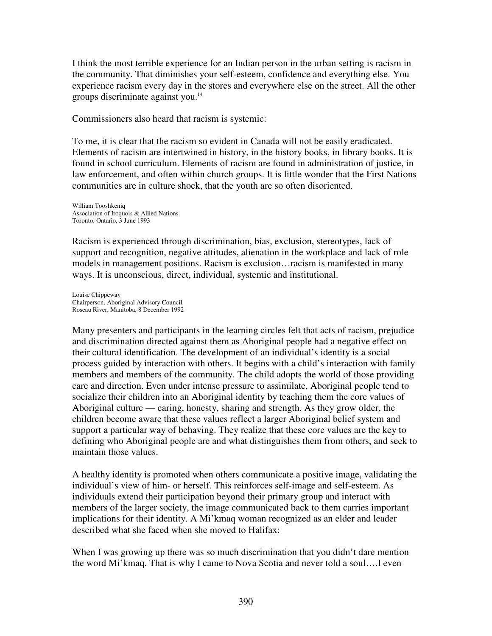I think the most terrible experience for an Indian person in the urban setting is racism in the community. That diminishes your self-esteem, confidence and everything else. You experience racism every day in the stores and everywhere else on the street. All the other groups discriminate against you. 14

Commissioners also heard that racism is systemic:

To me, it is clear that the racism so evident in Canada will not be easily eradicated. Elements of racism are intertwined in history, in the history books, in library books. It is found in school curriculum. Elements of racism are found in administration of justice, in law enforcement, and often within church groups. It is little wonder that the First Nations communities are in culture shock, that the youth are so often disoriented.

William Tooshkeniq Association of Iroquois & Allied Nations Toronto, Ontario, 3 June 1993

Racism is experienced through discrimination, bias, exclusion, stereotypes, lack of support and recognition, negative attitudes, alienation in the workplace and lack of role models in management positions. Racism is exclusion…racism is manifested in many ways. It is unconscious, direct, individual, systemic and institutional.

Louise Chippeway Chairperson, Aboriginal Advisory Council Roseau River, Manitoba, 8 December 1992

Many presenters and participants in the learning circles felt that acts of racism, prejudice and discrimination directed against them as Aboriginal people had a negative effect on their cultural identification. The development of an individual's identity is a social process guided by interaction with others. It begins with a child's interaction with family members and members of the community. The child adopts the world of those providing care and direction. Even under intense pressure to assimilate, Aboriginal people tend to socialize their children into an Aboriginal identity by teaching them the core values of Aboriginal culture — caring, honesty, sharing and strength. As they grow older, the children become aware that these values reflect a larger Aboriginal belief system and support a particular way of behaving. They realize that these core values are the key to defining who Aboriginal people are and what distinguishes them from others, and seek to maintain those values.

A healthy identity is promoted when others communicate a positive image, validating the individual's view of him- or herself. This reinforces self-image and self-esteem. As individuals extend their participation beyond their primary group and interact with members of the larger society, the image communicated back to them carries important implications for their identity. A Mi'kmaq woman recognized as an elder and leader described what she faced when she moved to Halifax:

When I was growing up there was so much discrimination that you didn't dare mention the word Mi'kmaq. That is why I came to Nova Scotia and never told a soul….I even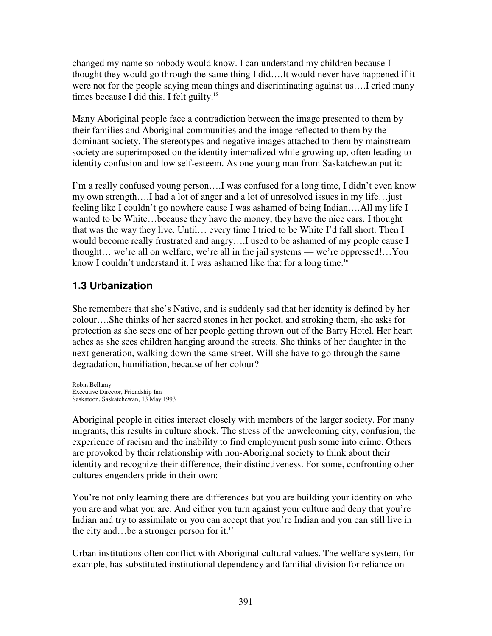changed my name so nobody would know. I can understand my children because I thought they would go through the same thing I did….It would never have happened if it were not for the people saying mean things and discriminating against us….I cried many times because I did this. I felt guilty. 15

Many Aboriginal people face a contradiction between the image presented to them by their families and Aboriginal communities and the image reflected to them by the dominant society. The stereotypes and negative images attached to them by mainstream society are superimposed on the identity internalized while growing up, often leading to identity confusion and low self-esteem. As one young man from Saskatchewan put it:

I'm a really confused young person….I was confused for a long time, I didn't even know my own strength….I had a lot of anger and a lot of unresolved issues in my life…just feeling like I couldn't go nowhere cause I was ashamed of being Indian….All my life I wanted to be White…because they have the money, they have the nice cars. I thought that was the way they live. Until… every time I tried to be White I'd fall short. Then I would become really frustrated and angry….I used to be ashamed of my people cause I thought… we're all on welfare, we're all in the jail systems — we're oppressed!…You know I couldn't understand it. I was ashamed like that for a long time.<sup>16</sup>

## **1.3 Urbanization**

She remembers that she's Native, and is suddenly sad that her identity is defined by her colour….She thinks of her sacred stones in her pocket, and stroking them, she asks for protection as she sees one of her people getting thrown out of the Barry Hotel. Her heart aches as she sees children hanging around the streets. She thinks of her daughter in the next generation, walking down the same street. Will she have to go through the same degradation, humiliation, because of her colour?

Robin Bellamy Executive Director, Friendship Inn Saskatoon, Saskatchewan, 13 May 1993

Aboriginal people in cities interact closely with members of the larger society. For many migrants, this results in culture shock. The stress of the unwelcoming city, confusion, the experience of racism and the inability to find employment push some into crime. Others are provoked by their relationship with non-Aboriginal society to think about their identity and recognize their difference, their distinctiveness. For some, confronting other cultures engenders pride in their own:

You're not only learning there are differences but you are building your identity on who you are and what you are. And either you turn against your culture and deny that you're Indian and try to assimilate or you can accept that you're Indian and you can still live in the city and...be a stronger person for it.<sup>17</sup>

Urban institutions often conflict with Aboriginal cultural values. The welfare system, for example, has substituted institutional dependency and familial division for reliance on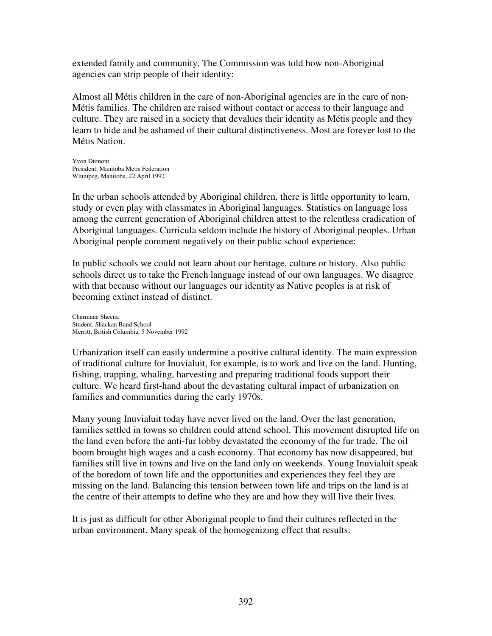extended family and community. The Commission was told how non-Aboriginal agencies can strip people of their identity:

Almost all Métis children in the care of non-Aboriginal agencies are in the care of non-Métis families. The children are raised without contact or access to their language and culture. They are raised in a society that devalues their identity as Métis people and they learn to hide and be ashamed of their cultural distinctiveness. Most are forever lost to the Métis Nation.

Yvon Dumont President, Manitoba Metis Federation Winnipeg, Manitoba, 22 April 1992

In the urban schools attended by Aboriginal children, there is little opportunity to learn, study or even play with classmates in Aboriginal languages. Statistics on language loss among the current generation of Aboriginal children attest to the relentless eradication of Aboriginal languages. Curricula seldom include the history of Aboriginal peoples. Urban Aboriginal people comment negatively on their public school experience:

In public schools we could not learn about our heritage, culture or history. Also public schools direct us to take the French language instead of our own languages. We disagree with that because without our languages our identity as Native peoples is at risk of becoming extinct instead of distinct.

Charmane Sheena Student, Shackan Band School Merritt, British Columbia, 5 November 1992

Urbanization itself can easily undermine a positive cultural identity. The main expression of traditional culture for Inuvialuit, for example, is to work and live on the land. Hunting, fishing, trapping, whaling, harvesting and preparing traditional foods support their culture. We heard first-hand about the devastating cultural impact of urbanization on families and communities during the early 1970s.

Many young Inuvialuit today have never lived on the land. Over the last generation, families settled in towns so children could attend school. This movement disrupted life on the land even before the anti-fur lobby devastated the economy of the fur trade. The oil boom brought high wages and a cash economy. That economy has now disappeared, but families still live in towns and live on the land only on weekends. Young Inuvialuit speak of the boredom of town life and the opportunities and experiences they feel they are missing on the land. Balancing this tension between town life and trips on the land is at the centre of their attempts to define who they are and how they will live their lives.

It is just as difficult for other Aboriginal people to find their cultures reflected in the urban environment. Many speak of the homogenizing effect that results: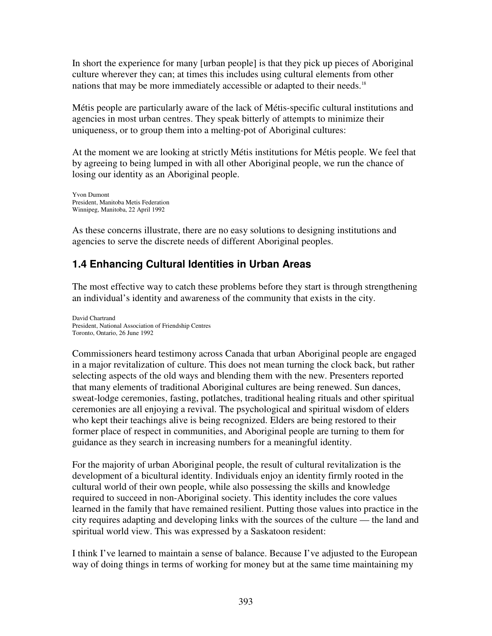In short the experience for many [urban people] is that they pick up pieces of Aboriginal culture wherever they can; at times this includes using cultural elements from other nations that may be more immediately accessible or adapted to their needs.<sup>18</sup>

Métis people are particularly aware of the lack of Métis-specific cultural institutions and agencies in most urban centres. They speak bitterly of attempts to minimize their uniqueness, or to group them into a melting-pot of Aboriginal cultures:

At the moment we are looking at strictly Métis institutions for Métis people. We feel that by agreeing to being lumped in with all other Aboriginal people, we run the chance of losing our identity as an Aboriginal people.

Yvon Dumont President, Manitoba Metis Federation Winnipeg, Manitoba, 22 April 1992

As these concerns illustrate, there are no easy solutions to designing institutions and agencies to serve the discrete needs of different Aboriginal peoples.

## **1.4 Enhancing Cultural Identities in Urban Areas**

The most effective way to catch these problems before they start is through strengthening an individual's identity and awareness of the community that exists in the city.

David Chartrand President, National Association of Friendship Centres Toronto, Ontario, 26 June 1992

Commissioners heard testimony across Canada that urban Aboriginal people are engaged in a major revitalization of culture. This does not mean turning the clock back, but rather selecting aspects of the old ways and blending them with the new. Presenters reported that many elements of traditional Aboriginal cultures are being renewed. Sun dances, sweat-lodge ceremonies, fasting, potlatches, traditional healing rituals and other spiritual ceremonies are all enjoying a revival. The psychological and spiritual wisdom of elders who kept their teachings alive is being recognized. Elders are being restored to their former place of respect in communities, and Aboriginal people are turning to them for guidance as they search in increasing numbers for a meaningful identity.

For the majority of urban Aboriginal people, the result of cultural revitalization is the development of a bicultural identity. Individuals enjoy an identity firmly rooted in the cultural world of their own people, while also possessing the skills and knowledge required to succeed in non-Aboriginal society. This identity includes the core values learned in the family that have remained resilient. Putting those values into practice in the city requires adapting and developing links with the sources of the culture — the land and spiritual world view. This was expressed by a Saskatoon resident:

I think I've learned to maintain a sense of balance. Because I've adjusted to the European way of doing things in terms of working for money but at the same time maintaining my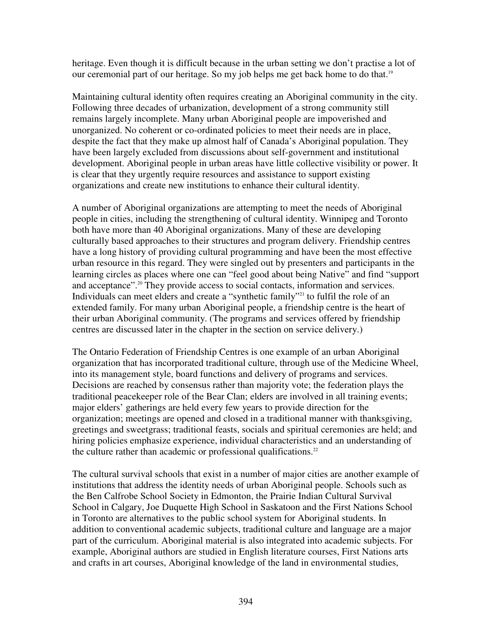heritage. Even though it is difficult because in the urban setting we don't practise a lot of our ceremonial part of our heritage. So my job helps me get back home to do that.<sup>19</sup>

Maintaining cultural identity often requires creating an Aboriginal community in the city. Following three decades of urbanization, development of a strong community still remains largely incomplete. Many urban Aboriginal people are impoverished and unorganized. No coherent or co-ordinated policies to meet their needs are in place, despite the fact that they make up almost half of Canada's Aboriginal population. They have been largely excluded from discussions about self-government and institutional development. Aboriginal people in urban areas have little collective visibility or power. It is clear that they urgently require resources and assistance to support existing organizations and create new institutions to enhance their cultural identity.

A number of Aboriginal organizations are attempting to meet the needs of Aboriginal people in cities, including the strengthening of cultural identity. Winnipeg and Toronto both have more than 40 Aboriginal organizations. Many of these are developing culturally based approaches to their structures and program delivery. Friendship centres have a long history of providing cultural programming and have been the most effective urban resource in this regard. They were singled out by presenters and participants in the learning circles as places where one can "feel good about being Native" and find "support and acceptance". <sup>20</sup> They provide access to social contacts, information and services. Individuals can meet elders and create a "synthetic family"<sup>21</sup> to fulfil the role of an extended family. For many urban Aboriginal people, a friendship centre is the heart of their urban Aboriginal community. (The programs and services offered by friendship centres are discussed later in the chapter in the section on service delivery.)

The Ontario Federation of Friendship Centres is one example of an urban Aboriginal organization that has incorporated traditional culture, through use of the Medicine Wheel, into its management style, board functions and delivery of programs and services. Decisions are reached by consensus rather than majority vote; the federation plays the traditional peacekeeper role of the Bear Clan; elders are involved in all training events; major elders' gatherings are held every few years to provide direction for the organization; meetings are opened and closed in a traditional manner with thanksgiving, greetings and sweetgrass; traditional feasts, socials and spiritual ceremonies are held; and hiring policies emphasize experience, individual characteristics and an understanding of the culture rather than academic or professional qualifications.<sup>22</sup>

The cultural survival schools that exist in a number of major cities are another example of institutions that address the identity needs of urban Aboriginal people. Schools such as the Ben Calfrobe School Society in Edmonton, the Prairie Indian Cultural Survival School in Calgary, Joe Duquette High School in Saskatoon and the First Nations School in Toronto are alternatives to the public school system for Aboriginal students. In addition to conventional academic subjects, traditional culture and language are a major part of the curriculum. Aboriginal material is also integrated into academic subjects. For example, Aboriginal authors are studied in English literature courses, First Nations arts and crafts in art courses, Aboriginal knowledge of the land in environmental studies,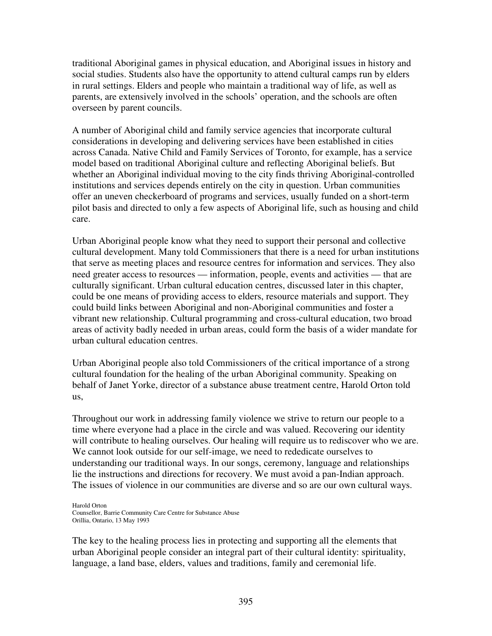traditional Aboriginal games in physical education, and Aboriginal issues in history and social studies. Students also have the opportunity to attend cultural camps run by elders in rural settings. Elders and people who maintain a traditional way of life, as well as parents, are extensively involved in the schools' operation, and the schools are often overseen by parent councils.

A number of Aboriginal child and family service agencies that incorporate cultural considerations in developing and delivering services have been established in cities across Canada. Native Child and Family Services of Toronto, for example, has a service model based on traditional Aboriginal culture and reflecting Aboriginal beliefs. But whether an Aboriginal individual moving to the city finds thriving Aboriginal-controlled institutions and services depends entirely on the city in question. Urban communities offer an uneven checkerboard of programs and services, usually funded on a short-term pilot basis and directed to only a few aspects of Aboriginal life, such as housing and child care.

Urban Aboriginal people know what they need to support their personal and collective cultural development. Many told Commissioners that there is a need for urban institutions that serve as meeting places and resource centres for information and services. They also need greater access to resources — information, people, events and activities — that are culturally significant. Urban cultural education centres, discussed later in this chapter, could be one means of providing access to elders, resource materials and support. They could build links between Aboriginal and non-Aboriginal communities and foster a vibrant new relationship. Cultural programming and cross-cultural education, two broad areas of activity badly needed in urban areas, could form the basis of a wider mandate for urban cultural education centres.

Urban Aboriginal people also told Commissioners of the critical importance of a strong cultural foundation for the healing of the urban Aboriginal community. Speaking on behalf of Janet Yorke, director of a substance abuse treatment centre, Harold Orton told us,

Throughout our work in addressing family violence we strive to return our people to a time where everyone had a place in the circle and was valued. Recovering our identity will contribute to healing ourselves. Our healing will require us to rediscover who we are. We cannot look outside for our self-image, we need to rededicate ourselves to understanding our traditional ways. In our songs, ceremony, language and relationships lie the instructions and directions for recovery. We must avoid a pan-Indian approach. The issues of violence in our communities are diverse and so are our own cultural ways.

Harold Orton Counsellor, Barrie Community Care Centre for Substance Abuse Orillia, Ontario, 13 May 1993

The key to the healing process lies in protecting and supporting all the elements that urban Aboriginal people consider an integral part of their cultural identity: spirituality, language, a land base, elders, values and traditions, family and ceremonial life.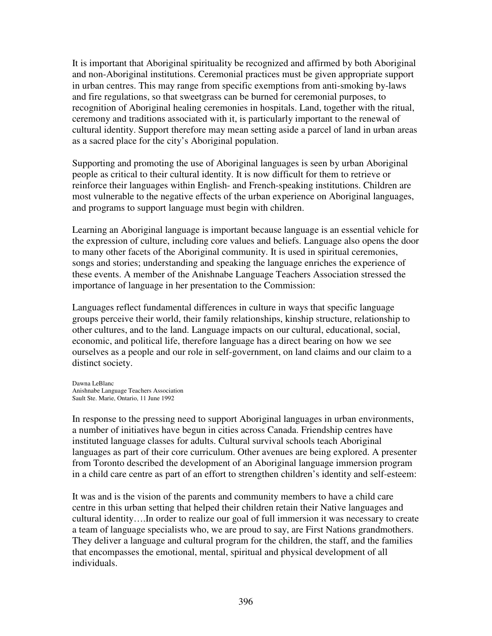It is important that Aboriginal spirituality be recognized and affirmed by both Aboriginal and non-Aboriginal institutions. Ceremonial practices must be given appropriate support in urban centres. This may range from specific exemptions from anti-smoking by-laws and fire regulations, so that sweetgrass can be burned for ceremonial purposes, to recognition of Aboriginal healing ceremonies in hospitals. Land, together with the ritual, ceremony and traditions associated with it, is particularly important to the renewal of cultural identity. Support therefore may mean setting aside a parcel of land in urban areas as a sacred place for the city's Aboriginal population.

Supporting and promoting the use of Aboriginal languages is seen by urban Aboriginal people as critical to their cultural identity. It is now difficult for them to retrieve or reinforce their languages within English- and French-speaking institutions. Children are most vulnerable to the negative effects of the urban experience on Aboriginal languages, and programs to support language must begin with children.

Learning an Aboriginal language is important because language is an essential vehicle for the expression of culture, including core values and beliefs. Language also opens the door to many other facets of the Aboriginal community. It is used in spiritual ceremonies, songs and stories; understanding and speaking the language enriches the experience of these events. A member of the Anishnabe Language Teachers Association stressed the importance of language in her presentation to the Commission:

Languages reflect fundamental differences in culture in ways that specific language groups perceive their world, their family relationships, kinship structure, relationship to other cultures, and to the land. Language impacts on our cultural, educational, social, economic, and political life, therefore language has a direct bearing on how we see ourselves as a people and our role in self-government, on land claims and our claim to a distinct society.

Dawna LeBlanc Anishnabe Language Teachers Association Sault Ste. Marie, Ontario, 11 June 1992

In response to the pressing need to support Aboriginal languages in urban environments, a number of initiatives have begun in cities across Canada. Friendship centres have instituted language classes for adults. Cultural survival schools teach Aboriginal languages as part of their core curriculum. Other avenues are being explored. A presenter from Toronto described the development of an Aboriginal language immersion program in a child care centre as part of an effort to strengthen children's identity and self-esteem:

It was and is the vision of the parents and community members to have a child care centre in this urban setting that helped their children retain their Native languages and cultural identity….In order to realize our goal of full immersion it was necessary to create a team of language specialists who, we are proud to say, are First Nations grandmothers. They deliver a language and cultural program for the children, the staff, and the families that encompasses the emotional, mental, spiritual and physical development of all individuals.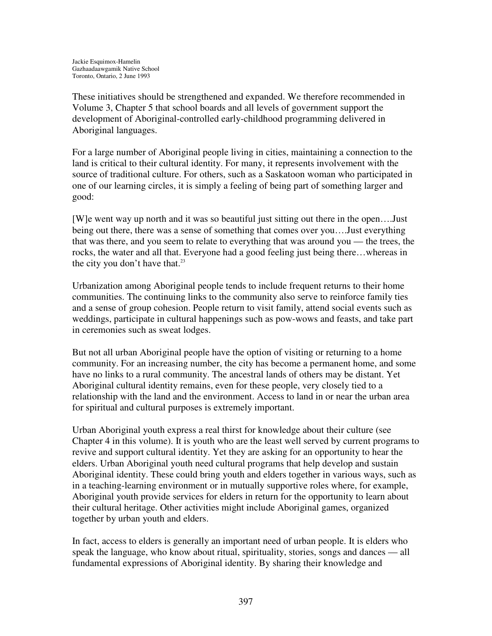These initiatives should be strengthened and expanded. We therefore recommended in Volume 3, Chapter 5 that school boards and all levels of government support the development of Aboriginal-controlled early-childhood programming delivered in Aboriginal languages.

For a large number of Aboriginal people living in cities, maintaining a connection to the land is critical to their cultural identity. For many, it represents involvement with the source of traditional culture. For others, such as a Saskatoon woman who participated in one of our learning circles, it is simply a feeling of being part of something larger and good:

[W]e went way up north and it was so beautiful just sitting out there in the open….Just being out there, there was a sense of something that comes over you….Just everything that was there, and you seem to relate to everything that was around you — the trees, the rocks, the water and all that. Everyone had a good feeling just being there…whereas in the city you don't have that. 23

Urbanization among Aboriginal people tends to include frequent returns to their home communities. The continuing links to the community also serve to reinforce family ties and a sense of group cohesion. People return to visit family, attend social events such as weddings, participate in cultural happenings such as pow-wows and feasts, and take part in ceremonies such as sweat lodges.

But not all urban Aboriginal people have the option of visiting or returning to a home community. For an increasing number, the city has become a permanent home, and some have no links to a rural community. The ancestral lands of others may be distant. Yet Aboriginal cultural identity remains, even for these people, very closely tied to a relationship with the land and the environment. Access to land in or near the urban area for spiritual and cultural purposes is extremely important.

Urban Aboriginal youth express a real thirst for knowledge about their culture (see Chapter 4 in this volume). It is youth who are the least well served by current programs to revive and support cultural identity. Yet they are asking for an opportunity to hear the elders. Urban Aboriginal youth need cultural programs that help develop and sustain Aboriginal identity. These could bring youth and elders together in various ways, such as in a teaching-learning environment or in mutually supportive roles where, for example, Aboriginal youth provide services for elders in return for the opportunity to learn about their cultural heritage. Other activities might include Aboriginal games, organized together by urban youth and elders.

In fact, access to elders is generally an important need of urban people. It is elders who speak the language, who know about ritual, spirituality, stories, songs and dances — all fundamental expressions of Aboriginal identity. By sharing their knowledge and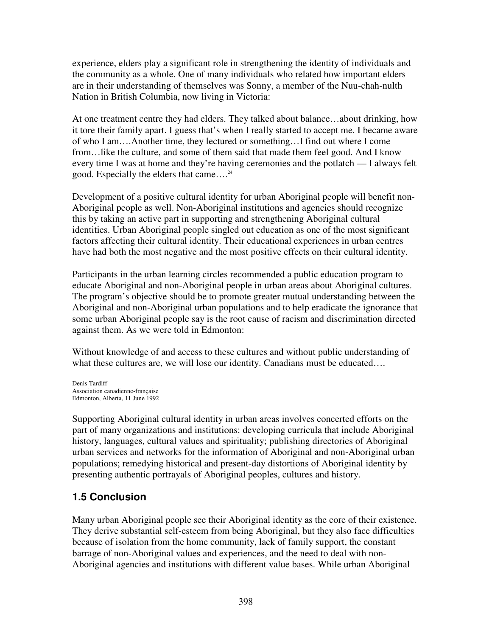experience, elders play a significant role in strengthening the identity of individuals and the community as a whole. One of many individuals who related how important elders are in their understanding of themselves was Sonny, a member of the Nuu-chah-nulth Nation in British Columbia, now living in Victoria:

At one treatment centre they had elders. They talked about balance…about drinking, how it tore their family apart. I guess that's when I really started to accept me. I became aware of who I am….Another time, they lectured or something…I find out where I come from…like the culture, and some of them said that made them feel good. And I know every time I was at home and they're having ceremonies and the potlatch — I always felt good. Especially the elders that came…. 24

Development of a positive cultural identity for urban Aboriginal people will benefit non-Aboriginal people as well. Non-Aboriginal institutions and agencies should recognize this by taking an active part in supporting and strengthening Aboriginal cultural identities. Urban Aboriginal people singled out education as one of the most significant factors affecting their cultural identity. Their educational experiences in urban centres have had both the most negative and the most positive effects on their cultural identity.

Participants in the urban learning circles recommended a public education program to educate Aboriginal and non-Aboriginal people in urban areas about Aboriginal cultures. The program's objective should be to promote greater mutual understanding between the Aboriginal and non-Aboriginal urban populations and to help eradicate the ignorance that some urban Aboriginal people say is the root cause of racism and discrimination directed against them. As we were told in Edmonton:

Without knowledge of and access to these cultures and without public understanding of what these cultures are, we will lose our identity. Canadians must be educated....

Denis Tardiff Association canadienne-française Edmonton, Alberta, 11 June 1992

Supporting Aboriginal cultural identity in urban areas involves concerted efforts on the part of many organizations and institutions: developing curricula that include Aboriginal history, languages, cultural values and spirituality; publishing directories of Aboriginal urban services and networks for the information of Aboriginal and non-Aboriginal urban populations; remedying historical and present-day distortions of Aboriginal identity by presenting authentic portrayals of Aboriginal peoples, cultures and history.

# **1.5 Conclusion**

Many urban Aboriginal people see their Aboriginal identity as the core of their existence. They derive substantial self-esteem from being Aboriginal, but they also face difficulties because of isolation from the home community, lack of family support, the constant barrage of non-Aboriginal values and experiences, and the need to deal with non-Aboriginal agencies and institutions with different value bases. While urban Aboriginal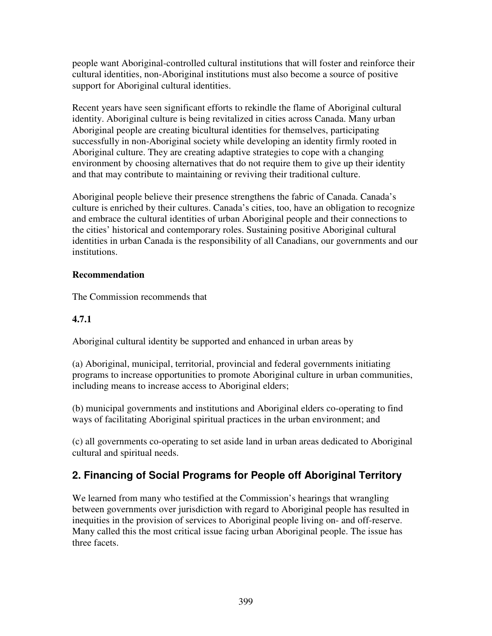people want Aboriginal-controlled cultural institutions that will foster and reinforce their cultural identities, non-Aboriginal institutions must also become a source of positive support for Aboriginal cultural identities.

Recent years have seen significant efforts to rekindle the flame of Aboriginal cultural identity. Aboriginal culture is being revitalized in cities across Canada. Many urban Aboriginal people are creating bicultural identities for themselves, participating successfully in non-Aboriginal society while developing an identity firmly rooted in Aboriginal culture. They are creating adaptive strategies to cope with a changing environment by choosing alternatives that do not require them to give up their identity and that may contribute to maintaining or reviving their traditional culture.

Aboriginal people believe their presence strengthens the fabric of Canada. Canada's culture is enriched by their cultures. Canada's cities, too, have an obligation to recognize and embrace the cultural identities of urban Aboriginal people and their connections to the cities' historical and contemporary roles. Sustaining positive Aboriginal cultural identities in urban Canada is the responsibility of all Canadians, our governments and our institutions.

## **Recommendation**

The Commission recommends that

## **4.7.1**

Aboriginal cultural identity be supported and enhanced in urban areas by

(a) Aboriginal, municipal, territorial, provincial and federal governments initiating programs to increase opportunities to promote Aboriginal culture in urban communities, including means to increase access to Aboriginal elders;

(b) municipal governments and institutions and Aboriginal elders co-operating to find ways of facilitating Aboriginal spiritual practices in the urban environment; and

(c) all governments co-operating to set aside land in urban areas dedicated to Aboriginal cultural and spiritual needs.

# **2. Financing of Social Programs for People off Aboriginal Territory**

We learned from many who testified at the Commission's hearings that wrangling between governments over jurisdiction with regard to Aboriginal people has resulted in inequities in the provision of services to Aboriginal people living on- and off-reserve. Many called this the most critical issue facing urban Aboriginal people. The issue has three facets.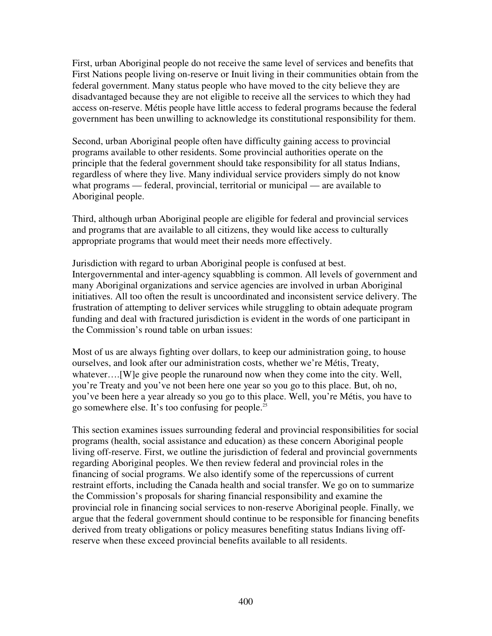First, urban Aboriginal people do not receive the same level of services and benefits that First Nations people living on-reserve or Inuit living in their communities obtain from the federal government. Many status people who have moved to the city believe they are disadvantaged because they are not eligible to receive all the services to which they had access on-reserve. Métis people have little access to federal programs because the federal government has been unwilling to acknowledge its constitutional responsibility for them.

Second, urban Aboriginal people often have difficulty gaining access to provincial programs available to other residents. Some provincial authorities operate on the principle that the federal government should take responsibility for all status Indians, regardless of where they live. Many individual service providers simply do not know what programs — federal, provincial, territorial or municipal — are available to Aboriginal people.

Third, although urban Aboriginal people are eligible for federal and provincial services and programs that are available to all citizens, they would like access to culturally appropriate programs that would meet their needs more effectively.

Jurisdiction with regard to urban Aboriginal people is confused at best. Intergovernmental and inter-agency squabbling is common. All levels of government and many Aboriginal organizations and service agencies are involved in urban Aboriginal initiatives. All too often the result is uncoordinated and inconsistent service delivery. The frustration of attempting to deliver services while struggling to obtain adequate program funding and deal with fractured jurisdiction is evident in the words of one participant in the Commission's round table on urban issues:

Most of us are always fighting over dollars, to keep our administration going, to house ourselves, and look after our administration costs, whether we're Métis, Treaty, whatever….[W]e give people the runaround now when they come into the city. Well, you're Treaty and you've not been here one year so you go to this place. But, oh no, you've been here a year already so you go to this place. Well, you're Métis, you have to go somewhere else. It's too confusing for people. 25

This section examines issues surrounding federal and provincial responsibilities for social programs (health, social assistance and education) as these concern Aboriginal people living off-reserve. First, we outline the jurisdiction of federal and provincial governments regarding Aboriginal peoples. We then review federal and provincial roles in the financing of social programs. We also identify some of the repercussions of current restraint efforts, including the Canada health and social transfer. We go on to summarize the Commission's proposals for sharing financial responsibility and examine the provincial role in financing social services to non-reserve Aboriginal people. Finally, we argue that the federal government should continue to be responsible for financing benefits derived from treaty obligations or policy measures benefiting status Indians living offreserve when these exceed provincial benefits available to all residents.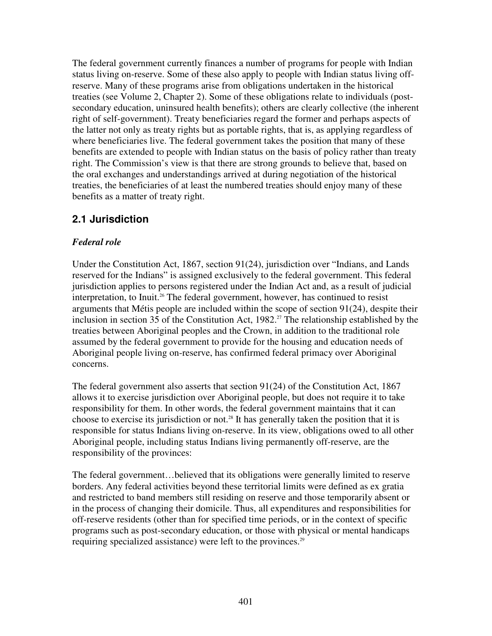The federal government currently finances a number of programs for people with Indian status living on-reserve. Some of these also apply to people with Indian status living offreserve. Many of these programs arise from obligations undertaken in the historical treaties (see Volume 2, Chapter 2). Some of these obligations relate to individuals (postsecondary education, uninsured health benefits); others are clearly collective (the inherent right of self-government). Treaty beneficiaries regard the former and perhaps aspects of the latter not only as treaty rights but as portable rights, that is, as applying regardless of where beneficiaries live. The federal government takes the position that many of these benefits are extended to people with Indian status on the basis of policy rather than treaty right. The Commission's view is that there are strong grounds to believe that, based on the oral exchanges and understandings arrived at during negotiation of the historical treaties, the beneficiaries of at least the numbered treaties should enjoy many of these benefits as a matter of treaty right.

## **2.1 Jurisdiction**

## *Federal role*

Under the Constitution Act, 1867, section 91(24), jurisdiction over "Indians, and Lands reserved for the Indians" is assigned exclusively to the federal government. This federal jurisdiction applies to persons registered under the Indian Act and, as a result of judicial interpretation, to Inuit. <sup>26</sup> The federal government, however, has continued to resist arguments that Métis people are included within the scope of section 91(24), despite their inclusion in section 35 of the Constitution Act, 1982. <sup>27</sup> The relationship established by the treaties between Aboriginal peoples and the Crown, in addition to the traditional role assumed by the federal government to provide for the housing and education needs of Aboriginal people living on-reserve, has confirmed federal primacy over Aboriginal concerns.

The federal government also asserts that section  $91(24)$  of the Constitution Act, 1867 allows it to exercise jurisdiction over Aboriginal people, but does not require it to take responsibility for them. In other words, the federal government maintains that it can choose to exercise its jurisdiction or not. 28 It has generally taken the position that it is responsible for status Indians living on-reserve. In its view, obligations owed to all other Aboriginal people, including status Indians living permanently off-reserve, are the responsibility of the provinces:

The federal government…believed that its obligations were generally limited to reserve borders. Any federal activities beyond these territorial limits were defined as ex gratia and restricted to band members still residing on reserve and those temporarily absent or in the process of changing their domicile. Thus, all expenditures and responsibilities for off-reserve residents (other than for specified time periods, or in the context of specific programs such as post-secondary education, or those with physical or mental handicaps requiring specialized assistance) were left to the provinces.<sup>29</sup>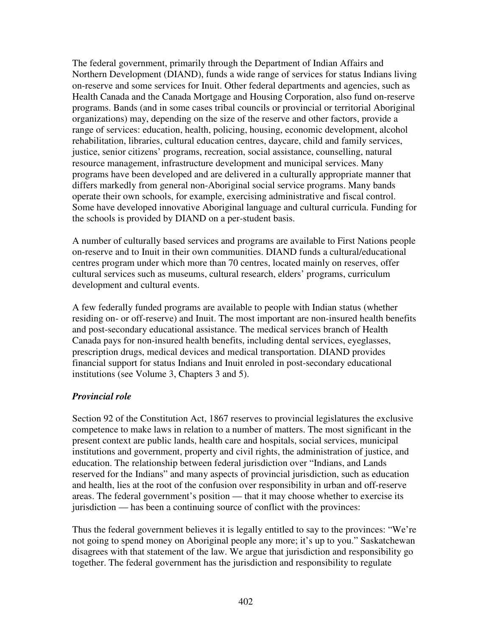The federal government, primarily through the Department of Indian Affairs and Northern Development (DIAND), funds a wide range of services for status Indians living on-reserve and some services for Inuit. Other federal departments and agencies, such as Health Canada and the Canada Mortgage and Housing Corporation, also fund on-reserve programs. Bands (and in some cases tribal councils or provincial or territorial Aboriginal organizations) may, depending on the size of the reserve and other factors, provide a range of services: education, health, policing, housing, economic development, alcohol rehabilitation, libraries, cultural education centres, daycare, child and family services, justice, senior citizens' programs, recreation, social assistance, counselling, natural resource management, infrastructure development and municipal services. Many programs have been developed and are delivered in a culturally appropriate manner that differs markedly from general non-Aboriginal social service programs. Many bands operate their own schools, for example, exercising administrative and fiscal control. Some have developed innovative Aboriginal language and cultural curricula. Funding for the schools is provided by DIAND on a per-student basis.

A number of culturally based services and programs are available to First Nations people on-reserve and to Inuit in their own communities. DIAND funds a cultural/educational centres program under which more than 70 centres, located mainly on reserves, offer cultural services such as museums, cultural research, elders' programs, curriculum development and cultural events.

A few federally funded programs are available to people with Indian status (whether residing on- or off-reserve) and Inuit. The most important are non-insured health benefits and post-secondary educational assistance. The medical services branch of Health Canada pays for non-insured health benefits, including dental services, eyeglasses, prescription drugs, medical devices and medical transportation. DIAND provides financial support for status Indians and Inuit enroled in post-secondary educational institutions (see Volume 3, Chapters 3 and 5).

#### *Provincial role*

Section 92 of the Constitution Act, 1867 reserves to provincial legislatures the exclusive competence to make laws in relation to a number of matters. The most significant in the present context are public lands, health care and hospitals, social services, municipal institutions and government, property and civil rights, the administration of justice, and education. The relationship between federal jurisdiction over "Indians, and Lands reserved for the Indians" and many aspects of provincial jurisdiction, such as education and health, lies at the root of the confusion over responsibility in urban and off-reserve areas. The federal government's position — that it may choose whether to exercise its jurisdiction — has been a continuing source of conflict with the provinces:

Thus the federal government believes it is legally entitled to say to the provinces: "We're not going to spend money on Aboriginal people any more; it's up to you." Saskatchewan disagrees with that statement of the law. We argue that jurisdiction and responsibility go together. The federal government has the jurisdiction and responsibility to regulate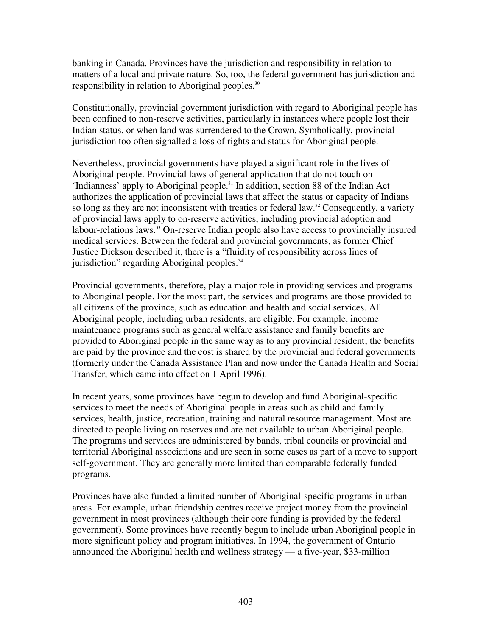banking in Canada. Provinces have the jurisdiction and responsibility in relation to matters of a local and private nature. So, too, the federal government has jurisdiction and responsibility in relation to Aboriginal peoples. 30

Constitutionally, provincial government jurisdiction with regard to Aboriginal people has been confined to non-reserve activities, particularly in instances where people lost their Indian status, or when land was surrendered to the Crown. Symbolically, provincial jurisdiction too often signalled a loss of rights and status for Aboriginal people.

Nevertheless, provincial governments have played a significant role in the lives of Aboriginal people. Provincial laws of general application that do not touch on 'Indianness' apply to Aboriginal people. 31 In addition, section 88 of the Indian Act authorizes the application of provincial laws that affect the status or capacity of Indians so long as they are not inconsistent with treaties or federal law.<sup>32</sup> Consequently, a variety of provincial laws apply to on-reserve activities, including provincial adoption and labour-relations laws. <sup>33</sup> On-reserve Indian people also have access to provincially insured medical services. Between the federal and provincial governments, as former Chief Justice Dickson described it, there is a "fluidity of responsibility across lines of jurisdiction" regarding Aboriginal peoples. 34

Provincial governments, therefore, play a major role in providing services and programs to Aboriginal people. For the most part, the services and programs are those provided to all citizens of the province, such as education and health and social services. All Aboriginal people, including urban residents, are eligible. For example, income maintenance programs such as general welfare assistance and family benefits are provided to Aboriginal people in the same way as to any provincial resident; the benefits are paid by the province and the cost is shared by the provincial and federal governments (formerly under the Canada Assistance Plan and now under the Canada Health and Social Transfer, which came into effect on 1 April 1996).

In recent years, some provinces have begun to develop and fund Aboriginal-specific services to meet the needs of Aboriginal people in areas such as child and family services, health, justice, recreation, training and natural resource management. Most are directed to people living on reserves and are not available to urban Aboriginal people. The programs and services are administered by bands, tribal councils or provincial and territorial Aboriginal associations and are seen in some cases as part of a move to support self-government. They are generally more limited than comparable federally funded programs.

Provinces have also funded a limited number of Aboriginal-specific programs in urban areas. For example, urban friendship centres receive project money from the provincial government in most provinces (although their core funding is provided by the federal government). Some provinces have recently begun to include urban Aboriginal people in more significant policy and program initiatives. In 1994, the government of Ontario announced the Aboriginal health and wellness strategy — a five-year, \$33-million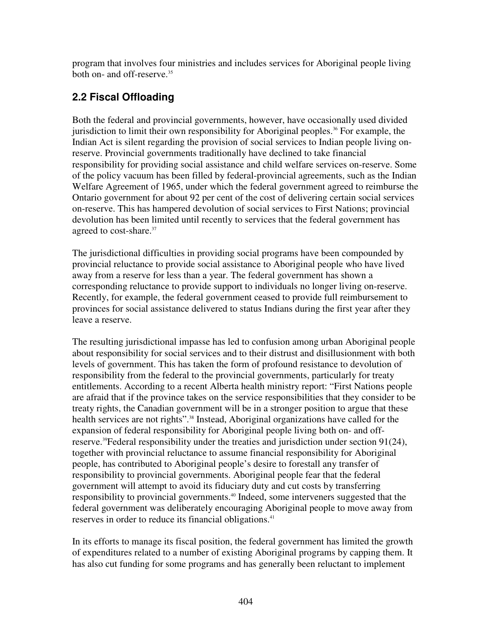program that involves four ministries and includes services for Aboriginal people living both on- and off-reserve. 35

# **2.2 Fiscal Offloading**

Both the federal and provincial governments, however, have occasionally used divided jurisdiction to limit their own responsibility for Aboriginal peoples. <sup>36</sup> For example, the Indian Act is silent regarding the provision of social services to Indian people living onreserve. Provincial governments traditionally have declined to take financial responsibility for providing social assistance and child welfare services on-reserve. Some of the policy vacuum has been filled by federal-provincial agreements, such as the Indian Welfare Agreement of 1965, under which the federal government agreed to reimburse the Ontario government for about 92 per cent of the cost of delivering certain social services on-reserve. This has hampered devolution of social services to First Nations; provincial devolution has been limited until recently to services that the federal government has agreed to cost-share. 37

The jurisdictional difficulties in providing social programs have been compounded by provincial reluctance to provide social assistance to Aboriginal people who have lived away from a reserve for less than a year. The federal government has shown a corresponding reluctance to provide support to individuals no longer living on-reserve. Recently, for example, the federal government ceased to provide full reimbursement to provinces for social assistance delivered to status Indians during the first year after they leave a reserve.

The resulting jurisdictional impasse has led to confusion among urban Aboriginal people about responsibility for social services and to their distrust and disillusionment with both levels of government. This has taken the form of profound resistance to devolution of responsibility from the federal to the provincial governments, particularly for treaty entitlements. According to a recent Alberta health ministry report: "First Nations people are afraid that if the province takes on the service responsibilities that they consider to be treaty rights, the Canadian government will be in a stronger position to argue that these health services are not rights".<sup>38</sup> Instead, Aboriginal organizations have called for the expansion of federal responsibility for Aboriginal people living both on- and offreserve. <sup>39</sup>Federal responsibility under the treaties and jurisdiction under section 91(24), together with provincial reluctance to assume financial responsibility for Aboriginal people, has contributed to Aboriginal people's desire to forestall any transfer of responsibility to provincial governments. Aboriginal people fear that the federal government will attempt to avoid its fiduciary duty and cut costs by transferring responsibility to provincial governments. 40 Indeed, some interveners suggested that the federal government was deliberately encouraging Aboriginal people to move away from reserves in order to reduce its financial obligations.<sup>41</sup>

In its efforts to manage its fiscal position, the federal government has limited the growth of expenditures related to a number of existing Aboriginal programs by capping them. It has also cut funding for some programs and has generally been reluctant to implement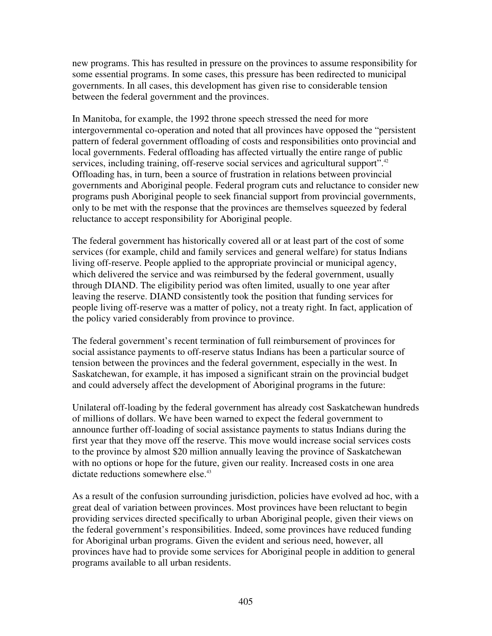new programs. This has resulted in pressure on the provinces to assume responsibility for some essential programs. In some cases, this pressure has been redirected to municipal governments. In all cases, this development has given rise to considerable tension between the federal government and the provinces.

In Manitoba, for example, the 1992 throne speech stressed the need for more intergovernmental co-operation and noted that all provinces have opposed the "persistent pattern of federal government offloading of costs and responsibilities onto provincial and local governments. Federal offloading has affected virtually the entire range of public services, including training, off-reserve social services and agricultural support".<sup>42</sup> Offloading has, in turn, been a source of frustration in relations between provincial governments and Aboriginal people. Federal program cuts and reluctance to consider new programs push Aboriginal people to seek financial support from provincial governments, only to be met with the response that the provinces are themselves squeezed by federal reluctance to accept responsibility for Aboriginal people.

The federal government has historically covered all or at least part of the cost of some services (for example, child and family services and general welfare) for status Indians living off-reserve. People applied to the appropriate provincial or municipal agency, which delivered the service and was reimbursed by the federal government, usually through DIAND. The eligibility period was often limited, usually to one year after leaving the reserve. DIAND consistently took the position that funding services for people living off-reserve was a matter of policy, not a treaty right. In fact, application of the policy varied considerably from province to province.

The federal government's recent termination of full reimbursement of provinces for social assistance payments to off-reserve status Indians has been a particular source of tension between the provinces and the federal government, especially in the west. In Saskatchewan, for example, it has imposed a significant strain on the provincial budget and could adversely affect the development of Aboriginal programs in the future:

Unilateral off-loading by the federal government has already cost Saskatchewan hundreds of millions of dollars. We have been warned to expect the federal government to announce further off-loading of social assistance payments to status Indians during the first year that they move off the reserve. This move would increase social services costs to the province by almost \$20 million annually leaving the province of Saskatchewan with no options or hope for the future, given our reality. Increased costs in one area dictate reductions somewhere else.<sup>43</sup>

As a result of the confusion surrounding jurisdiction, policies have evolved ad hoc, with a great deal of variation between provinces. Most provinces have been reluctant to begin providing services directed specifically to urban Aboriginal people, given their views on the federal government's responsibilities. Indeed, some provinces have reduced funding for Aboriginal urban programs. Given the evident and serious need, however, all provinces have had to provide some services for Aboriginal people in addition to general programs available to all urban residents.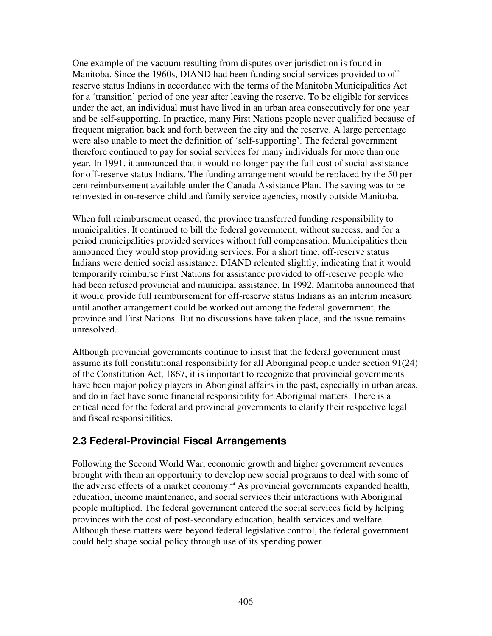One example of the vacuum resulting from disputes over jurisdiction is found in Manitoba. Since the 1960s, DIAND had been funding social services provided to offreserve status Indians in accordance with the terms of the Manitoba Municipalities Act for a 'transition' period of one year after leaving the reserve. To be eligible for services under the act, an individual must have lived in an urban area consecutively for one year and be self-supporting. In practice, many First Nations people never qualified because of frequent migration back and forth between the city and the reserve. A large percentage were also unable to meet the definition of 'self-supporting'. The federal government therefore continued to pay for social services for many individuals for more than one year. In 1991, it announced that it would no longer pay the full cost of social assistance for off-reserve status Indians. The funding arrangement would be replaced by the 50 per cent reimbursement available under the Canada Assistance Plan. The saving was to be reinvested in on-reserve child and family service agencies, mostly outside Manitoba.

When full reimbursement ceased, the province transferred funding responsibility to municipalities. It continued to bill the federal government, without success, and for a period municipalities provided services without full compensation. Municipalities then announced they would stop providing services. For a short time, off-reserve status Indians were denied social assistance. DIAND relented slightly, indicating that it would temporarily reimburse First Nations for assistance provided to off-reserve people who had been refused provincial and municipal assistance. In 1992, Manitoba announced that it would provide full reimbursement for off-reserve status Indians as an interim measure until another arrangement could be worked out among the federal government, the province and First Nations. But no discussions have taken place, and the issue remains unresolved.

Although provincial governments continue to insist that the federal government must assume its full constitutional responsibility for all Aboriginal people under section 91(24) of the Constitution Act, 1867, it is important to recognize that provincial governments have been major policy players in Aboriginal affairs in the past, especially in urban areas, and do in fact have some financial responsibility for Aboriginal matters. There is a critical need for the federal and provincial governments to clarify their respective legal and fiscal responsibilities.

## **2.3 Federal-Provincial Fiscal Arrangements**

Following the Second World War, economic growth and higher government revenues brought with them an opportunity to develop new social programs to deal with some of the adverse effects of a market economy. <sup>44</sup> As provincial governments expanded health, education, income maintenance, and social services their interactions with Aboriginal people multiplied. The federal government entered the social services field by helping provinces with the cost of post-secondary education, health services and welfare. Although these matters were beyond federal legislative control, the federal government could help shape social policy through use of its spending power.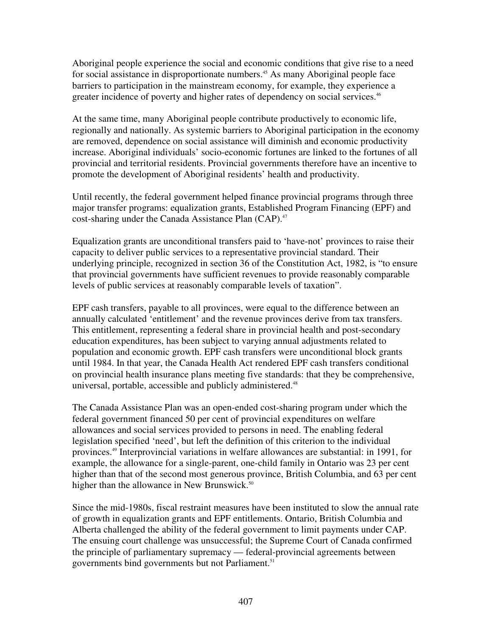Aboriginal people experience the social and economic conditions that give rise to a need for social assistance in disproportionate numbers. <sup>45</sup> As many Aboriginal people face barriers to participation in the mainstream economy, for example, they experience a greater incidence of poverty and higher rates of dependency on social services. 46

At the same time, many Aboriginal people contribute productively to economic life, regionally and nationally. As systemic barriers to Aboriginal participation in the economy are removed, dependence on social assistance will diminish and economic productivity increase. Aboriginal individuals' socio-economic fortunes are linked to the fortunes of all provincial and territorial residents. Provincial governments therefore have an incentive to promote the development of Aboriginal residents' health and productivity.

Until recently, the federal government helped finance provincial programs through three major transfer programs: equalization grants, Established Program Financing (EPF) and cost-sharing under the Canada Assistance Plan (CAP). 47

Equalization grants are unconditional transfers paid to 'have-not' provinces to raise their capacity to deliver public services to a representative provincial standard. Their underlying principle, recognized in section 36 of the Constitution Act, 1982, is "to ensure that provincial governments have sufficient revenues to provide reasonably comparable levels of public services at reasonably comparable levels of taxation".

EPF cash transfers, payable to all provinces, were equal to the difference between an annually calculated 'entitlement' and the revenue provinces derive from tax transfers. This entitlement, representing a federal share in provincial health and post-secondary education expenditures, has been subject to varying annual adjustments related to population and economic growth. EPF cash transfers were unconditional block grants until 1984. In that year, the Canada Health Act rendered EPF cash transfers conditional on provincial health insurance plans meeting five standards: that they be comprehensive, universal, portable, accessible and publicly administered. 48

The Canada Assistance Plan was an open-ended cost-sharing program under which the federal government financed 50 per cent of provincial expenditures on welfare allowances and social services provided to persons in need. The enabling federal legislation specified 'need', but left the definition of this criterion to the individual provinces. 49 Interprovincial variations in welfare allowances are substantial: in 1991, for example, the allowance for a single-parent, one-child family in Ontario was 23 per cent higher than that of the second most generous province, British Columbia, and 63 per cent higher than the allowance in New Brunswick.<sup>50</sup>

Since the mid-1980s, fiscal restraint measures have been instituted to slow the annual rate of growth in equalization grants and EPF entitlements. Ontario, British Columbia and Alberta challenged the ability of the federal government to limit payments under CAP. The ensuing court challenge was unsuccessful; the Supreme Court of Canada confirmed the principle of parliamentary supremacy — federal-provincial agreements between governments bind governments but not Parliament. 51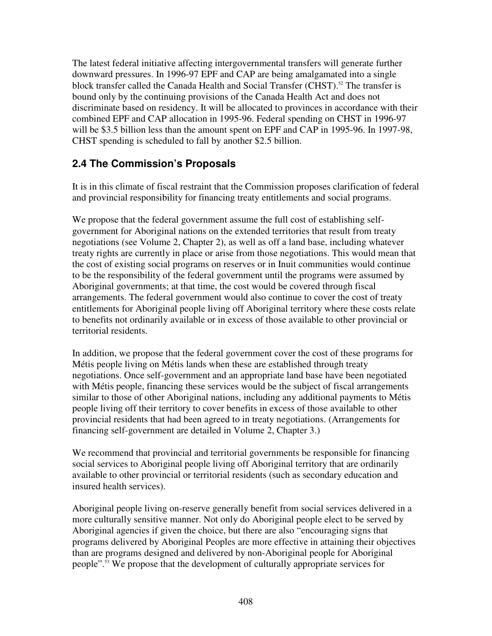The latest federal initiative affecting intergovernmental transfers will generate further downward pressures. In 1996-97 EPF and CAP are being amalgamated into a single block transfer called the Canada Health and Social Transfer (CHST).<sup>52</sup> The transfer is bound only by the continuing provisions of the Canada Health Act and does not discriminate based on residency. It will be allocated to provinces in accordance with their combined EPF and CAP allocation in 1995-96. Federal spending on CHST in 1996-97 will be \$3.5 billion less than the amount spent on EPF and CAP in 1995-96. In 1997-98, CHST spending is scheduled to fall by another \$2.5 billion.

# **2.4 The Commission's Proposals**

It is in this climate of fiscal restraint that the Commission proposes clarification of federal and provincial responsibility for financing treaty entitlements and social programs.

We propose that the federal government assume the full cost of establishing selfgovernment for Aboriginal nations on the extended territories that result from treaty negotiations (see Volume 2, Chapter 2), as well as off a land base, including whatever treaty rights are currently in place or arise from those negotiations. This would mean that the cost of existing social programs on reserves or in Inuit communities would continue to be the responsibility of the federal government until the programs were assumed by Aboriginal governments; at that time, the cost would be covered through fiscal arrangements. The federal government would also continue to cover the cost of treaty entitlements for Aboriginal people living off Aboriginal territory where these costs relate to benefits not ordinarily available or in excess of those available to other provincial or territorial residents.

In addition, we propose that the federal government cover the cost of these programs for Métis people living on Métis lands when these are established through treaty negotiations. Once self-government and an appropriate land base have been negotiated with Métis people, financing these services would be the subject of fiscal arrangements similar to those of other Aboriginal nations, including any additional payments to Métis people living off their territory to cover benefits in excess of those available to other provincial residents that had been agreed to in treaty negotiations. (Arrangements for financing self-government are detailed in Volume 2, Chapter 3.)

We recommend that provincial and territorial governments be responsible for financing social services to Aboriginal people living off Aboriginal territory that are ordinarily available to other provincial or territorial residents (such as secondary education and insured health services).

Aboriginal people living on-reserve generally benefit from social services delivered in a more culturally sensitive manner. Not only do Aboriginal people elect to be served by Aboriginal agencies if given the choice, but there are also "encouraging signs that programs delivered by Aboriginal Peoples are more effective in attaining their objectives than are programs designed and delivered by non-Aboriginal people for Aboriginal people". <sup>53</sup> We propose that the development of culturally appropriate services for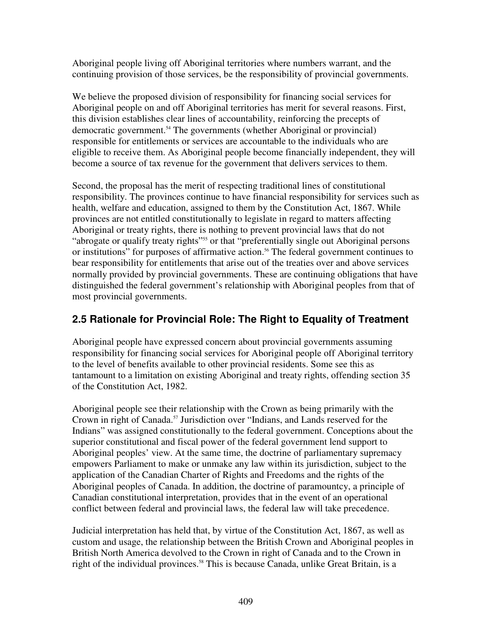Aboriginal people living off Aboriginal territories where numbers warrant, and the continuing provision of those services, be the responsibility of provincial governments.

We believe the proposed division of responsibility for financing social services for Aboriginal people on and off Aboriginal territories has merit for several reasons. First, this division establishes clear lines of accountability, reinforcing the precepts of democratic government. <sup>54</sup> The governments (whether Aboriginal or provincial) responsible for entitlements or services are accountable to the individuals who are eligible to receive them. As Aboriginal people become financially independent, they will become a source of tax revenue for the government that delivers services to them.

Second, the proposal has the merit of respecting traditional lines of constitutional responsibility. The provinces continue to have financial responsibility for services such as health, welfare and education, assigned to them by the Constitution Act, 1867. While provinces are not entitled constitutionally to legislate in regard to matters affecting Aboriginal or treaty rights, there is nothing to prevent provincial laws that do not "abrogate or qualify treaty rights"<sup>55</sup> or that "preferentially single out Aboriginal persons or institutions" for purposes of affirmative action. <sup>56</sup> The federal government continues to bear responsibility for entitlements that arise out of the treaties over and above services normally provided by provincial governments. These are continuing obligations that have distinguished the federal government's relationship with Aboriginal peoples from that of most provincial governments.

# **2.5 Rationale for Provincial Role: The Right to Equality of Treatment**

Aboriginal people have expressed concern about provincial governments assuming responsibility for financing social services for Aboriginal people off Aboriginal territory to the level of benefits available to other provincial residents. Some see this as tantamount to a limitation on existing Aboriginal and treaty rights, offending section 35 of the Constitution Act, 1982.

Aboriginal people see their relationship with the Crown as being primarily with the Crown in right of Canada. 57 Jurisdiction over "Indians, and Lands reserved for the Indians" was assigned constitutionally to the federal government. Conceptions about the superior constitutional and fiscal power of the federal government lend support to Aboriginal peoples' view. At the same time, the doctrine of parliamentary supremacy empowers Parliament to make or unmake any law within its jurisdiction, subject to the application of the Canadian Charter of Rights and Freedoms and the rights of the Aboriginal peoples of Canada. In addition, the doctrine of paramountcy, a principle of Canadian constitutional interpretation, provides that in the event of an operational conflict between federal and provincial laws, the federal law will take precedence.

Judicial interpretation has held that, by virtue of the Constitution Act, 1867, as well as custom and usage, the relationship between the British Crown and Aboriginal peoples in British North America devolved to the Crown in right of Canada and to the Crown in right of the individual provinces. <sup>58</sup> This is because Canada, unlike Great Britain, is a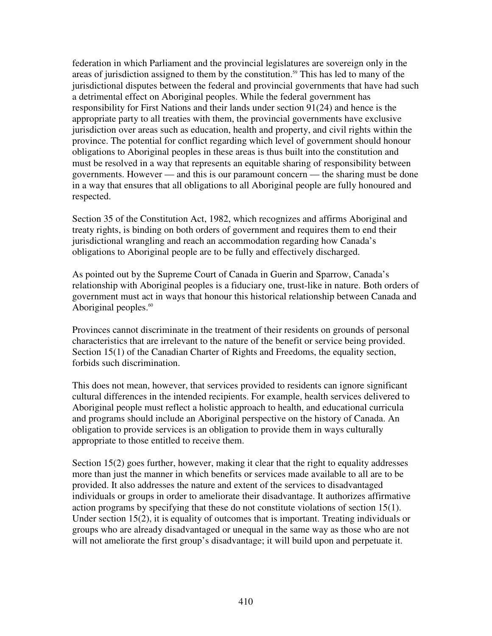federation in which Parliament and the provincial legislatures are sovereign only in the areas of jurisdiction assigned to them by the constitution. <sup>59</sup> This has led to many of the jurisdictional disputes between the federal and provincial governments that have had such a detrimental effect on Aboriginal peoples. While the federal government has responsibility for First Nations and their lands under section 91(24) and hence is the appropriate party to all treaties with them, the provincial governments have exclusive jurisdiction over areas such as education, health and property, and civil rights within the province. The potential for conflict regarding which level of government should honour obligations to Aboriginal peoples in these areas is thus built into the constitution and must be resolved in a way that represents an equitable sharing of responsibility between governments. However — and this is our paramount concern — the sharing must be done in a way that ensures that all obligations to all Aboriginal people are fully honoured and respected.

Section 35 of the Constitution Act, 1982, which recognizes and affirms Aboriginal and treaty rights, is binding on both orders of government and requires them to end their jurisdictional wrangling and reach an accommodation regarding how Canada's obligations to Aboriginal people are to be fully and effectively discharged.

As pointed out by the Supreme Court of Canada in Guerin and Sparrow, Canada's relationship with Aboriginal peoples is a fiduciary one, trust-like in nature. Both orders of government must act in ways that honour this historical relationship between Canada and Aboriginal peoples. 60

Provinces cannot discriminate in the treatment of their residents on grounds of personal characteristics that are irrelevant to the nature of the benefit or service being provided. Section 15(1) of the Canadian Charter of Rights and Freedoms, the equality section, forbids such discrimination.

This does not mean, however, that services provided to residents can ignore significant cultural differences in the intended recipients. For example, health services delivered to Aboriginal people must reflect a holistic approach to health, and educational curricula and programs should include an Aboriginal perspective on the history of Canada. An obligation to provide services is an obligation to provide them in ways culturally appropriate to those entitled to receive them.

Section 15(2) goes further, however, making it clear that the right to equality addresses more than just the manner in which benefits or services made available to all are to be provided. It also addresses the nature and extent of the services to disadvantaged individuals or groups in order to ameliorate their disadvantage. It authorizes affirmative action programs by specifying that these do not constitute violations of section 15(1). Under section 15(2), it is equality of outcomes that is important. Treating individuals or groups who are already disadvantaged or unequal in the same way as those who are not will not ameliorate the first group's disadvantage; it will build upon and perpetuate it.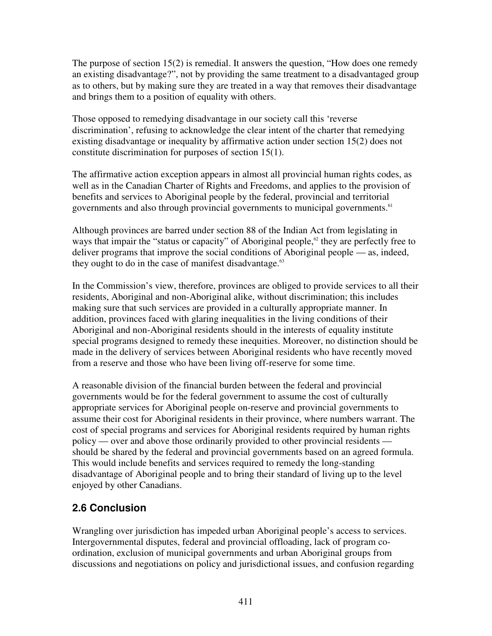The purpose of section  $15(2)$  is remedial. It answers the question, "How does one remedy an existing disadvantage?", not by providing the same treatment to a disadvantaged group as to others, but by making sure they are treated in a way that removes their disadvantage and brings them to a position of equality with others.

Those opposed to remedying disadvantage in our society call this 'reverse discrimination', refusing to acknowledge the clear intent of the charter that remedying existing disadvantage or inequality by affirmative action under section 15(2) does not constitute discrimination for purposes of section 15(1).

The affirmative action exception appears in almost all provincial human rights codes, as well as in the Canadian Charter of Rights and Freedoms, and applies to the provision of benefits and services to Aboriginal people by the federal, provincial and territorial governments and also through provincial governments to municipal governments. 61

Although provinces are barred under section 88 of the Indian Act from legislating in ways that impair the "status or capacity" of Aboriginal people,<sup>62</sup> they are perfectly free to deliver programs that improve the social conditions of Aboriginal people — as, indeed, they ought to do in the case of manifest disadvantage.<sup>63</sup>

In the Commission's view, therefore, provinces are obliged to provide services to all their residents, Aboriginal and non-Aboriginal alike, without discrimination; this includes making sure that such services are provided in a culturally appropriate manner. In addition, provinces faced with glaring inequalities in the living conditions of their Aboriginal and non-Aboriginal residents should in the interests of equality institute special programs designed to remedy these inequities. Moreover, no distinction should be made in the delivery of services between Aboriginal residents who have recently moved from a reserve and those who have been living off-reserve for some time.

A reasonable division of the financial burden between the federal and provincial governments would be for the federal government to assume the cost of culturally appropriate services for Aboriginal people on-reserve and provincial governments to assume their cost for Aboriginal residents in their province, where numbers warrant. The cost of special programs and services for Aboriginal residents required by human rights policy — over and above those ordinarily provided to other provincial residents should be shared by the federal and provincial governments based on an agreed formula. This would include benefits and services required to remedy the long-standing disadvantage of Aboriginal people and to bring their standard of living up to the level enjoyed by other Canadians.

# **2.6 Conclusion**

Wrangling over jurisdiction has impeded urban Aboriginal people's access to services. Intergovernmental disputes, federal and provincial offloading, lack of program coordination, exclusion of municipal governments and urban Aboriginal groups from discussions and negotiations on policy and jurisdictional issues, and confusion regarding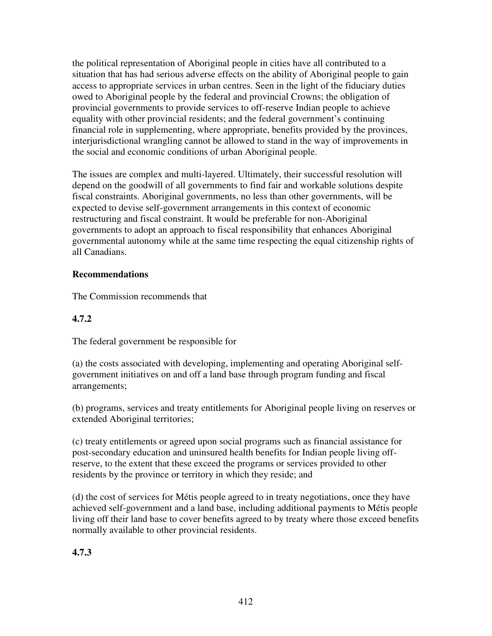the political representation of Aboriginal people in cities have all contributed to a situation that has had serious adverse effects on the ability of Aboriginal people to gain access to appropriate services in urban centres. Seen in the light of the fiduciary duties owed to Aboriginal people by the federal and provincial Crowns; the obligation of provincial governments to provide services to off-reserve Indian people to achieve equality with other provincial residents; and the federal government's continuing financial role in supplementing, where appropriate, benefits provided by the provinces, interjurisdictional wrangling cannot be allowed to stand in the way of improvements in the social and economic conditions of urban Aboriginal people.

The issues are complex and multi-layered. Ultimately, their successful resolution will depend on the goodwill of all governments to find fair and workable solutions despite fiscal constraints. Aboriginal governments, no less than other governments, will be expected to devise self-government arrangements in this context of economic restructuring and fiscal constraint. It would be preferable for non-Aboriginal governments to adopt an approach to fiscal responsibility that enhances Aboriginal governmental autonomy while at the same time respecting the equal citizenship rights of all Canadians.

#### **Recommendations**

The Commission recommends that

## **4.7.2**

The federal government be responsible for

(a) the costs associated with developing, implementing and operating Aboriginal selfgovernment initiatives on and off a land base through program funding and fiscal arrangements;

(b) programs, services and treaty entitlements for Aboriginal people living on reserves or extended Aboriginal territories;

(c) treaty entitlements or agreed upon social programs such as financial assistance for post-secondary education and uninsured health benefits for Indian people living offreserve, to the extent that these exceed the programs or services provided to other residents by the province or territory in which they reside; and

(d) the cost of services for Métis people agreed to in treaty negotiations, once they have achieved self-government and a land base, including additional payments to Métis people living off their land base to cover benefits agreed to by treaty where those exceed benefits normally available to other provincial residents.

## **4.7.3**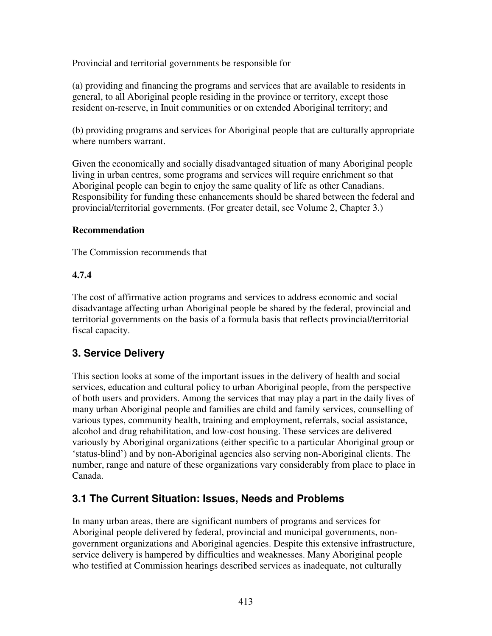Provincial and territorial governments be responsible for

(a) providing and financing the programs and services that are available to residents in general, to all Aboriginal people residing in the province or territory, except those resident on-reserve, in Inuit communities or on extended Aboriginal territory; and

(b) providing programs and services for Aboriginal people that are culturally appropriate where numbers warrant.

Given the economically and socially disadvantaged situation of many Aboriginal people living in urban centres, some programs and services will require enrichment so that Aboriginal people can begin to enjoy the same quality of life as other Canadians. Responsibility for funding these enhancements should be shared between the federal and provincial/territorial governments. (For greater detail, see Volume 2, Chapter 3.)

#### **Recommendation**

The Commission recommends that

## **4.7.4**

The cost of affirmative action programs and services to address economic and social disadvantage affecting urban Aboriginal people be shared by the federal, provincial and territorial governments on the basis of a formula basis that reflects provincial/territorial fiscal capacity.

# **3. Service Delivery**

This section looks at some of the important issues in the delivery of health and social services, education and cultural policy to urban Aboriginal people, from the perspective of both users and providers. Among the services that may play a part in the daily lives of many urban Aboriginal people and families are child and family services, counselling of various types, community health, training and employment, referrals, social assistance, alcohol and drug rehabilitation, and low-cost housing. These services are delivered variously by Aboriginal organizations (either specific to a particular Aboriginal group or 'status-blind') and by non-Aboriginal agencies also serving non-Aboriginal clients. The number, range and nature of these organizations vary considerably from place to place in Canada.

# **3.1 The Current Situation: Issues, Needs and Problems**

In many urban areas, there are significant numbers of programs and services for Aboriginal people delivered by federal, provincial and municipal governments, nongovernment organizations and Aboriginal agencies. Despite this extensive infrastructure, service delivery is hampered by difficulties and weaknesses. Many Aboriginal people who testified at Commission hearings described services as inadequate, not culturally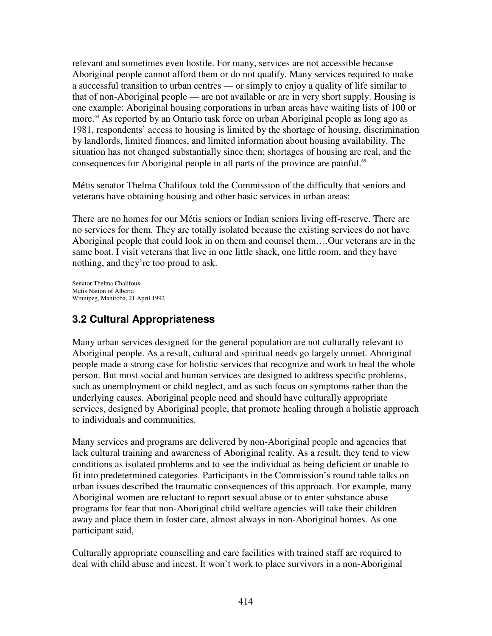relevant and sometimes even hostile. For many, services are not accessible because Aboriginal people cannot afford them or do not qualify. Many services required to make a successful transition to urban centres — or simply to enjoy a quality of life similar to that of non-Aboriginal people — are not available or are in very short supply. Housing is one example: Aboriginal housing corporations in urban areas have waiting lists of 100 or more. <sup>64</sup> As reported by an Ontario task force on urban Aboriginal people as long ago as 1981, respondents' access to housing is limited by the shortage of housing, discrimination by landlords, limited finances, and limited information about housing availability. The situation has not changed substantially since then; shortages of housing are real, and the consequences for Aboriginal people in all parts of the province are painful.<sup>65</sup>

Métis senator Thelma Chalifoux told the Commission of the difficulty that seniors and veterans have obtaining housing and other basic services in urban areas:

There are no homes for our Métis seniors or Indian seniors living off-reserve. There are no services for them. They are totally isolated because the existing services do not have Aboriginal people that could look in on them and counsel them….Our veterans are in the same boat. I visit veterans that live in one little shack, one little room, and they have nothing, and they're too proud to ask.

Senator Thelma Chalifoux Metis Nation of Alberta Winnipeg, Manitoba, 21 April 1992

# **3.2 Cultural Appropriateness**

Many urban services designed for the general population are not culturally relevant to Aboriginal people. As a result, cultural and spiritual needs go largely unmet. Aboriginal people made a strong case for holistic services that recognize and work to heal the whole person. But most social and human services are designed to address specific problems, such as unemployment or child neglect, and as such focus on symptoms rather than the underlying causes. Aboriginal people need and should have culturally appropriate services, designed by Aboriginal people, that promote healing through a holistic approach to individuals and communities.

Many services and programs are delivered by non-Aboriginal people and agencies that lack cultural training and awareness of Aboriginal reality. As a result, they tend to view conditions as isolated problems and to see the individual as being deficient or unable to fit into predetermined categories. Participants in the Commission's round table talks on urban issues described the traumatic consequences of this approach. For example, many Aboriginal women are reluctant to report sexual abuse or to enter substance abuse programs for fear that non-Aboriginal child welfare agencies will take their children away and place them in foster care, almost always in non-Aboriginal homes. As one participant said,

Culturally appropriate counselling and care facilities with trained staff are required to deal with child abuse and incest. It won't work to place survivors in a non-Aboriginal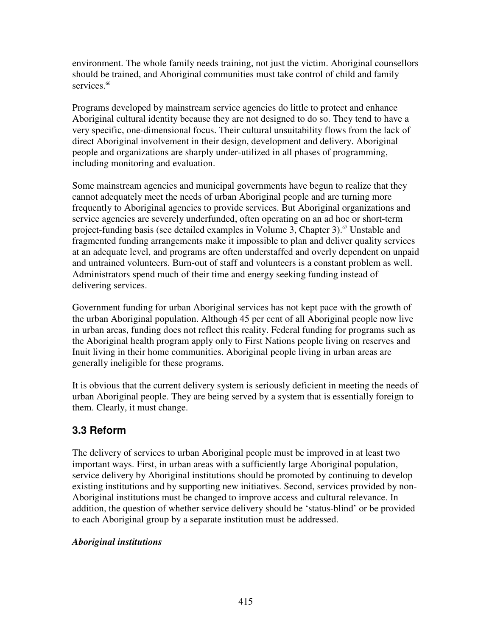environment. The whole family needs training, not just the victim. Aboriginal counsellors should be trained, and Aboriginal communities must take control of child and family services.<sup>66</sup>

Programs developed by mainstream service agencies do little to protect and enhance Aboriginal cultural identity because they are not designed to do so. They tend to have a very specific, one-dimensional focus. Their cultural unsuitability flows from the lack of direct Aboriginal involvement in their design, development and delivery. Aboriginal people and organizations are sharply under-utilized in all phases of programming, including monitoring and evaluation.

Some mainstream agencies and municipal governments have begun to realize that they cannot adequately meet the needs of urban Aboriginal people and are turning more frequently to Aboriginal agencies to provide services. But Aboriginal organizations and service agencies are severely underfunded, often operating on an ad hoc or short-term project-funding basis (see detailed examples in Volume 3, Chapter 3). <sup>67</sup> Unstable and fragmented funding arrangements make it impossible to plan and deliver quality services at an adequate level, and programs are often understaffed and overly dependent on unpaid and untrained volunteers. Burn-out of staff and volunteers is a constant problem as well. Administrators spend much of their time and energy seeking funding instead of delivering services.

Government funding for urban Aboriginal services has not kept pace with the growth of the urban Aboriginal population. Although 45 per cent of all Aboriginal people now live in urban areas, funding does not reflect this reality. Federal funding for programs such as the Aboriginal health program apply only to First Nations people living on reserves and Inuit living in their home communities. Aboriginal people living in urban areas are generally ineligible for these programs.

It is obvious that the current delivery system is seriously deficient in meeting the needs of urban Aboriginal people. They are being served by a system that is essentially foreign to them. Clearly, it must change.

# **3.3 Reform**

The delivery of services to urban Aboriginal people must be improved in at least two important ways. First, in urban areas with a sufficiently large Aboriginal population, service delivery by Aboriginal institutions should be promoted by continuing to develop existing institutions and by supporting new initiatives. Second, services provided by non-Aboriginal institutions must be changed to improve access and cultural relevance. In addition, the question of whether service delivery should be 'status-blind' or be provided to each Aboriginal group by a separate institution must be addressed.

## *Aboriginal institutions*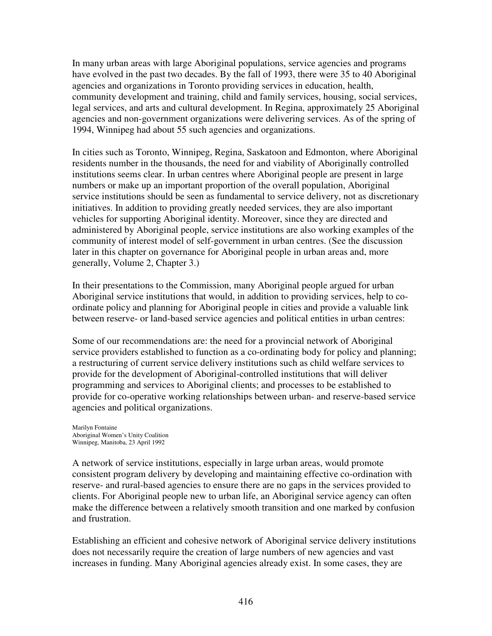In many urban areas with large Aboriginal populations, service agencies and programs have evolved in the past two decades. By the fall of 1993, there were 35 to 40 Aboriginal agencies and organizations in Toronto providing services in education, health, community development and training, child and family services, housing, social services, legal services, and arts and cultural development. In Regina, approximately 25 Aboriginal agencies and non-government organizations were delivering services. As of the spring of 1994, Winnipeg had about 55 such agencies and organizations.

In cities such as Toronto, Winnipeg, Regina, Saskatoon and Edmonton, where Aboriginal residents number in the thousands, the need for and viability of Aboriginally controlled institutions seems clear. In urban centres where Aboriginal people are present in large numbers or make up an important proportion of the overall population, Aboriginal service institutions should be seen as fundamental to service delivery, not as discretionary initiatives. In addition to providing greatly needed services, they are also important vehicles for supporting Aboriginal identity. Moreover, since they are directed and administered by Aboriginal people, service institutions are also working examples of the community of interest model of self-government in urban centres. (See the discussion later in this chapter on governance for Aboriginal people in urban areas and, more generally, Volume 2, Chapter 3.)

In their presentations to the Commission, many Aboriginal people argued for urban Aboriginal service institutions that would, in addition to providing services, help to coordinate policy and planning for Aboriginal people in cities and provide a valuable link between reserve- or land-based service agencies and political entities in urban centres:

Some of our recommendations are: the need for a provincial network of Aboriginal service providers established to function as a co-ordinating body for policy and planning; a restructuring of current service delivery institutions such as child welfare services to provide for the development of Aboriginal-controlled institutions that will deliver programming and services to Aboriginal clients; and processes to be established to provide for co-operative working relationships between urban- and reserve-based service agencies and political organizations.

Marilyn Fontaine Aboriginal Women's Unity Coalition Winnipeg, Manitoba, 23 April 1992

A network of service institutions, especially in large urban areas, would promote consistent program delivery by developing and maintaining effective co-ordination with reserve- and rural-based agencies to ensure there are no gaps in the services provided to clients. For Aboriginal people new to urban life, an Aboriginal service agency can often make the difference between a relatively smooth transition and one marked by confusion and frustration.

Establishing an efficient and cohesive network of Aboriginal service delivery institutions does not necessarily require the creation of large numbers of new agencies and vast increases in funding. Many Aboriginal agencies already exist. In some cases, they are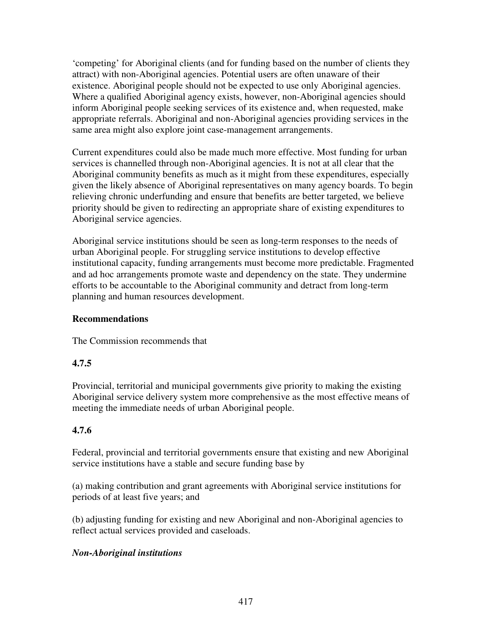'competing' for Aboriginal clients (and for funding based on the number of clients they attract) with non-Aboriginal agencies. Potential users are often unaware of their existence. Aboriginal people should not be expected to use only Aboriginal agencies. Where a qualified Aboriginal agency exists, however, non-Aboriginal agencies should inform Aboriginal people seeking services of its existence and, when requested, make appropriate referrals. Aboriginal and non-Aboriginal agencies providing services in the same area might also explore joint case-management arrangements.

Current expenditures could also be made much more effective. Most funding for urban services is channelled through non-Aboriginal agencies. It is not at all clear that the Aboriginal community benefits as much as it might from these expenditures, especially given the likely absence of Aboriginal representatives on many agency boards. To begin relieving chronic underfunding and ensure that benefits are better targeted, we believe priority should be given to redirecting an appropriate share of existing expenditures to Aboriginal service agencies.

Aboriginal service institutions should be seen as long-term responses to the needs of urban Aboriginal people. For struggling service institutions to develop effective institutional capacity, funding arrangements must become more predictable. Fragmented and ad hoc arrangements promote waste and dependency on the state. They undermine efforts to be accountable to the Aboriginal community and detract from long-term planning and human resources development.

#### **Recommendations**

The Commission recommends that

## **4.7.5**

Provincial, territorial and municipal governments give priority to making the existing Aboriginal service delivery system more comprehensive as the most effective means of meeting the immediate needs of urban Aboriginal people.

#### **4.7.6**

Federal, provincial and territorial governments ensure that existing and new Aboriginal service institutions have a stable and secure funding base by

(a) making contribution and grant agreements with Aboriginal service institutions for periods of at least five years; and

(b) adjusting funding for existing and new Aboriginal and non-Aboriginal agencies to reflect actual services provided and caseloads.

## *Non-Aboriginal institutions*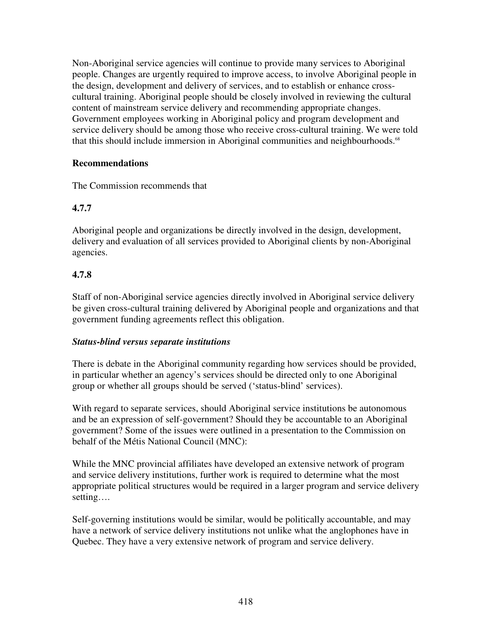Non-Aboriginal service agencies will continue to provide many services to Aboriginal people. Changes are urgently required to improve access, to involve Aboriginal people in the design, development and delivery of services, and to establish or enhance crosscultural training. Aboriginal people should be closely involved in reviewing the cultural content of mainstream service delivery and recommending appropriate changes. Government employees working in Aboriginal policy and program development and service delivery should be among those who receive cross-cultural training. We were told that this should include immersion in Aboriginal communities and neighbourhoods.<sup>68</sup>

#### **Recommendations**

The Commission recommends that

## **4.7.7**

Aboriginal people and organizations be directly involved in the design, development, delivery and evaluation of all services provided to Aboriginal clients by non-Aboriginal agencies.

#### **4.7.8**

Staff of non-Aboriginal service agencies directly involved in Aboriginal service delivery be given cross-cultural training delivered by Aboriginal people and organizations and that government funding agreements reflect this obligation.

#### *Status-blind versus separate institutions*

There is debate in the Aboriginal community regarding how services should be provided, in particular whether an agency's services should be directed only to one Aboriginal group or whether all groups should be served ('status-blind' services).

With regard to separate services, should Aboriginal service institutions be autonomous and be an expression of self-government? Should they be accountable to an Aboriginal government? Some of the issues were outlined in a presentation to the Commission on behalf of the Métis National Council (MNC):

While the MNC provincial affiliates have developed an extensive network of program and service delivery institutions, further work is required to determine what the most appropriate political structures would be required in a larger program and service delivery setting….

Self-governing institutions would be similar, would be politically accountable, and may have a network of service delivery institutions not unlike what the anglophones have in Quebec. They have a very extensive network of program and service delivery.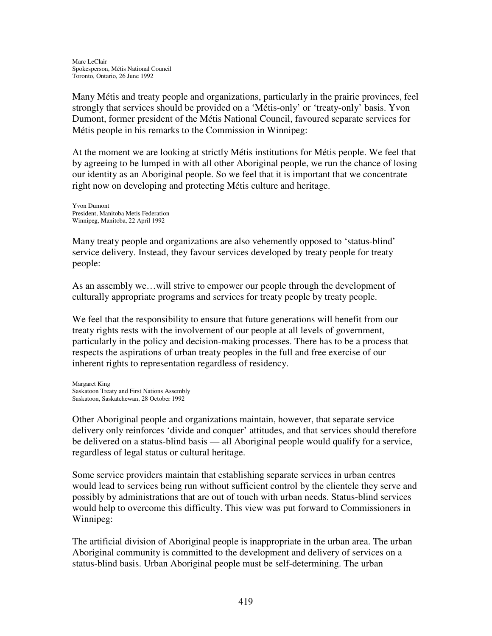Many Métis and treaty people and organizations, particularly in the prairie provinces, feel strongly that services should be provided on a 'Métis-only' or 'treaty-only' basis. Yvon Dumont, former president of the Métis National Council, favoured separate services for Métis people in his remarks to the Commission in Winnipeg:

At the moment we are looking at strictly Métis institutions for Métis people. We feel that by agreeing to be lumped in with all other Aboriginal people, we run the chance of losing our identity as an Aboriginal people. So we feel that it is important that we concentrate right now on developing and protecting Métis culture and heritage.

Yvon Dumont President, Manitoba Metis Federation Winnipeg, Manitoba, 22 April 1992

Many treaty people and organizations are also vehemently opposed to 'status-blind' service delivery. Instead, they favour services developed by treaty people for treaty people:

As an assembly we…will strive to empower our people through the development of culturally appropriate programs and services for treaty people by treaty people.

We feel that the responsibility to ensure that future generations will benefit from our treaty rights rests with the involvement of our people at all levels of government, particularly in the policy and decision-making processes. There has to be a process that respects the aspirations of urban treaty peoples in the full and free exercise of our inherent rights to representation regardless of residency.

Margaret King Saskatoon Treaty and First Nations Assembly Saskatoon, Saskatchewan, 28 October 1992

Other Aboriginal people and organizations maintain, however, that separate service delivery only reinforces 'divide and conquer' attitudes, and that services should therefore be delivered on a status-blind basis — all Aboriginal people would qualify for a service, regardless of legal status or cultural heritage.

Some service providers maintain that establishing separate services in urban centres would lead to services being run without sufficient control by the clientele they serve and possibly by administrations that are out of touch with urban needs. Status-blind services would help to overcome this difficulty. This view was put forward to Commissioners in Winnipeg:

The artificial division of Aboriginal people is inappropriate in the urban area. The urban Aboriginal community is committed to the development and delivery of services on a status-blind basis. Urban Aboriginal people must be self-determining. The urban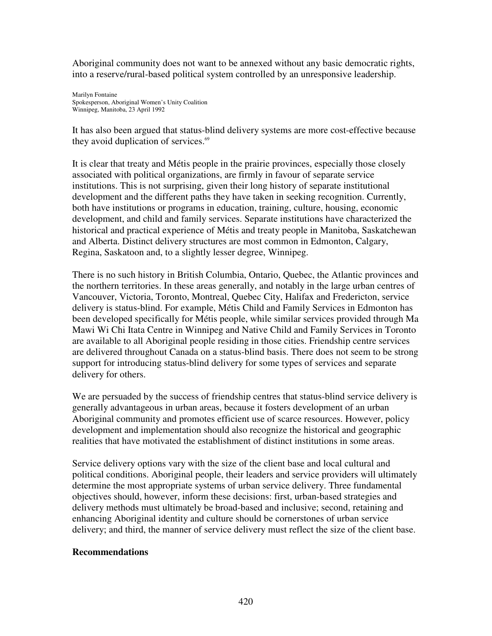Aboriginal community does not want to be annexed without any basic democratic rights, into a reserve/rural-based political system controlled by an unresponsive leadership.

Marilyn Fontaine Spokesperson, Aboriginal Women's Unity Coalition Winnipeg, Manitoba, 23 April 1992

It has also been argued that status-blind delivery systems are more cost-effective because they avoid duplication of services. 69

It is clear that treaty and Métis people in the prairie provinces, especially those closely associated with political organizations, are firmly in favour of separate service institutions. This is not surprising, given their long history of separate institutional development and the different paths they have taken in seeking recognition. Currently, both have institutions or programs in education, training, culture, housing, economic development, and child and family services. Separate institutions have characterized the historical and practical experience of Métis and treaty people in Manitoba, Saskatchewan and Alberta. Distinct delivery structures are most common in Edmonton, Calgary, Regina, Saskatoon and, to a slightly lesser degree, Winnipeg.

There is no such history in British Columbia, Ontario, Quebec, the Atlantic provinces and the northern territories. In these areas generally, and notably in the large urban centres of Vancouver, Victoria, Toronto, Montreal, Quebec City, Halifax and Fredericton, service delivery is status-blind. For example, Métis Child and Family Services in Edmonton has been developed specifically for Métis people, while similar services provided through Ma Mawi Wi Chi Itata Centre in Winnipeg and Native Child and Family Services in Toronto are available to all Aboriginal people residing in those cities. Friendship centre services are delivered throughout Canada on a status-blind basis. There does not seem to be strong support for introducing status-blind delivery for some types of services and separate delivery for others.

We are persuaded by the success of friendship centres that status-blind service delivery is generally advantageous in urban areas, because it fosters development of an urban Aboriginal community and promotes efficient use of scarce resources. However, policy development and implementation should also recognize the historical and geographic realities that have motivated the establishment of distinct institutions in some areas.

Service delivery options vary with the size of the client base and local cultural and political conditions. Aboriginal people, their leaders and service providers will ultimately determine the most appropriate systems of urban service delivery. Three fundamental objectives should, however, inform these decisions: first, urban-based strategies and delivery methods must ultimately be broad-based and inclusive; second, retaining and enhancing Aboriginal identity and culture should be cornerstones of urban service delivery; and third, the manner of service delivery must reflect the size of the client base.

#### **Recommendations**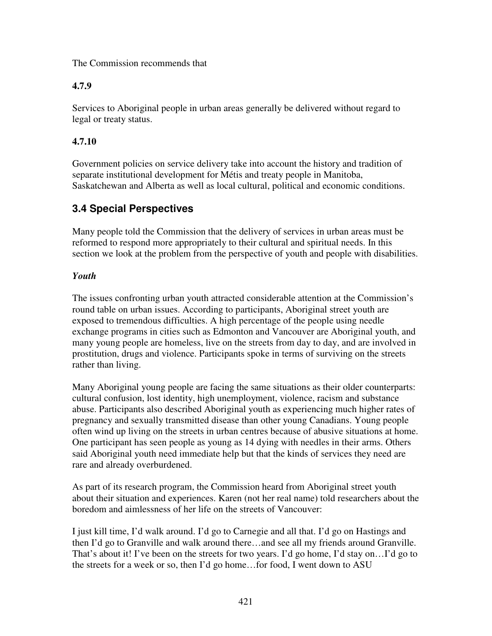The Commission recommends that

### **4.7.9**

Services to Aboriginal people in urban areas generally be delivered without regard to legal or treaty status.

### **4.7.10**

Government policies on service delivery take into account the history and tradition of separate institutional development for Métis and treaty people in Manitoba, Saskatchewan and Alberta as well as local cultural, political and economic conditions.

## **3.4 Special Perspectives**

Many people told the Commission that the delivery of services in urban areas must be reformed to respond more appropriately to their cultural and spiritual needs. In this section we look at the problem from the perspective of youth and people with disabilities.

### *Youth*

The issues confronting urban youth attracted considerable attention at the Commission's round table on urban issues. According to participants, Aboriginal street youth are exposed to tremendous difficulties. A high percentage of the people using needle exchange programs in cities such as Edmonton and Vancouver are Aboriginal youth, and many young people are homeless, live on the streets from day to day, and are involved in prostitution, drugs and violence. Participants spoke in terms of surviving on the streets rather than living.

Many Aboriginal young people are facing the same situations as their older counterparts: cultural confusion, lost identity, high unemployment, violence, racism and substance abuse. Participants also described Aboriginal youth as experiencing much higher rates of pregnancy and sexually transmitted disease than other young Canadians. Young people often wind up living on the streets in urban centres because of abusive situations at home. One participant has seen people as young as 14 dying with needles in their arms. Others said Aboriginal youth need immediate help but that the kinds of services they need are rare and already overburdened.

As part of its research program, the Commission heard from Aboriginal street youth about their situation and experiences. Karen (not her real name) told researchers about the boredom and aimlessness of her life on the streets of Vancouver:

I just kill time, I'd walk around. I'd go to Carnegie and all that. I'd go on Hastings and then I'd go to Granville and walk around there…and see all my friends around Granville. That's about it! I've been on the streets for two years. I'd go home, I'd stay on…I'd go to the streets for a week or so, then I'd go home…for food, I went down to ASU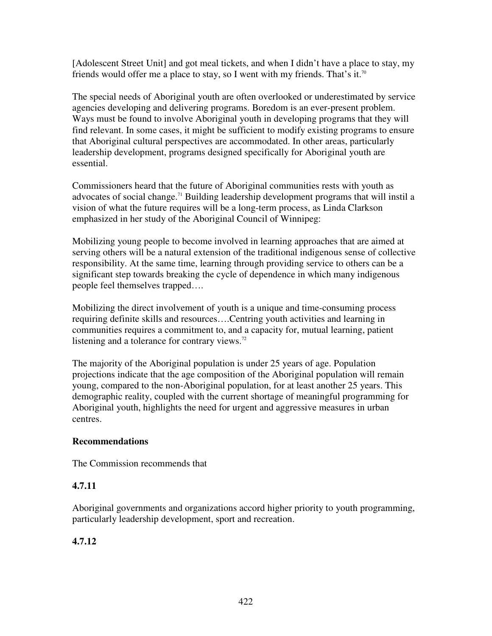[Adolescent Street Unit] and got meal tickets, and when I didn't have a place to stay, my friends would offer me a place to stay, so I went with my friends. That's it.<sup>70</sup>

The special needs of Aboriginal youth are often overlooked or underestimated by service agencies developing and delivering programs. Boredom is an ever-present problem. Ways must be found to involve Aboriginal youth in developing programs that they will find relevant. In some cases, it might be sufficient to modify existing programs to ensure that Aboriginal cultural perspectives are accommodated. In other areas, particularly leadership development, programs designed specifically for Aboriginal youth are essential.

Commissioners heard that the future of Aboriginal communities rests with youth as advocates of social change. <sup>71</sup> Building leadership development programs that will instil a vision of what the future requires will be a long-term process, as Linda Clarkson emphasized in her study of the Aboriginal Council of Winnipeg:

Mobilizing young people to become involved in learning approaches that are aimed at serving others will be a natural extension of the traditional indigenous sense of collective responsibility. At the same time, learning through providing service to others can be a significant step towards breaking the cycle of dependence in which many indigenous people feel themselves trapped….

Mobilizing the direct involvement of youth is a unique and time-consuming process requiring definite skills and resources….Centring youth activities and learning in communities requires a commitment to, and a capacity for, mutual learning, patient listening and a tolerance for contrary views.<sup>72</sup>

The majority of the Aboriginal population is under 25 years of age. Population projections indicate that the age composition of the Aboriginal population will remain young, compared to the non-Aboriginal population, for at least another 25 years. This demographic reality, coupled with the current shortage of meaningful programming for Aboriginal youth, highlights the need for urgent and aggressive measures in urban centres.

#### **Recommendations**

The Commission recommends that

## **4.7.11**

Aboriginal governments and organizations accord higher priority to youth programming, particularly leadership development, sport and recreation.

## **4.7.12**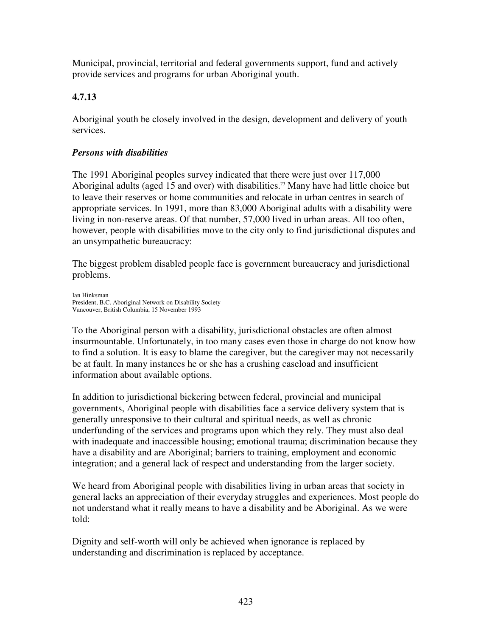Municipal, provincial, territorial and federal governments support, fund and actively provide services and programs for urban Aboriginal youth.

## **4.7.13**

Aboriginal youth be closely involved in the design, development and delivery of youth services.

### *Persons with disabilities*

The 1991 Aboriginal peoples survey indicated that there were just over 117,000 Aboriginal adults (aged 15 and over) with disabilities. <sup>73</sup> Many have had little choice but to leave their reserves or home communities and relocate in urban centres in search of appropriate services. In 1991, more than 83,000 Aboriginal adults with a disability were living in non-reserve areas. Of that number, 57,000 lived in urban areas. All too often, however, people with disabilities move to the city only to find jurisdictional disputes and an unsympathetic bureaucracy:

The biggest problem disabled people face is government bureaucracy and jurisdictional problems.

Ian Hinksman President, B.C. Aboriginal Network on Disability Society Vancouver, British Columbia, 15 November 1993

To the Aboriginal person with a disability, jurisdictional obstacles are often almost insurmountable. Unfortunately, in too many cases even those in charge do not know how to find a solution. It is easy to blame the caregiver, but the caregiver may not necessarily be at fault. In many instances he or she has a crushing caseload and insufficient information about available options.

In addition to jurisdictional bickering between federal, provincial and municipal governments, Aboriginal people with disabilities face a service delivery system that is generally unresponsive to their cultural and spiritual needs, as well as chronic underfunding of the services and programs upon which they rely. They must also deal with inadequate and inaccessible housing; emotional trauma; discrimination because they have a disability and are Aboriginal; barriers to training, employment and economic integration; and a general lack of respect and understanding from the larger society.

We heard from Aboriginal people with disabilities living in urban areas that society in general lacks an appreciation of their everyday struggles and experiences. Most people do not understand what it really means to have a disability and be Aboriginal. As we were told:

Dignity and self-worth will only be achieved when ignorance is replaced by understanding and discrimination is replaced by acceptance.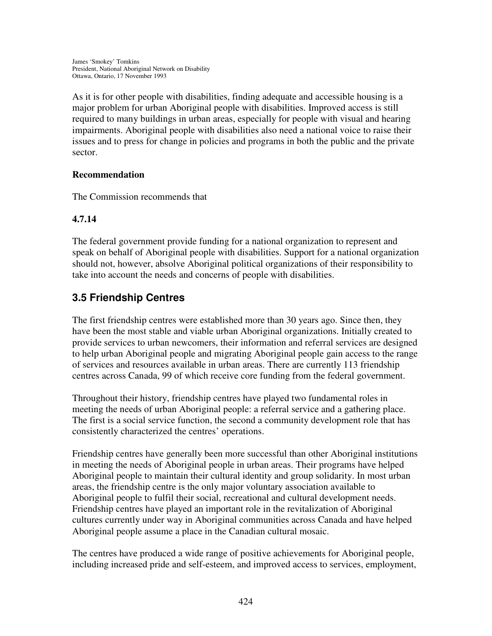As it is for other people with disabilities, finding adequate and accessible housing is a major problem for urban Aboriginal people with disabilities. Improved access is still required to many buildings in urban areas, especially for people with visual and hearing impairments. Aboriginal people with disabilities also need a national voice to raise their issues and to press for change in policies and programs in both the public and the private sector.

## **Recommendation**

The Commission recommends that

## **4.7.14**

The federal government provide funding for a national organization to represent and speak on behalf of Aboriginal people with disabilities. Support for a national organization should not, however, absolve Aboriginal political organizations of their responsibility to take into account the needs and concerns of people with disabilities.

# **3.5 Friendship Centres**

The first friendship centres were established more than 30 years ago. Since then, they have been the most stable and viable urban Aboriginal organizations. Initially created to provide services to urban newcomers, their information and referral services are designed to help urban Aboriginal people and migrating Aboriginal people gain access to the range of services and resources available in urban areas. There are currently 113 friendship centres across Canada, 99 of which receive core funding from the federal government.

Throughout their history, friendship centres have played two fundamental roles in meeting the needs of urban Aboriginal people: a referral service and a gathering place. The first is a social service function, the second a community development role that has consistently characterized the centres' operations.

Friendship centres have generally been more successful than other Aboriginal institutions in meeting the needs of Aboriginal people in urban areas. Their programs have helped Aboriginal people to maintain their cultural identity and group solidarity. In most urban areas, the friendship centre is the only major voluntary association available to Aboriginal people to fulfil their social, recreational and cultural development needs. Friendship centres have played an important role in the revitalization of Aboriginal cultures currently under way in Aboriginal communities across Canada and have helped Aboriginal people assume a place in the Canadian cultural mosaic.

The centres have produced a wide range of positive achievements for Aboriginal people, including increased pride and self-esteem, and improved access to services, employment,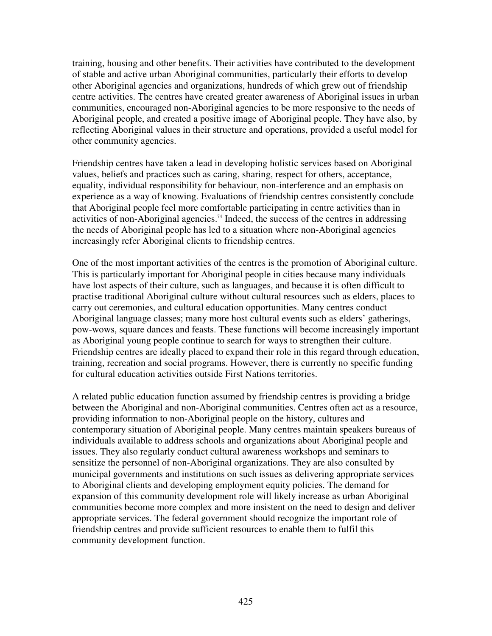training, housing and other benefits. Their activities have contributed to the development of stable and active urban Aboriginal communities, particularly their efforts to develop other Aboriginal agencies and organizations, hundreds of which grew out of friendship centre activities. The centres have created greater awareness of Aboriginal issues in urban communities, encouraged non-Aboriginal agencies to be more responsive to the needs of Aboriginal people, and created a positive image of Aboriginal people. They have also, by reflecting Aboriginal values in their structure and operations, provided a useful model for other community agencies.

Friendship centres have taken a lead in developing holistic services based on Aboriginal values, beliefs and practices such as caring, sharing, respect for others, acceptance, equality, individual responsibility for behaviour, non-interference and an emphasis on experience as a way of knowing. Evaluations of friendship centres consistently conclude that Aboriginal people feel more comfortable participating in centre activities than in activities of non-Aboriginal agencies. 74 Indeed, the success of the centres in addressing the needs of Aboriginal people has led to a situation where non-Aboriginal agencies increasingly refer Aboriginal clients to friendship centres.

One of the most important activities of the centres is the promotion of Aboriginal culture. This is particularly important for Aboriginal people in cities because many individuals have lost aspects of their culture, such as languages, and because it is often difficult to practise traditional Aboriginal culture without cultural resources such as elders, places to carry out ceremonies, and cultural education opportunities. Many centres conduct Aboriginal language classes; many more host cultural events such as elders' gatherings, pow-wows, square dances and feasts. These functions will become increasingly important as Aboriginal young people continue to search for ways to strengthen their culture. Friendship centres are ideally placed to expand their role in this regard through education, training, recreation and social programs. However, there is currently no specific funding for cultural education activities outside First Nations territories.

A related public education function assumed by friendship centres is providing a bridge between the Aboriginal and non-Aboriginal communities. Centres often act as a resource, providing information to non-Aboriginal people on the history, cultures and contemporary situation of Aboriginal people. Many centres maintain speakers bureaus of individuals available to address schools and organizations about Aboriginal people and issues. They also regularly conduct cultural awareness workshops and seminars to sensitize the personnel of non-Aboriginal organizations. They are also consulted by municipal governments and institutions on such issues as delivering appropriate services to Aboriginal clients and developing employment equity policies. The demand for expansion of this community development role will likely increase as urban Aboriginal communities become more complex and more insistent on the need to design and deliver appropriate services. The federal government should recognize the important role of friendship centres and provide sufficient resources to enable them to fulfil this community development function.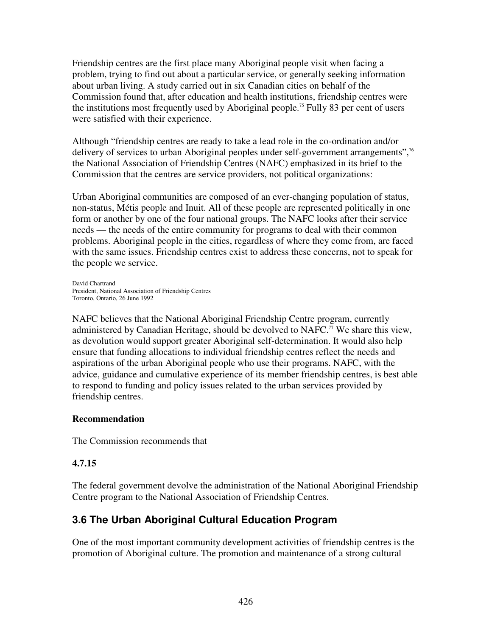Friendship centres are the first place many Aboriginal people visit when facing a problem, trying to find out about a particular service, or generally seeking information about urban living. A study carried out in six Canadian cities on behalf of the Commission found that, after education and health institutions, friendship centres were the institutions most frequently used by Aboriginal people. <sup>75</sup> Fully 83 per cent of users were satisfied with their experience.

Although "friendship centres are ready to take a lead role in the co-ordination and/or delivery of services to urban Aboriginal peoples under self-government arrangements", 76 the National Association of Friendship Centres (NAFC) emphasized in its brief to the Commission that the centres are service providers, not political organizations:

Urban Aboriginal communities are composed of an ever-changing population of status, non-status, Métis people and Inuit. All of these people are represented politically in one form or another by one of the four national groups. The NAFC looks after their service needs — the needs of the entire community for programs to deal with their common problems. Aboriginal people in the cities, regardless of where they come from, are faced with the same issues. Friendship centres exist to address these concerns, not to speak for the people we service.

David Chartrand President, National Association of Friendship Centres Toronto, Ontario, 26 June 1992

NAFC believes that the National Aboriginal Friendship Centre program, currently administered by Canadian Heritage, should be devolved to NAFC.<sup>77</sup> We share this view, as devolution would support greater Aboriginal self-determination. It would also help ensure that funding allocations to individual friendship centres reflect the needs and aspirations of the urban Aboriginal people who use their programs. NAFC, with the advice, guidance and cumulative experience of its member friendship centres, is best able to respond to funding and policy issues related to the urban services provided by friendship centres.

#### **Recommendation**

The Commission recommends that

## **4.7.15**

The federal government devolve the administration of the National Aboriginal Friendship Centre program to the National Association of Friendship Centres.

# **3.6 The Urban Aboriginal Cultural Education Program**

One of the most important community development activities of friendship centres is the promotion of Aboriginal culture. The promotion and maintenance of a strong cultural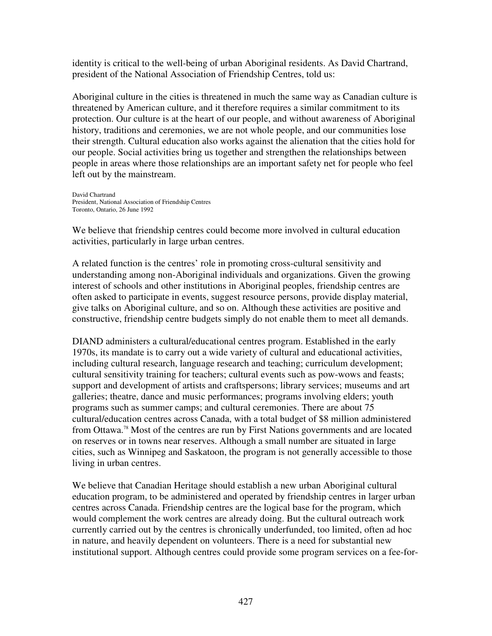identity is critical to the well-being of urban Aboriginal residents. As David Chartrand, president of the National Association of Friendship Centres, told us:

Aboriginal culture in the cities is threatened in much the same way as Canadian culture is threatened by American culture, and it therefore requires a similar commitment to its protection. Our culture is at the heart of our people, and without awareness of Aboriginal history, traditions and ceremonies, we are not whole people, and our communities lose their strength. Cultural education also works against the alienation that the cities hold for our people. Social activities bring us together and strengthen the relationships between people in areas where those relationships are an important safety net for people who feel left out by the mainstream.

David Chartrand President, National Association of Friendship Centres Toronto, Ontario, 26 June 1992

We believe that friendship centres could become more involved in cultural education activities, particularly in large urban centres.

A related function is the centres' role in promoting cross-cultural sensitivity and understanding among non-Aboriginal individuals and organizations. Given the growing interest of schools and other institutions in Aboriginal peoples, friendship centres are often asked to participate in events, suggest resource persons, provide display material, give talks on Aboriginal culture, and so on. Although these activities are positive and constructive, friendship centre budgets simply do not enable them to meet all demands.

DIAND administers a cultural/educational centres program. Established in the early 1970s, its mandate is to carry out a wide variety of cultural and educational activities, including cultural research, language research and teaching; curriculum development; cultural sensitivity training for teachers; cultural events such as pow-wows and feasts; support and development of artists and craftspersons; library services; museums and art galleries; theatre, dance and music performances; programs involving elders; youth programs such as summer camps; and cultural ceremonies. There are about 75 cultural/education centres across Canada, with a total budget of \$8 million administered from Ottawa. <sup>78</sup> Most of the centres are run by First Nations governments and are located on reserves or in towns near reserves. Although a small number are situated in large cities, such as Winnipeg and Saskatoon, the program is not generally accessible to those living in urban centres.

We believe that Canadian Heritage should establish a new urban Aboriginal cultural education program, to be administered and operated by friendship centres in larger urban centres across Canada. Friendship centres are the logical base for the program, which would complement the work centres are already doing. But the cultural outreach work currently carried out by the centres is chronically underfunded, too limited, often ad hoc in nature, and heavily dependent on volunteers. There is a need for substantial new institutional support. Although centres could provide some program services on a fee-for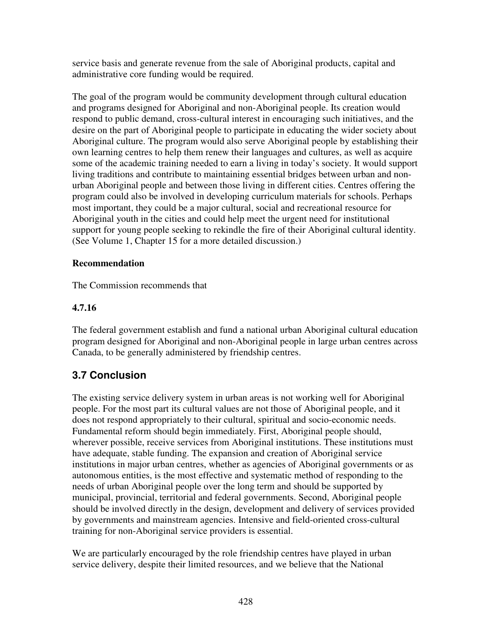service basis and generate revenue from the sale of Aboriginal products, capital and administrative core funding would be required.

The goal of the program would be community development through cultural education and programs designed for Aboriginal and non-Aboriginal people. Its creation would respond to public demand, cross-cultural interest in encouraging such initiatives, and the desire on the part of Aboriginal people to participate in educating the wider society about Aboriginal culture. The program would also serve Aboriginal people by establishing their own learning centres to help them renew their languages and cultures, as well as acquire some of the academic training needed to earn a living in today's society. It would support living traditions and contribute to maintaining essential bridges between urban and nonurban Aboriginal people and between those living in different cities. Centres offering the program could also be involved in developing curriculum materials for schools. Perhaps most important, they could be a major cultural, social and recreational resource for Aboriginal youth in the cities and could help meet the urgent need for institutional support for young people seeking to rekindle the fire of their Aboriginal cultural identity. (See Volume 1, Chapter 15 for a more detailed discussion.)

#### **Recommendation**

The Commission recommends that

### **4.7.16**

The federal government establish and fund a national urban Aboriginal cultural education program designed for Aboriginal and non-Aboriginal people in large urban centres across Canada, to be generally administered by friendship centres.

## **3.7 Conclusion**

The existing service delivery system in urban areas is not working well for Aboriginal people. For the most part its cultural values are not those of Aboriginal people, and it does not respond appropriately to their cultural, spiritual and socio-economic needs. Fundamental reform should begin immediately. First, Aboriginal people should, wherever possible, receive services from Aboriginal institutions. These institutions must have adequate, stable funding. The expansion and creation of Aboriginal service institutions in major urban centres, whether as agencies of Aboriginal governments or as autonomous entities, is the most effective and systematic method of responding to the needs of urban Aboriginal people over the long term and should be supported by municipal, provincial, territorial and federal governments. Second, Aboriginal people should be involved directly in the design, development and delivery of services provided by governments and mainstream agencies. Intensive and field-oriented cross-cultural training for non-Aboriginal service providers is essential.

We are particularly encouraged by the role friendship centres have played in urban service delivery, despite their limited resources, and we believe that the National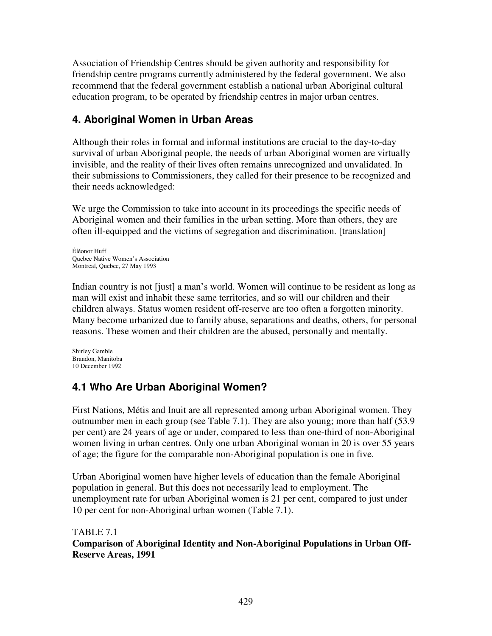Association of Friendship Centres should be given authority and responsibility for friendship centre programs currently administered by the federal government. We also recommend that the federal government establish a national urban Aboriginal cultural education program, to be operated by friendship centres in major urban centres.

## **4. Aboriginal Women in Urban Areas**

Although their roles in formal and informal institutions are crucial to the day-to-day survival of urban Aboriginal people, the needs of urban Aboriginal women are virtually invisible, and the reality of their lives often remains unrecognized and unvalidated. In their submissions to Commissioners, they called for their presence to be recognized and their needs acknowledged:

We urge the Commission to take into account in its proceedings the specific needs of Aboriginal women and their families in the urban setting. More than others, they are often ill-equipped and the victims of segregation and discrimination. [translation]

Éléonor Huff Quebec Native Women's Association Montreal, Quebec, 27 May 1993

Indian country is not [just] a man's world. Women will continue to be resident as long as man will exist and inhabit these same territories, and so will our children and their children always. Status women resident off-reserve are too often a forgotten minority. Many become urbanized due to family abuse, separations and deaths, others, for personal reasons. These women and their children are the abused, personally and mentally.

Shirley Gamble Brandon, Manitoba 10 December 1992

# **4.1 Who Are Urban Aboriginal Women?**

First Nations, Métis and Inuit are all represented among urban Aboriginal women. They outnumber men in each group (see Table 7.1). They are also young; more than half (53.9 per cent) are 24 years of age or under, compared to less than one-third of non-Aboriginal women living in urban centres. Only one urban Aboriginal woman in 20 is over 55 years of age; the figure for the comparable non-Aboriginal population is one in five.

Urban Aboriginal women have higher levels of education than the female Aboriginal population in general. But this does not necessarily lead to employment. The unemployment rate for urban Aboriginal women is 21 per cent, compared to just under 10 per cent for non-Aboriginal urban women (Table 7.1).

#### TABLE 7.1

**Comparison of Aboriginal Identity and Non-Aboriginal Populations in Urban Off-Reserve Areas, 1991**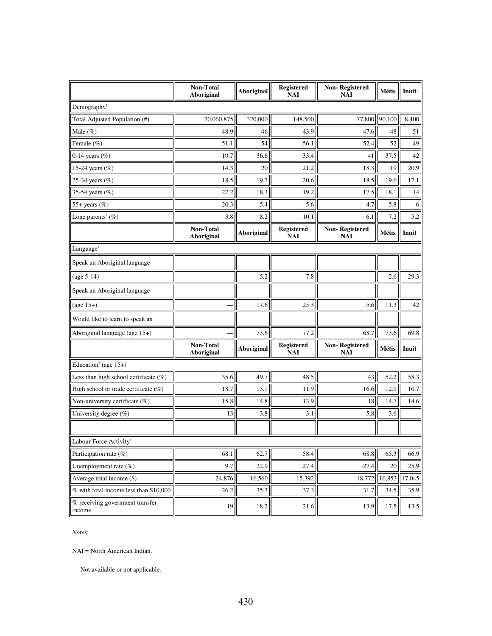|                                           | Non-Total<br><b>Aboriginal</b> | <b>Aboriginal</b> | <b>Registered</b><br><b>NAI</b> | <b>Non-Registered</b><br><b>NAI</b> | <b>Métis</b> | <b>Inuit</b> <sup>1</sup> |
|-------------------------------------------|--------------------------------|-------------------|---------------------------------|-------------------------------------|--------------|---------------------------|
| Demography <sup>2</sup>                   |                                |                   |                                 |                                     |              |                           |
| Total Adjusted Population (#)             | 20,060,875                     | 320,000           | 148,500                         | 77,800                              | 90,100       | 8,400                     |
| Male $(\%)$                               | 48.9                           | 46                | 43.9                            | 47.6                                | 48           | 51                        |
| Female (%)                                | 51.1                           | 54                | 56.1                            | 52.4                                | 52           | 49                        |
| 0-14 years $(\%)$                         | 19.7                           | 36.6              | 33.4                            | 41                                  | 37.5         | 42                        |
| 15-24 years $(\% )$                       | 14.3                           | 20                | 21.2                            | 18.3                                | 19           | 20.9                      |
| 25-34 years (%)                           | 18.5                           | 19.7              | 20.6                            | 18.5                                | 19.6         | 17.1                      |
| 35-54 years (%)                           | 27.2                           | 18.3              | 19.2                            | 17.5                                | 18.1         | 14                        |
| 55+ years $(\%)$                          | 20.3                           | 5.4               | 5.6                             | 4.7                                 | 5.8          | 6                         |
| Lone parents <sup>3</sup> $(\%)$          | 3.8                            | 8.2               | 10.1                            | 6.1                                 | 7.2          | 5.2                       |
|                                           | Non-Total<br><b>Aboriginal</b> | <b>Aboriginal</b> | <b>Registered</b><br><b>NAI</b> | <b>Non-Registered</b><br><b>NAI</b> | Métis        | <b>Inuit</b> <sup>1</sup> |
| Language <sup>3</sup>                     |                                |                   |                                 |                                     |              |                           |
| Speak an Aboriginal language              |                                |                   |                                 |                                     |              |                           |
| $(age 5-14)$                              |                                | 5.2               | 7.8                             |                                     | 2.6          | 29.3                      |
| Speak an Aboriginal language              |                                |                   |                                 |                                     |              |                           |
| $(age 15+)$                               |                                | 17.6              | 25.3                            | 5.6                                 | 11.3         | 42                        |
| Would like to learn to speak an           |                                |                   |                                 |                                     |              |                           |
| Aboriginal language (age 15+)             |                                | 73.6              | 77.2                            | 68.7                                | 73.6         | 69.8                      |
|                                           | Non-Total<br>Aboriginal        | <b>Aboriginal</b> | Registered<br>NAI               | <b>Non-Registered</b><br>NAI        | <b>Métis</b> | <b>Inuit</b> <sup>1</sup> |
| Education <sup>3</sup> (age $15+$ )       |                                |                   |                                 |                                     |              |                           |
| Less than high school certificate $(\%)$  | 35.6                           | 49.7              | 48.5                            | 43                                  | 52.2         | 58.3                      |
| High school or trade certificate $(\%)$   | 18.7                           | 13.1              | 11.9                            | 16.6                                | 12.9         | 10.7                      |
| Non-university certificate (%)            | 15.8                           | 14.8              | 13.9                            | 18                                  | 14.7         | 14.6                      |
| University degree (%)                     | 13                             | 3.8               | 3.1                             | 5.8                                 | 3.6          |                           |
|                                           |                                |                   |                                 |                                     |              |                           |
| Labour Force Activity <sup>3</sup>        |                                |                   |                                 |                                     |              |                           |
| Participation rate (%)                    | 68.1                           | 62.7              | 58.4                            | 68.8                                | 65.3         | 66.9                      |
| Unemployment rate $(\% )$                 | 9.7                            | 22.9              | 27.4                            | 27.4                                | 20           | 25.9                      |
| Average total income (\$)                 | 24,876                         | 16,560            | 15,392                          | 18,772                              | 16,853       | 17,045                    |
| % with total income less than \$10,000    | 26.2                           | 35.3              | 37.3                            | 31.7                                | 34.5         | 35.9                      |
| % receiving government transfer<br>income | 19                             | 18.2              | 21.6                            | 13.9                                | 17.5         | 13.5                      |

*Notes*:

NAI = North American Indian.

— Not available or not applicable.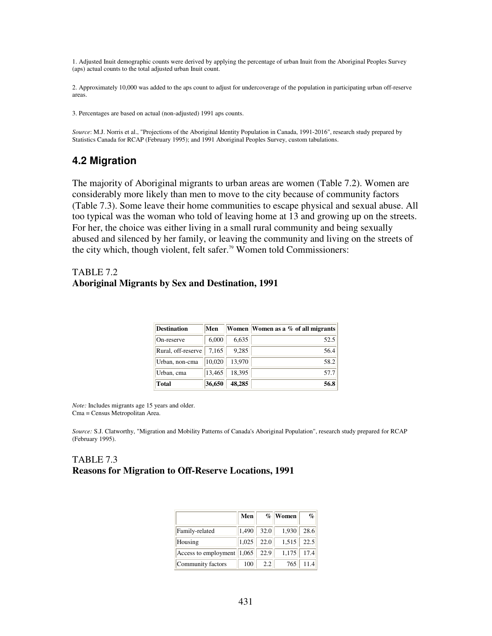1. Adjusted Inuit demographic counts were derived by applying the percentage of urban Inuit from the Aboriginal Peoples Survey (aps) actual counts to the total adjusted urban Inuit count.

2. Approximately 10,000 was added to the aps count to adjust for undercoverage of the population in participating urban off-reserve areas.

3. Percentages are based on actual (non-adjusted) 1991 aps counts.

*Source*: M.J. Norris et al., "Projections of the Aboriginal Identity Population in Canada, 1991-2016", research study prepared by Statistics Canada for RCAP (February 1995); and 1991 Aboriginal Peoples Survey, custom tabulations.

## **4.2 Migration**

The majority of Aboriginal migrants to urban areas are women (Table 7.2). Women are considerably more likely than men to move to the city because of community factors (Table 7.3). Some leave their home communities to escape physical and sexual abuse. All too typical was the woman who told of leaving home at 13 and growing up on the streets. For her, the choice was either living in a small rural community and being sexually abused and silenced by her family, or leaving the community and living on the streets of the city which, though violent, felt safer. <sup>79</sup> Women told Commissioners:

#### TABLE 7.2 **Aboriginal Migrants by Sex and Destination, 1991**

| <b>Destination</b> | Men    |        | Women Women as a % of all migrants |
|--------------------|--------|--------|------------------------------------|
| On-reserve         | 6,000  | 6,635  | 52.5                               |
| Rural, off-reserve | 7.165  | 9,285  | 56.4                               |
| Urban, non-cma     | 10.020 | 13.970 | 58.2                               |
| Urban, cma         | 13,465 | 18.395 | 57.7                               |
| Total              | 36,650 | 48.285 | 56.8                               |

*Note:* Includes migrants age 15 years and older. Cma = Census Metropolitan Area.

*Source:* S.J. Clatworthy, "Migration and Mobility Patterns of Canada's Aboriginal Population", research study prepared for RCAP (February 1995).

## TABLE 7.3 **Reasons for Migration to Off-Reserve Locations, 1991**

|                                  | Men <sup> </sup> |      | $\%$ Women   | $\%$ |
|----------------------------------|------------------|------|--------------|------|
| Family-related                   | 1,490            | 32.0 | 1,930        | 28.6 |
| Housing                          | $1,025$ 22.0     |      | $1,515$ 22.5 |      |
| Access to employment $  1,065  $ |                  | 22.9 | $1,175$ 17.4 |      |
| Community factors                | 100              | 2.2  | 765          | 11.4 |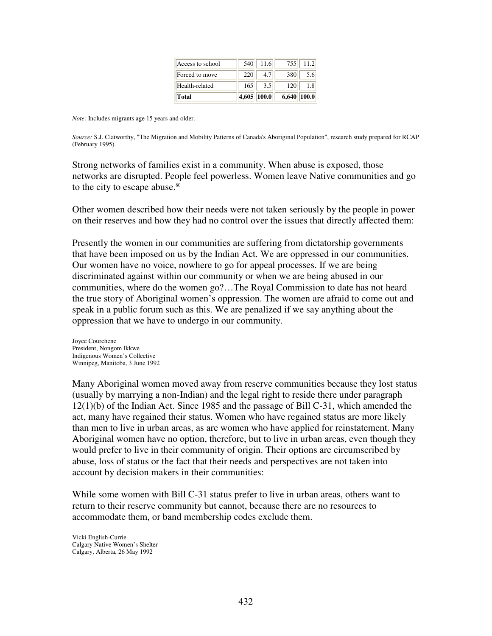| Access to school |     | 540   11.6      |               | 755 11.2 |
|------------------|-----|-----------------|---------------|----------|
| Forced to move   | 220 | 4.7             | 380           | 5.6      |
| Health-related   | 165 | 3.5             | 120           | 1.8      |
| Total            |     | $ 4,605 $ 100.0 | $6,640$ 100.0 |          |

*Note:* Includes migrants age 15 years and older.

*Source:* S.J. Clatworthy, "The Migration and Mobility Patterns of Canada's Aboriginal Population", research study prepared for RCAP (February 1995).

Strong networks of families exist in a community. When abuse is exposed, those networks are disrupted. People feel powerless. Women leave Native communities and go to the city to escape abuse. 80

Other women described how their needs were not taken seriously by the people in power on their reserves and how they had no control over the issues that directly affected them:

Presently the women in our communities are suffering from dictatorship governments that have been imposed on us by the Indian Act. We are oppressed in our communities. Our women have no voice, nowhere to go for appeal processes. If we are being discriminated against within our community or when we are being abused in our communities, where do the women go?…The Royal Commission to date has not heard the true story of Aboriginal women's oppression. The women are afraid to come out and speak in a public forum such as this. We are penalized if we say anything about the oppression that we have to undergo in our community.

Joyce Courchene President, Nongom Ikkwe Indigenous Women's Collective Winnipeg, Manitoba, 3 June 1992

Many Aboriginal women moved away from reserve communities because they lost status (usually by marrying a non-Indian) and the legal right to reside there under paragraph 12(1)(b) of the Indian Act. Since 1985 and the passage of Bill C-31, which amended the act, many have regained their status. Women who have regained status are more likely than men to live in urban areas, as are women who have applied for reinstatement. Many Aboriginal women have no option, therefore, but to live in urban areas, even though they would prefer to live in their community of origin. Their options are circumscribed by abuse, loss of status or the fact that their needs and perspectives are not taken into account by decision makers in their communities:

While some women with Bill C-31 status prefer to live in urban areas, others want to return to their reserve community but cannot, because there are no resources to accommodate them, or band membership codes exclude them.

Vicki English-Currie Calgary Native Women's Shelter Calgary, Alberta, 26 May 1992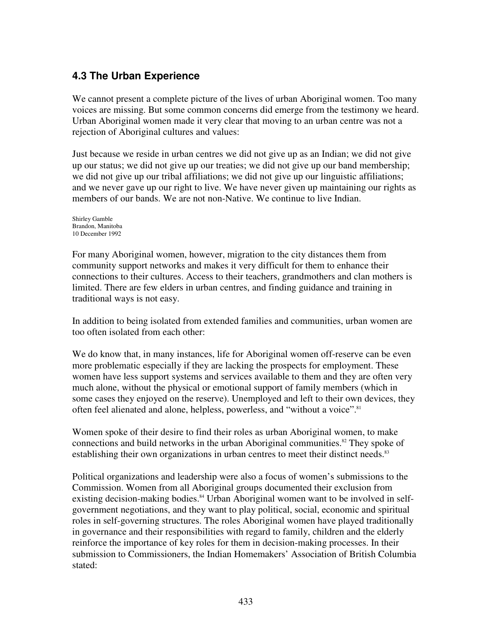# **4.3 The Urban Experience**

We cannot present a complete picture of the lives of urban Aboriginal women. Too many voices are missing. But some common concerns did emerge from the testimony we heard. Urban Aboriginal women made it very clear that moving to an urban centre was not a rejection of Aboriginal cultures and values:

Just because we reside in urban centres we did not give up as an Indian; we did not give up our status; we did not give up our treaties; we did not give up our band membership; we did not give up our tribal affiliations; we did not give up our linguistic affiliations; and we never gave up our right to live. We have never given up maintaining our rights as members of our bands. We are not non-Native. We continue to live Indian.

Shirley Gamble Brandon, Manitoba 10 December 1992

For many Aboriginal women, however, migration to the city distances them from community support networks and makes it very difficult for them to enhance their connections to their cultures. Access to their teachers, grandmothers and clan mothers is limited. There are few elders in urban centres, and finding guidance and training in traditional ways is not easy.

In addition to being isolated from extended families and communities, urban women are too often isolated from each other:

We do know that, in many instances, life for Aboriginal women off-reserve can be even more problematic especially if they are lacking the prospects for employment. These women have less support systems and services available to them and they are often very much alone, without the physical or emotional support of family members (which in some cases they enjoyed on the reserve). Unemployed and left to their own devices, they often feel alienated and alone, helpless, powerless, and "without a voice".<sup>81</sup>

Women spoke of their desire to find their roles as urban Aboriginal women, to make connections and build networks in the urban Aboriginal communities. <sup>82</sup> They spoke of establishing their own organizations in urban centres to meet their distinct needs.<sup>83</sup>

Political organizations and leadership were also a focus of women's submissions to the Commission. Women from all Aboriginal groups documented their exclusion from existing decision-making bodies. <sup>84</sup> Urban Aboriginal women want to be involved in selfgovernment negotiations, and they want to play political, social, economic and spiritual roles in self-governing structures. The roles Aboriginal women have played traditionally in governance and their responsibilities with regard to family, children and the elderly reinforce the importance of key roles for them in decision-making processes. In their submission to Commissioners, the Indian Homemakers' Association of British Columbia stated: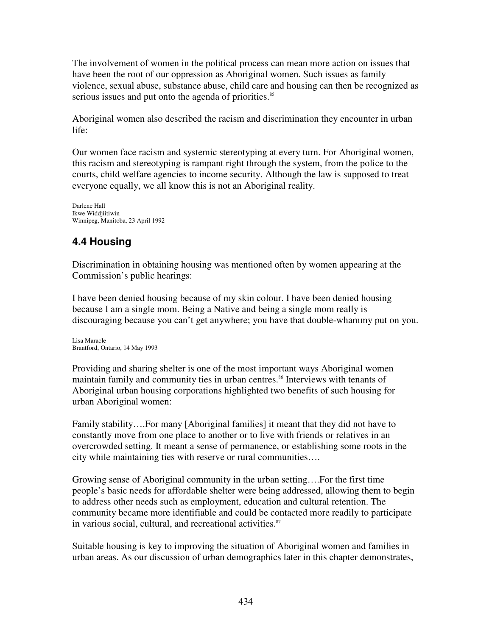The involvement of women in the political process can mean more action on issues that have been the root of our oppression as Aboriginal women. Such issues as family violence, sexual abuse, substance abuse, child care and housing can then be recognized as serious issues and put onto the agenda of priorities.<sup>85</sup>

Aboriginal women also described the racism and discrimination they encounter in urban life:

Our women face racism and systemic stereotyping at every turn. For Aboriginal women, this racism and stereotyping is rampant right through the system, from the police to the courts, child welfare agencies to income security. Although the law is supposed to treat everyone equally, we all know this is not an Aboriginal reality.

Darlene Hall Ikwe Widdjiitiwin Winnipeg, Manitoba, 23 April 1992

# **4.4 Housing**

Discrimination in obtaining housing was mentioned often by women appearing at the Commission's public hearings:

I have been denied housing because of my skin colour. I have been denied housing because I am a single mom. Being a Native and being a single mom really is discouraging because you can't get anywhere; you have that double-whammy put on you.

Lisa Maracle Brantford, Ontario, 14 May 1993

Providing and sharing shelter is one of the most important ways Aboriginal women maintain family and community ties in urban centres. 86 Interviews with tenants of Aboriginal urban housing corporations highlighted two benefits of such housing for urban Aboriginal women:

Family stability….For many [Aboriginal families] it meant that they did not have to constantly move from one place to another or to live with friends or relatives in an overcrowded setting. It meant a sense of permanence, or establishing some roots in the city while maintaining ties with reserve or rural communities….

Growing sense of Aboriginal community in the urban setting….For the first time people's basic needs for affordable shelter were being addressed, allowing them to begin to address other needs such as employment, education and cultural retention. The community became more identifiable and could be contacted more readily to participate in various social, cultural, and recreational activities. 87

Suitable housing is key to improving the situation of Aboriginal women and families in urban areas. As our discussion of urban demographics later in this chapter demonstrates,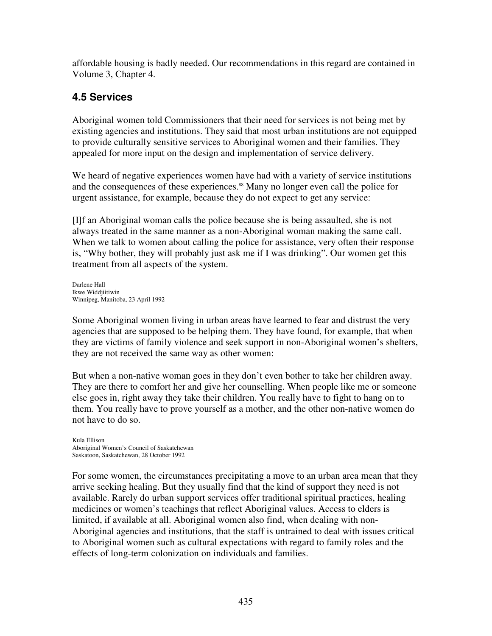affordable housing is badly needed. Our recommendations in this regard are contained in Volume 3, Chapter 4.

## **4.5 Services**

Aboriginal women told Commissioners that their need for services is not being met by existing agencies and institutions. They said that most urban institutions are not equipped to provide culturally sensitive services to Aboriginal women and their families. They appealed for more input on the design and implementation of service delivery.

We heard of negative experiences women have had with a variety of service institutions and the consequences of these experiences. <sup>88</sup> Many no longer even call the police for urgent assistance, for example, because they do not expect to get any service:

[I]f an Aboriginal woman calls the police because she is being assaulted, she is not always treated in the same manner as a non-Aboriginal woman making the same call. When we talk to women about calling the police for assistance, very often their response is, "Why bother, they will probably just ask me if I was drinking". Our women get this treatment from all aspects of the system.

Darlene Hall Ikwe Widdjiitiwin Winnipeg, Manitoba, 23 April 1992

Some Aboriginal women living in urban areas have learned to fear and distrust the very agencies that are supposed to be helping them. They have found, for example, that when they are victims of family violence and seek support in non-Aboriginal women's shelters, they are not received the same way as other women:

But when a non-native woman goes in they don't even bother to take her children away. They are there to comfort her and give her counselling. When people like me or someone else goes in, right away they take their children. You really have to fight to hang on to them. You really have to prove yourself as a mother, and the other non-native women do not have to do so.

Kula Ellison Aboriginal Women's Council of Saskatchewan Saskatoon, Saskatchewan, 28 October 1992

For some women, the circumstances precipitating a move to an urban area mean that they arrive seeking healing. But they usually find that the kind of support they need is not available. Rarely do urban support services offer traditional spiritual practices, healing medicines or women's teachings that reflect Aboriginal values. Access to elders is limited, if available at all. Aboriginal women also find, when dealing with non-Aboriginal agencies and institutions, that the staff is untrained to deal with issues critical to Aboriginal women such as cultural expectations with regard to family roles and the effects of long-term colonization on individuals and families.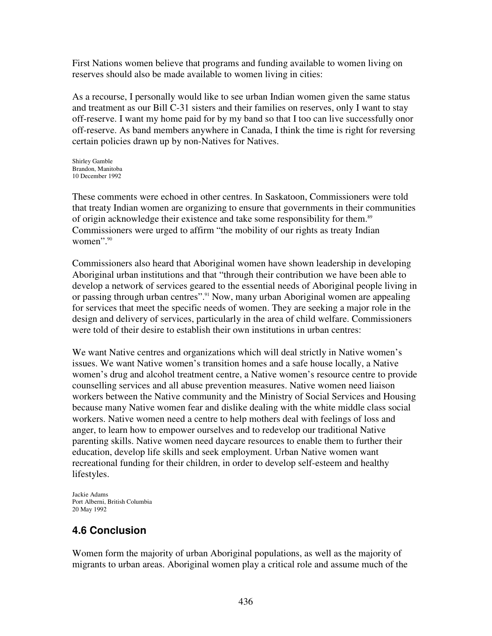First Nations women believe that programs and funding available to women living on reserves should also be made available to women living in cities:

As a recourse, I personally would like to see urban Indian women given the same status and treatment as our Bill C-31 sisters and their families on reserves, only I want to stay off-reserve. I want my home paid for by my band so that I too can live successfully onor off-reserve. As band members anywhere in Canada, I think the time is right for reversing certain policies drawn up by non-Natives for Natives.

Shirley Gamble Brandon, Manitoba 10 December 1992

These comments were echoed in other centres. In Saskatoon, Commissioners were told that treaty Indian women are organizing to ensure that governments in their communities of origin acknowledge their existence and take some responsibility for them.<sup>89</sup> Commissioners were urged to affirm "the mobility of our rights as treaty Indian women".<sup>90</sup>

Commissioners also heard that Aboriginal women have shown leadership in developing Aboriginal urban institutions and that "through their contribution we have been able to develop a network of services geared to the essential needs of Aboriginal people living in or passing through urban centres". <sup>91</sup> Now, many urban Aboriginal women are appealing for services that meet the specific needs of women. They are seeking a major role in the design and delivery of services, particularly in the area of child welfare. Commissioners were told of their desire to establish their own institutions in urban centres:

We want Native centres and organizations which will deal strictly in Native women's issues. We want Native women's transition homes and a safe house locally, a Native women's drug and alcohol treatment centre, a Native women's resource centre to provide counselling services and all abuse prevention measures. Native women need liaison workers between the Native community and the Ministry of Social Services and Housing because many Native women fear and dislike dealing with the white middle class social workers. Native women need a centre to help mothers deal with feelings of loss and anger, to learn how to empower ourselves and to redevelop our traditional Native parenting skills. Native women need daycare resources to enable them to further their education, develop life skills and seek employment. Urban Native women want recreational funding for their children, in order to develop self-esteem and healthy lifestyles.

Jackie Adams Port Alberni, British Columbia 20 May 1992

## **4.6 Conclusion**

Women form the majority of urban Aboriginal populations, as well as the majority of migrants to urban areas. Aboriginal women play a critical role and assume much of the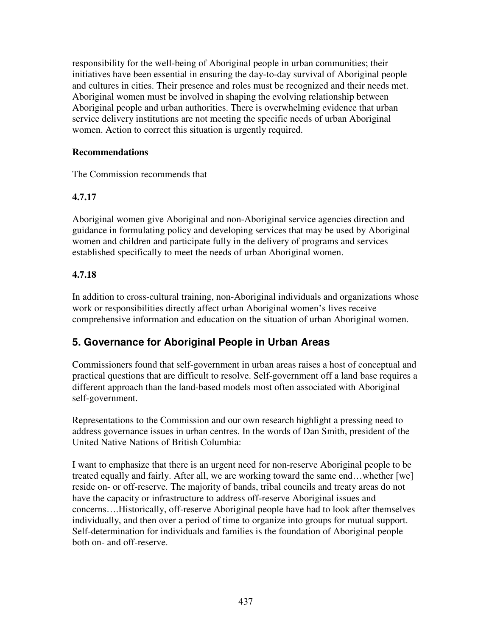responsibility for the well-being of Aboriginal people in urban communities; their initiatives have been essential in ensuring the day-to-day survival of Aboriginal people and cultures in cities. Their presence and roles must be recognized and their needs met. Aboriginal women must be involved in shaping the evolving relationship between Aboriginal people and urban authorities. There is overwhelming evidence that urban service delivery institutions are not meeting the specific needs of urban Aboriginal women. Action to correct this situation is urgently required.

#### **Recommendations**

The Commission recommends that

## **4.7.17**

Aboriginal women give Aboriginal and non-Aboriginal service agencies direction and guidance in formulating policy and developing services that may be used by Aboriginal women and children and participate fully in the delivery of programs and services established specifically to meet the needs of urban Aboriginal women.

## **4.7.18**

In addition to cross-cultural training, non-Aboriginal individuals and organizations whose work or responsibilities directly affect urban Aboriginal women's lives receive comprehensive information and education on the situation of urban Aboriginal women.

## **5. Governance for Aboriginal People in Urban Areas**

Commissioners found that self-government in urban areas raises a host of conceptual and practical questions that are difficult to resolve. Self-government off a land base requires a different approach than the land-based models most often associated with Aboriginal self-government.

Representations to the Commission and our own research highlight a pressing need to address governance issues in urban centres. In the words of Dan Smith, president of the United Native Nations of British Columbia:

I want to emphasize that there is an urgent need for non-reserve Aboriginal people to be treated equally and fairly. After all, we are working toward the same end…whether [we] reside on- or off-reserve. The majority of bands, tribal councils and treaty areas do not have the capacity or infrastructure to address off-reserve Aboriginal issues and concerns….Historically, off-reserve Aboriginal people have had to look after themselves individually, and then over a period of time to organize into groups for mutual support. Self-determination for individuals and families is the foundation of Aboriginal people both on- and off-reserve.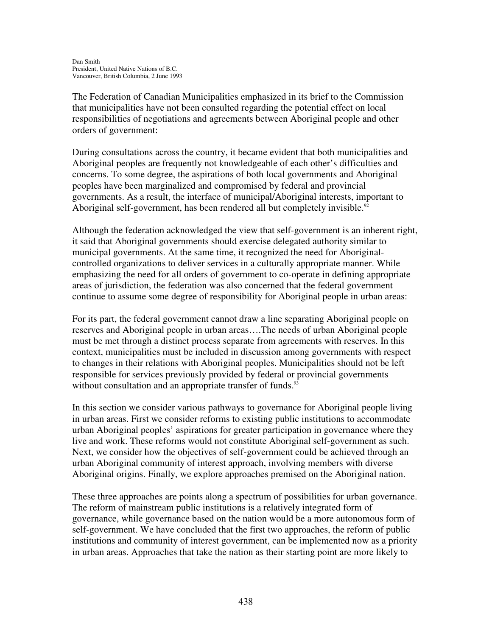The Federation of Canadian Municipalities emphasized in its brief to the Commission that municipalities have not been consulted regarding the potential effect on local responsibilities of negotiations and agreements between Aboriginal people and other orders of government:

During consultations across the country, it became evident that both municipalities and Aboriginal peoples are frequently not knowledgeable of each other's difficulties and concerns. To some degree, the aspirations of both local governments and Aboriginal peoples have been marginalized and compromised by federal and provincial governments. As a result, the interface of municipal/Aboriginal interests, important to Aboriginal self-government, has been rendered all but completely invisible.<sup>92</sup>

Although the federation acknowledged the view that self-government is an inherent right, it said that Aboriginal governments should exercise delegated authority similar to municipal governments. At the same time, it recognized the need for Aboriginalcontrolled organizations to deliver services in a culturally appropriate manner. While emphasizing the need for all orders of government to co-operate in defining appropriate areas of jurisdiction, the federation was also concerned that the federal government continue to assume some degree of responsibility for Aboriginal people in urban areas:

For its part, the federal government cannot draw a line separating Aboriginal people on reserves and Aboriginal people in urban areas….The needs of urban Aboriginal people must be met through a distinct process separate from agreements with reserves. In this context, municipalities must be included in discussion among governments with respect to changes in their relations with Aboriginal peoples. Municipalities should not be left responsible for services previously provided by federal or provincial governments without consultation and an appropriate transfer of funds.<sup>93</sup>

In this section we consider various pathways to governance for Aboriginal people living in urban areas. First we consider reforms to existing public institutions to accommodate urban Aboriginal peoples' aspirations for greater participation in governance where they live and work. These reforms would not constitute Aboriginal self-government as such. Next, we consider how the objectives of self-government could be achieved through an urban Aboriginal community of interest approach, involving members with diverse Aboriginal origins. Finally, we explore approaches premised on the Aboriginal nation.

These three approaches are points along a spectrum of possibilities for urban governance. The reform of mainstream public institutions is a relatively integrated form of governance, while governance based on the nation would be a more autonomous form of self-government. We have concluded that the first two approaches, the reform of public institutions and community of interest government, can be implemented now as a priority in urban areas. Approaches that take the nation as their starting point are more likely to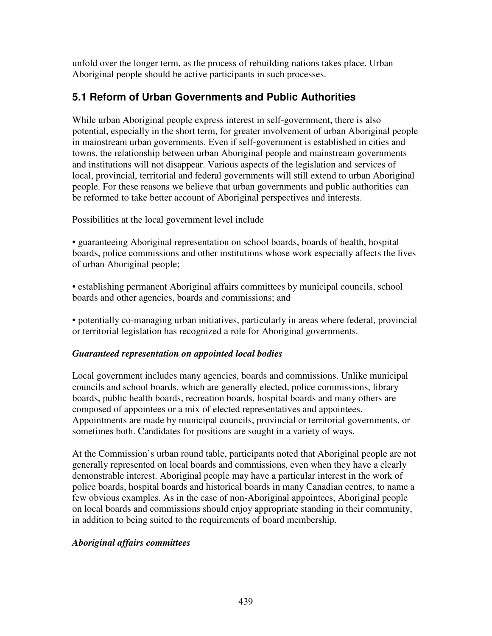unfold over the longer term, as the process of rebuilding nations takes place. Urban Aboriginal people should be active participants in such processes.

# **5.1 Reform of Urban Governments and Public Authorities**

While urban Aboriginal people express interest in self-government, there is also potential, especially in the short term, for greater involvement of urban Aboriginal people in mainstream urban governments. Even if self-government is established in cities and towns, the relationship between urban Aboriginal people and mainstream governments and institutions will not disappear. Various aspects of the legislation and services of local, provincial, territorial and federal governments will still extend to urban Aboriginal people. For these reasons we believe that urban governments and public authorities can be reformed to take better account of Aboriginal perspectives and interests.

Possibilities at the local government level include

• guaranteeing Aboriginal representation on school boards, boards of health, hospital boards, police commissions and other institutions whose work especially affects the lives of urban Aboriginal people;

• establishing permanent Aboriginal affairs committees by municipal councils, school boards and other agencies, boards and commissions; and

• potentially co-managing urban initiatives, particularly in areas where federal, provincial or territorial legislation has recognized a role for Aboriginal governments.

## *Guaranteed representation on appointed local bodies*

Local government includes many agencies, boards and commissions. Unlike municipal councils and school boards, which are generally elected, police commissions, library boards, public health boards, recreation boards, hospital boards and many others are composed of appointees or a mix of elected representatives and appointees. Appointments are made by municipal councils, provincial or territorial governments, or sometimes both. Candidates for positions are sought in a variety of ways.

At the Commission's urban round table, participants noted that Aboriginal people are not generally represented on local boards and commissions, even when they have a clearly demonstrable interest. Aboriginal people may have a particular interest in the work of police boards, hospital boards and historical boards in many Canadian centres, to name a few obvious examples. As in the case of non-Aboriginal appointees, Aboriginal people on local boards and commissions should enjoy appropriate standing in their community, in addition to being suited to the requirements of board membership.

## *Aboriginal affairs committees*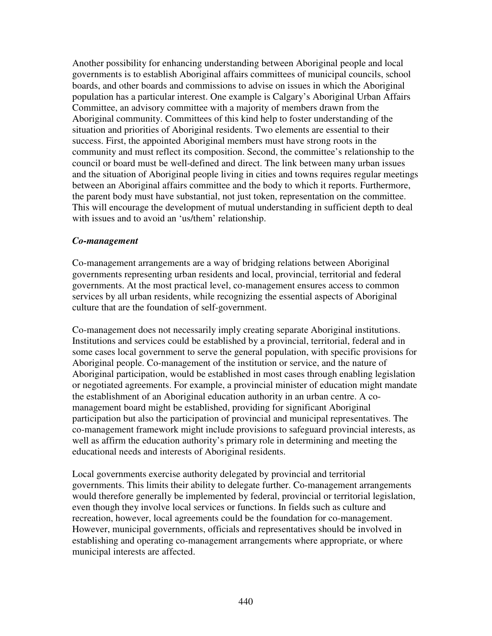Another possibility for enhancing understanding between Aboriginal people and local governments is to establish Aboriginal affairs committees of municipal councils, school boards, and other boards and commissions to advise on issues in which the Aboriginal population has a particular interest. One example is Calgary's Aboriginal Urban Affairs Committee, an advisory committee with a majority of members drawn from the Aboriginal community. Committees of this kind help to foster understanding of the situation and priorities of Aboriginal residents. Two elements are essential to their success. First, the appointed Aboriginal members must have strong roots in the community and must reflect its composition. Second, the committee's relationship to the council or board must be well-defined and direct. The link between many urban issues and the situation of Aboriginal people living in cities and towns requires regular meetings between an Aboriginal affairs committee and the body to which it reports. Furthermore, the parent body must have substantial, not just token, representation on the committee. This will encourage the development of mutual understanding in sufficient depth to deal with issues and to avoid an 'us/them' relationship.

#### *Co-management*

Co-management arrangements are a way of bridging relations between Aboriginal governments representing urban residents and local, provincial, territorial and federal governments. At the most practical level, co-management ensures access to common services by all urban residents, while recognizing the essential aspects of Aboriginal culture that are the foundation of self-government.

Co-management does not necessarily imply creating separate Aboriginal institutions. Institutions and services could be established by a provincial, territorial, federal and in some cases local government to serve the general population, with specific provisions for Aboriginal people. Co-management of the institution or service, and the nature of Aboriginal participation, would be established in most cases through enabling legislation or negotiated agreements. For example, a provincial minister of education might mandate the establishment of an Aboriginal education authority in an urban centre. A comanagement board might be established, providing for significant Aboriginal participation but also the participation of provincial and municipal representatives. The co-management framework might include provisions to safeguard provincial interests, as well as affirm the education authority's primary role in determining and meeting the educational needs and interests of Aboriginal residents.

Local governments exercise authority delegated by provincial and territorial governments. This limits their ability to delegate further. Co-management arrangements would therefore generally be implemented by federal, provincial or territorial legislation, even though they involve local services or functions. In fields such as culture and recreation, however, local agreements could be the foundation for co-management. However, municipal governments, officials and representatives should be involved in establishing and operating co-management arrangements where appropriate, or where municipal interests are affected.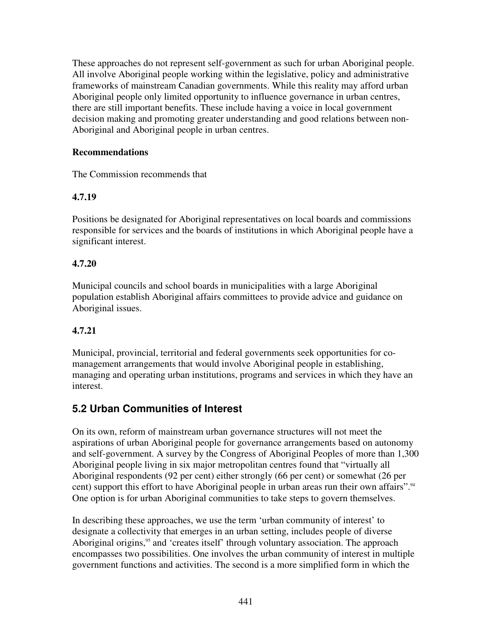These approaches do not represent self-government as such for urban Aboriginal people. All involve Aboriginal people working within the legislative, policy and administrative frameworks of mainstream Canadian governments. While this reality may afford urban Aboriginal people only limited opportunity to influence governance in urban centres, there are still important benefits. These include having a voice in local government decision making and promoting greater understanding and good relations between non-Aboriginal and Aboriginal people in urban centres.

#### **Recommendations**

The Commission recommends that

## **4.7.19**

Positions be designated for Aboriginal representatives on local boards and commissions responsible for services and the boards of institutions in which Aboriginal people have a significant interest.

## **4.7.20**

Municipal councils and school boards in municipalities with a large Aboriginal population establish Aboriginal affairs committees to provide advice and guidance on Aboriginal issues.

## **4.7.21**

Municipal, provincial, territorial and federal governments seek opportunities for comanagement arrangements that would involve Aboriginal people in establishing, managing and operating urban institutions, programs and services in which they have an interest.

## **5.2 Urban Communities of Interest**

On its own, reform of mainstream urban governance structures will not meet the aspirations of urban Aboriginal people for governance arrangements based on autonomy and self-government. A survey by the Congress of Aboriginal Peoples of more than 1,300 Aboriginal people living in six major metropolitan centres found that "virtually all Aboriginal respondents (92 per cent) either strongly (66 per cent) or somewhat (26 per cent) support this effort to have Aboriginal people in urban areas run their own affairs".<sup>94</sup> One option is for urban Aboriginal communities to take steps to govern themselves.

In describing these approaches, we use the term 'urban community of interest' to designate a collectivity that emerges in an urban setting, includes people of diverse Aboriginal origins,<sup>95</sup> and 'creates itself' through voluntary association. The approach encompasses two possibilities. One involves the urban community of interest in multiple government functions and activities. The second is a more simplified form in which the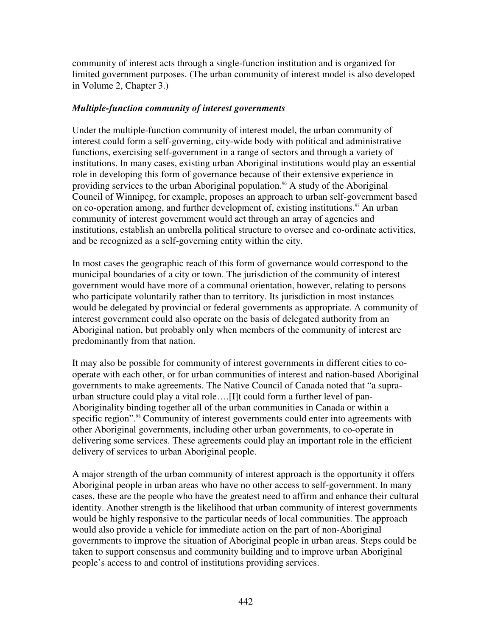community of interest acts through a single-function institution and is organized for limited government purposes. (The urban community of interest model is also developed in Volume 2, Chapter 3.)

#### *Multiple-function community of interest governments*

Under the multiple-function community of interest model, the urban community of interest could form a self-governing, city-wide body with political and administrative functions, exercising self-government in a range of sectors and through a variety of institutions. In many cases, existing urban Aboriginal institutions would play an essential role in developing this form of governance because of their extensive experience in providing services to the urban Aboriginal population. <sup>96</sup> A study of the Aboriginal Council of Winnipeg, for example, proposes an approach to urban self-government based on co-operation among, and further development of, existing institutions. <sup>97</sup> An urban community of interest government would act through an array of agencies and institutions, establish an umbrella political structure to oversee and co-ordinate activities, and be recognized as a self-governing entity within the city.

In most cases the geographic reach of this form of governance would correspond to the municipal boundaries of a city or town. The jurisdiction of the community of interest government would have more of a communal orientation, however, relating to persons who participate voluntarily rather than to territory. Its jurisdiction in most instances would be delegated by provincial or federal governments as appropriate. A community of interest government could also operate on the basis of delegated authority from an Aboriginal nation, but probably only when members of the community of interest are predominantly from that nation.

It may also be possible for community of interest governments in different cities to cooperate with each other, or for urban communities of interest and nation-based Aboriginal governments to make agreements. The Native Council of Canada noted that "a supraurban structure could play a vital role….[I]t could form a further level of pan-Aboriginality binding together all of the urban communities in Canada or within a specific region".<sup>98</sup> Community of interest governments could enter into agreements with other Aboriginal governments, including other urban governments, to co-operate in delivering some services. These agreements could play an important role in the efficient delivery of services to urban Aboriginal people.

A major strength of the urban community of interest approach is the opportunity it offers Aboriginal people in urban areas who have no other access to self-government. In many cases, these are the people who have the greatest need to affirm and enhance their cultural identity. Another strength is the likelihood that urban community of interest governments would be highly responsive to the particular needs of local communities. The approach would also provide a vehicle for immediate action on the part of non-Aboriginal governments to improve the situation of Aboriginal people in urban areas. Steps could be taken to support consensus and community building and to improve urban Aboriginal people's access to and control of institutions providing services.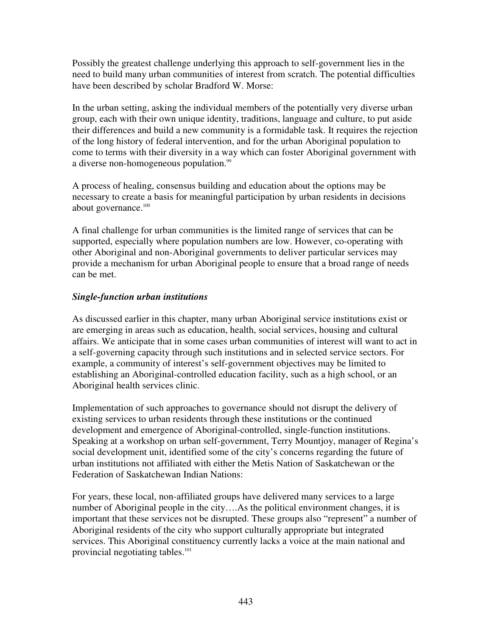Possibly the greatest challenge underlying this approach to self-government lies in the need to build many urban communities of interest from scratch. The potential difficulties have been described by scholar Bradford W. Morse:

In the urban setting, asking the individual members of the potentially very diverse urban group, each with their own unique identity, traditions, language and culture, to put aside their differences and build a new community is a formidable task. It requires the rejection of the long history of federal intervention, and for the urban Aboriginal population to come to terms with their diversity in a way which can foster Aboriginal government with a diverse non-homogeneous population.<sup>99</sup>

A process of healing, consensus building and education about the options may be necessary to create a basis for meaningful participation by urban residents in decisions about governance.<sup>100</sup>

A final challenge for urban communities is the limited range of services that can be supported, especially where population numbers are low. However, co-operating with other Aboriginal and non-Aboriginal governments to deliver particular services may provide a mechanism for urban Aboriginal people to ensure that a broad range of needs can be met.

### *Single-function urban institutions*

As discussed earlier in this chapter, many urban Aboriginal service institutions exist or are emerging in areas such as education, health, social services, housing and cultural affairs. We anticipate that in some cases urban communities of interest will want to act in a self-governing capacity through such institutions and in selected service sectors. For example, a community of interest's self-government objectives may be limited to establishing an Aboriginal-controlled education facility, such as a high school, or an Aboriginal health services clinic.

Implementation of such approaches to governance should not disrupt the delivery of existing services to urban residents through these institutions or the continued development and emergence of Aboriginal-controlled, single-function institutions. Speaking at a workshop on urban self-government, Terry Mountjoy, manager of Regina's social development unit, identified some of the city's concerns regarding the future of urban institutions not affiliated with either the Metis Nation of Saskatchewan or the Federation of Saskatchewan Indian Nations:

For years, these local, non-affiliated groups have delivered many services to a large number of Aboriginal people in the city....As the political environment changes, it is important that these services not be disrupted. These groups also "represent" a number of Aboriginal residents of the city who support culturally appropriate but integrated services. This Aboriginal constituency currently lacks a voice at the main national and provincial negotiating tables. 101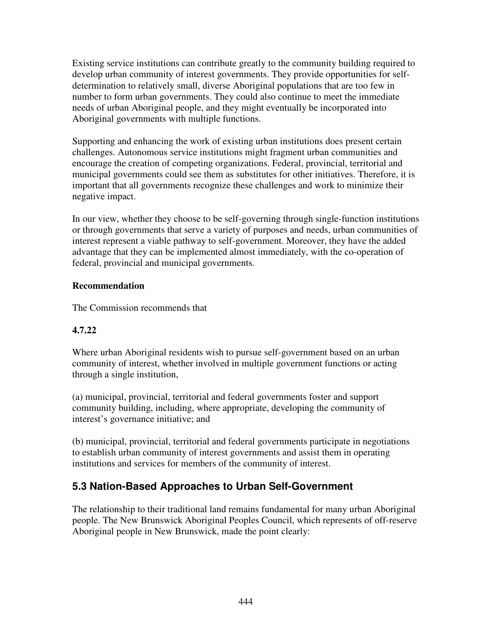Existing service institutions can contribute greatly to the community building required to develop urban community of interest governments. They provide opportunities for selfdetermination to relatively small, diverse Aboriginal populations that are too few in number to form urban governments. They could also continue to meet the immediate needs of urban Aboriginal people, and they might eventually be incorporated into Aboriginal governments with multiple functions.

Supporting and enhancing the work of existing urban institutions does present certain challenges. Autonomous service institutions might fragment urban communities and encourage the creation of competing organizations. Federal, provincial, territorial and municipal governments could see them as substitutes for other initiatives. Therefore, it is important that all governments recognize these challenges and work to minimize their negative impact.

In our view, whether they choose to be self-governing through single-function institutions or through governments that serve a variety of purposes and needs, urban communities of interest represent a viable pathway to self-government. Moreover, they have the added advantage that they can be implemented almost immediately, with the co-operation of federal, provincial and municipal governments.

#### **Recommendation**

The Commission recommends that

## **4.7.22**

Where urban Aboriginal residents wish to pursue self-government based on an urban community of interest, whether involved in multiple government functions or acting through a single institution,

(a) municipal, provincial, territorial and federal governments foster and support community building, including, where appropriate, developing the community of interest's governance initiative; and

(b) municipal, provincial, territorial and federal governments participate in negotiations to establish urban community of interest governments and assist them in operating institutions and services for members of the community of interest.

## **5.3 Nation-Based Approaches to Urban Self-Government**

The relationship to their traditional land remains fundamental for many urban Aboriginal people. The New Brunswick Aboriginal Peoples Council, which represents of off-reserve Aboriginal people in New Brunswick, made the point clearly: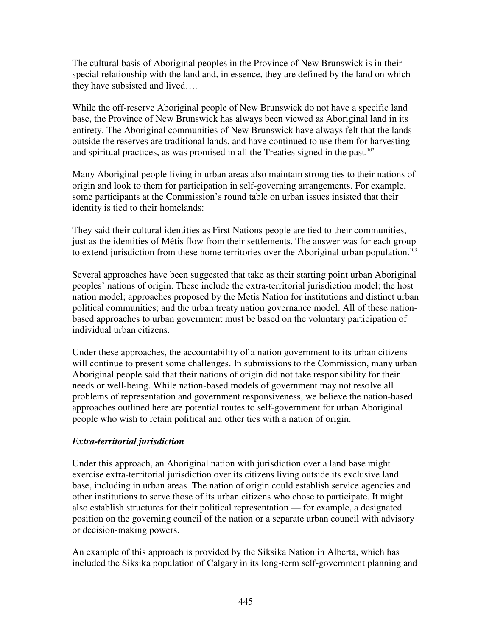The cultural basis of Aboriginal peoples in the Province of New Brunswick is in their special relationship with the land and, in essence, they are defined by the land on which they have subsisted and lived….

While the off-reserve Aboriginal people of New Brunswick do not have a specific land base, the Province of New Brunswick has always been viewed as Aboriginal land in its entirety. The Aboriginal communities of New Brunswick have always felt that the lands outside the reserves are traditional lands, and have continued to use them for harvesting and spiritual practices, as was promised in all the Treaties signed in the past.<sup>102</sup>

Many Aboriginal people living in urban areas also maintain strong ties to their nations of origin and look to them for participation in self-governing arrangements. For example, some participants at the Commission's round table on urban issues insisted that their identity is tied to their homelands:

They said their cultural identities as First Nations people are tied to their communities, just as the identities of Métis flow from their settlements. The answer was for each group to extend jurisdiction from these home territories over the Aboriginal urban population.<sup>103</sup>

Several approaches have been suggested that take as their starting point urban Aboriginal peoples' nations of origin. These include the extra-territorial jurisdiction model; the host nation model; approaches proposed by the Metis Nation for institutions and distinct urban political communities; and the urban treaty nation governance model. All of these nationbased approaches to urban government must be based on the voluntary participation of individual urban citizens.

Under these approaches, the accountability of a nation government to its urban citizens will continue to present some challenges. In submissions to the Commission, many urban Aboriginal people said that their nations of origin did not take responsibility for their needs or well-being. While nation-based models of government may not resolve all problems of representation and government responsiveness, we believe the nation-based approaches outlined here are potential routes to self-government for urban Aboriginal people who wish to retain political and other ties with a nation of origin.

#### *Extra-territorial jurisdiction*

Under this approach, an Aboriginal nation with jurisdiction over a land base might exercise extra-territorial jurisdiction over its citizens living outside its exclusive land base, including in urban areas. The nation of origin could establish service agencies and other institutions to serve those of its urban citizens who chose to participate. It might also establish structures for their political representation — for example, a designated position on the governing council of the nation or a separate urban council with advisory or decision-making powers.

An example of this approach is provided by the Siksika Nation in Alberta, which has included the Siksika population of Calgary in its long-term self-government planning and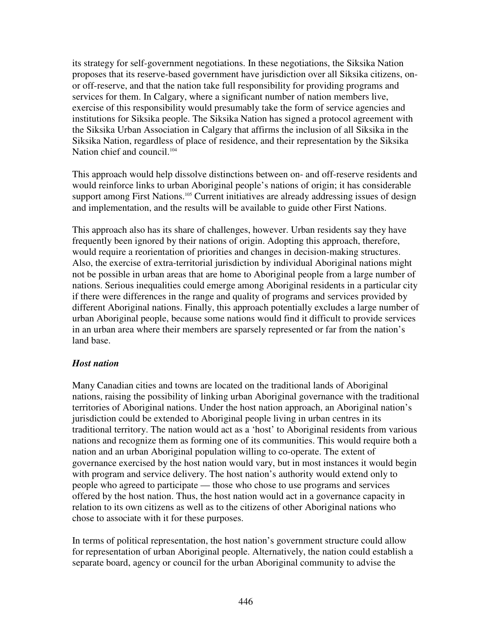its strategy for self-government negotiations. In these negotiations, the Siksika Nation proposes that its reserve-based government have jurisdiction over all Siksika citizens, onor off-reserve, and that the nation take full responsibility for providing programs and services for them. In Calgary, where a significant number of nation members live, exercise of this responsibility would presumably take the form of service agencies and institutions for Siksika people. The Siksika Nation has signed a protocol agreement with the Siksika Urban Association in Calgary that affirms the inclusion of all Siksika in the Siksika Nation, regardless of place of residence, and their representation by the Siksika Nation chief and council.<sup>104</sup>

This approach would help dissolve distinctions between on- and off-reserve residents and would reinforce links to urban Aboriginal people's nations of origin; it has considerable support among First Nations.<sup>105</sup> Current initiatives are already addressing issues of design and implementation, and the results will be available to guide other First Nations.

This approach also has its share of challenges, however. Urban residents say they have frequently been ignored by their nations of origin. Adopting this approach, therefore, would require a reorientation of priorities and changes in decision-making structures. Also, the exercise of extra-territorial jurisdiction by individual Aboriginal nations might not be possible in urban areas that are home to Aboriginal people from a large number of nations. Serious inequalities could emerge among Aboriginal residents in a particular city if there were differences in the range and quality of programs and services provided by different Aboriginal nations. Finally, this approach potentially excludes a large number of urban Aboriginal people, because some nations would find it difficult to provide services in an urban area where their members are sparsely represented or far from the nation's land base.

#### *Host nation*

Many Canadian cities and towns are located on the traditional lands of Aboriginal nations, raising the possibility of linking urban Aboriginal governance with the traditional territories of Aboriginal nations. Under the host nation approach, an Aboriginal nation's jurisdiction could be extended to Aboriginal people living in urban centres in its traditional territory. The nation would act as a 'host' to Aboriginal residents from various nations and recognize them as forming one of its communities. This would require both a nation and an urban Aboriginal population willing to co-operate. The extent of governance exercised by the host nation would vary, but in most instances it would begin with program and service delivery. The host nation's authority would extend only to people who agreed to participate — those who chose to use programs and services offered by the host nation. Thus, the host nation would act in a governance capacity in relation to its own citizens as well as to the citizens of other Aboriginal nations who chose to associate with it for these purposes.

In terms of political representation, the host nation's government structure could allow for representation of urban Aboriginal people. Alternatively, the nation could establish a separate board, agency or council for the urban Aboriginal community to advise the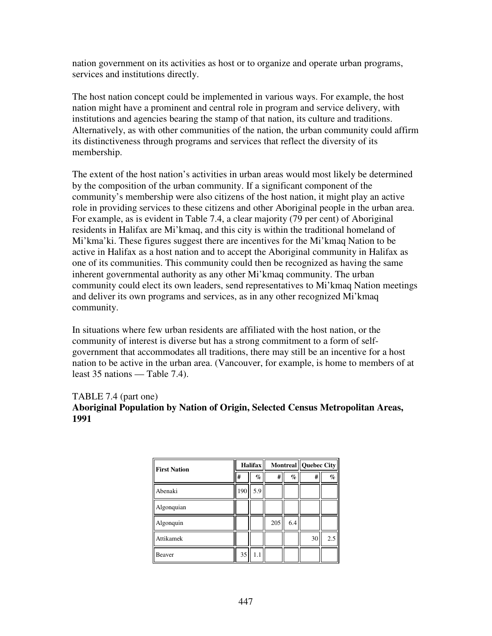nation government on its activities as host or to organize and operate urban programs, services and institutions directly.

The host nation concept could be implemented in various ways. For example, the host nation might have a prominent and central role in program and service delivery, with institutions and agencies bearing the stamp of that nation, its culture and traditions. Alternatively, as with other communities of the nation, the urban community could affirm its distinctiveness through programs and services that reflect the diversity of its membership.

The extent of the host nation's activities in urban areas would most likely be determined by the composition of the urban community. If a significant component of the community's membership were also citizens of the host nation, it might play an active role in providing services to these citizens and other Aboriginal people in the urban area. For example, as is evident in Table 7.4, a clear majority (79 per cent) of Aboriginal residents in Halifax are Mi'kmaq, and this city is within the traditional homeland of Mi'kma'ki. These figures suggest there are incentives for the Mi'kmaq Nation to be active in Halifax as a host nation and to accept the Aboriginal community in Halifax as one of its communities. This community could then be recognized as having the same inherent governmental authority as any other Mi'kmaq community. The urban community could elect its own leaders, send representatives to Mi'kmaq Nation meetings and deliver its own programs and services, as in any other recognized Mi'kmaq community.

In situations where few urban residents are affiliated with the host nation, or the community of interest is diverse but has a strong commitment to a form of selfgovernment that accommodates all traditions, there may still be an incentive for a host nation to be active in the urban area. (Vancouver, for example, is home to members of at least 35 nations — Table 7.4).

#### TABLE 7.4 (part one) **Aboriginal Population by Nation of Origin, Selected Census Metropolitan Areas, 1991**

| <b>First Nation</b> |     | <b>Halifax</b> |     |      | Montreal   Quebec City |      |  |
|---------------------|-----|----------------|-----|------|------------------------|------|--|
|                     | #   | $\%$           | #   | $\%$ | #                      | $\%$ |  |
| Abenaki             | 190 | 5.9            |     |      |                        |      |  |
| Algonquian          |     |                |     |      |                        |      |  |
| Algonquin           |     |                | 205 | 6.4  |                        |      |  |
| Attikamek           |     |                |     |      | 30                     | 2.5  |  |
| Beaver              | 35  | 1.1            |     |      |                        |      |  |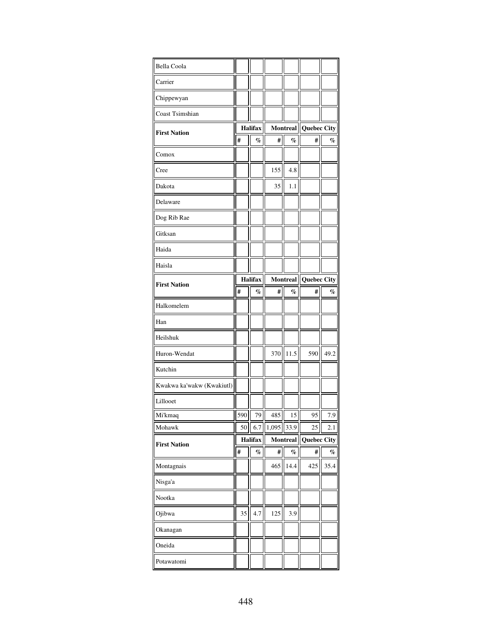| <b>Bella Coola</b>        |    |                |               |                 |                      |      |  |
|---------------------------|----|----------------|---------------|-----------------|----------------------|------|--|
| Carrier                   |    |                |               |                 |                      |      |  |
| Chippewyan                |    |                |               |                 |                      |      |  |
| Coast Tsimshian           |    |                |               |                 |                      |      |  |
| <b>First Nation</b>       |    | <b>Halifax</b> |               |                 | Montreal Quebec City |      |  |
|                           | #  | %              | #             | %               | #                    | %    |  |
| Comox                     |    |                |               |                 |                      |      |  |
| Cree                      |    |                | 155           | 4.8             |                      |      |  |
| Dakota                    |    |                | 35            | 1.1             |                      |      |  |
| Delaware                  |    |                |               |                 |                      |      |  |
| Dog Rib Rae               |    |                |               |                 |                      |      |  |
| Gitksan                   |    |                |               |                 |                      |      |  |
| Haida                     |    |                |               |                 |                      |      |  |
| Haisla                    |    |                |               |                 |                      |      |  |
| <b>First Nation</b>       |    | <b>Halifax</b> |               | Montreal        | <b>Quebec City</b>   |      |  |
|                           | #  | %              | #             | %               | #                    | %    |  |
| Halkomelem                |    |                |               |                 |                      |      |  |
| Han                       |    |                |               |                 |                      |      |  |
| Heilshuk                  |    |                |               |                 |                      |      |  |
| Huron-Wendat              |    |                | 370           | 11.5            | 590                  | 49.2 |  |
| Kutchin                   |    |                |               |                 |                      |      |  |
| Kwakwa ka'wakw (Kwakiutl) |    |                |               |                 |                      |      |  |
| Lillooet                  |    |                |               |                 |                      |      |  |
| Mi'kmaq                   |    |                | 590 79 485 15 |                 | 95                   | 7.9  |  |
| Mohawk                    | 50 | 6.7            | 1,095 33.9    |                 | 25                   | 2.1  |  |
| <b>First Nation</b>       |    | <b>Halifax</b> |               | <b>Montreal</b> | <b>Quebec City</b>   |      |  |
|                           | #  | $\%$           | #             | $\%$            | #                    | $\%$ |  |
| Montagnais                |    |                | 465           | 14.4            | 425                  | 35.4 |  |
| Nisga'a                   |    |                |               |                 |                      |      |  |
| Nootka                    |    |                |               |                 |                      |      |  |
| Ojibwa                    | 35 | 4.7            | 125           | 3.9             |                      |      |  |
| Okanagan                  |    |                |               |                 |                      |      |  |
| Oneida                    |    |                |               |                 |                      |      |  |
| Potawatomi                |    |                |               |                 |                      |      |  |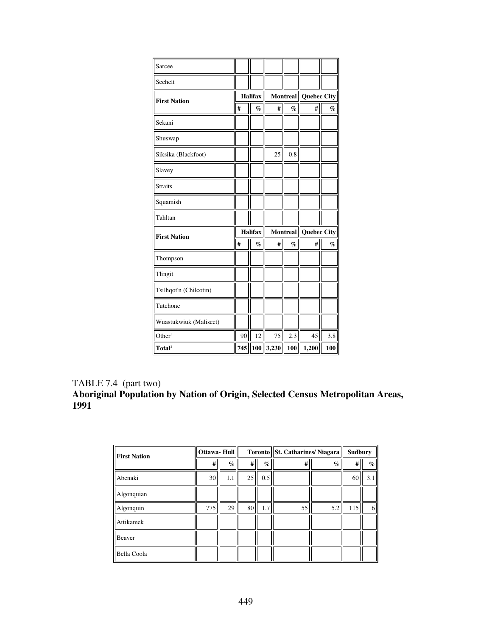| Sarcee                 |     |                 |       |                 |                    |                 |
|------------------------|-----|-----------------|-------|-----------------|--------------------|-----------------|
| Sechelt                |     |                 |       |                 |                    |                 |
| <b>First Nation</b>    |     | <b>Halifax</b>  |       | <b>Montreal</b> | <b>Quebec City</b> |                 |
|                        | #   | $\mathcal{G}_0$ | #     | $\mathcal{G}_0$ | #                  | $\mathcal{G}_0$ |
| Sekani                 |     |                 |       |                 |                    |                 |
| Shuswap                |     |                 |       |                 |                    |                 |
| Siksika (Blackfoot)    |     |                 | 25    | 0.8             |                    |                 |
| Slavey                 |     |                 |       |                 |                    |                 |
| <b>Straits</b>         |     |                 |       |                 |                    |                 |
| Squamish               |     |                 |       |                 |                    |                 |
| Tahltan                |     |                 |       |                 |                    |                 |
| <b>First Nation</b>    |     | <b>Halifax</b>  |       | <b>Montreal</b> | <b>Quebec City</b> |                 |
|                        | #   | $\mathcal{G}_0$ | #     | $\mathcal{G}_0$ | #                  | $\mathcal{G}_0$ |
| Thompson               |     |                 |       |                 |                    |                 |
| Tlingit                |     |                 |       |                 |                    |                 |
| Tsilhqot'n (Chilcotin) |     |                 |       |                 |                    |                 |
| Tutchone               |     |                 |       |                 |                    |                 |
| Wuastukwiuk (Maliseet) |     |                 |       |                 |                    |                 |
| Other <sup>1</sup>     | 90  | 12              | 75    | 2.3             | 45                 | 3.8             |
| Total <sup>2</sup>     | 745 | 100             | 3,230 | 100             | 1,200              | 100             |

#### TABLE 7.4 (part two)

**Aboriginal Population by Nation of Origin, Selected Census Metropolitan Areas, 1991**

| <b>First Nation</b> | Ottawa-Hull |      |    |      | Toronto St. Catharines/ Niagara |                 | <b>Sudbury</b> |      |
|---------------------|-------------|------|----|------|---------------------------------|-----------------|----------------|------|
|                     | #           | $\%$ | #  | $\%$ | #                               | $\mathcal{O}_0$ | #              | $\%$ |
| Abenaki             | 30          | 1.1  | 25 | 0.5  |                                 |                 | 60             | 3.1  |
| Algonquian          |             |      |    |      |                                 |                 |                |      |
| Algonquin           | 775         | 29   | 80 |      | 55                              | 5.2             | 115            | 6    |
| Attikamek           |             |      |    |      |                                 |                 |                |      |
| Beaver              |             |      |    |      |                                 |                 |                |      |
| <b>Bella Coola</b>  |             |      |    |      |                                 |                 |                |      |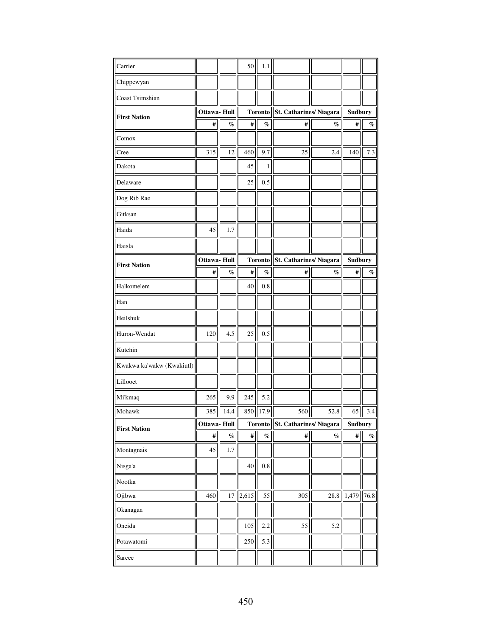| Carrier                   |                    |         | 50     | 1.1                   |                                 |                       |                |      |
|---------------------------|--------------------|---------|--------|-----------------------|---------------------------------|-----------------------|----------------|------|
| Chippewyan                |                    |         |        |                       |                                 |                       |                |      |
| Coast Tsimshian           |                    |         |        |                       |                                 |                       |                |      |
|                           | <b>Ottawa-Hull</b> |         |        | <b>Toronto</b>        | <b>St. Catharines/ Niagara</b>  |                       | <b>Sudbury</b> |      |
| <b>First Nation</b>       | #                  | $\%$    | #      | $\emph{v}_{\emph{c}}$ | #                               | $\%$                  | #              | $\%$ |
| Comox                     |                    |         |        |                       |                                 |                       |                |      |
| Cree                      | 315                | 12      | 460    | 9.7                   | 25                              | 2.4                   | 140            | 7.3  |
| Dakota                    |                    |         | 45     | 1                     |                                 |                       |                |      |
| Delaware                  |                    |         | 25     | 0.5                   |                                 |                       |                |      |
| Dog Rib Rae               |                    |         |        |                       |                                 |                       |                |      |
| Gitksan                   |                    |         |        |                       |                                 |                       |                |      |
| Haida                     | 45                 | 1.7     |        |                       |                                 |                       |                |      |
| Haisla                    |                    |         |        |                       |                                 |                       |                |      |
| <b>First Nation</b>       | <b>Ottawa-Hull</b> |         |        | <b>Toronto</b>        | <b>St. Catharines/ Niagara</b>  | <b>Sudbury</b>        |                |      |
|                           | #                  | $\%$    | #      | $\%$                  | #                               | $\%$                  | #              | $\%$ |
| Halkomelem                |                    |         | 40     | $0.8\,$               |                                 |                       |                |      |
| Han                       |                    |         |        |                       |                                 |                       |                |      |
| Heilshuk                  |                    |         |        |                       |                                 |                       |                |      |
| Huron-Wendat              | 120                | 4.5     | 25     | 0.5                   |                                 |                       |                |      |
| Kutchin                   |                    |         |        |                       |                                 |                       |                |      |
| Kwakwa ka'wakw (Kwakiutl) |                    |         |        |                       |                                 |                       |                |      |
| Lillooet                  |                    |         |        |                       |                                 |                       |                |      |
| Mi'kmaq                   | 265                | 9.9     | 245    | 5.2                   |                                 |                       |                |      |
| Mohawk                    | 385                | 14.4    | 850    | 17.9                  | 560                             | 52.8                  | 65             | 3.4  |
| <b>First Nation</b>       | <b>Ottawa-Hull</b> |         |        |                       | Toronto St. Catharines/ Niagara |                       | <b>Sudbury</b> |      |
|                           | #                  | $\%$    | #      | $\%$                  | $\#$                            | $\emph{v}_{\emph{c}}$ | $\#$           | $\%$ |
| Montagnais                | 45                 | $1.7\,$ |        |                       |                                 |                       |                |      |
| Nisga'a                   |                    |         | $40\,$ | $\rm 0.8$             |                                 |                       |                |      |
| Nootka                    |                    |         |        |                       |                                 |                       |                |      |
| Ojibwa                    | 460                | 17      | 2,615  | 55                    | 305                             | 28.8                  | 1,479          | 76.8 |
| Okanagan                  |                    |         |        |                       |                                 |                       |                |      |
| Oneida                    |                    |         | 105    | 2.2                   | 55                              | $5.2\,$               |                |      |
| Potawatomi                |                    |         | 250    | 5.3                   |                                 |                       |                |      |
| Sarcee                    |                    |         |        |                       |                                 |                       |                |      |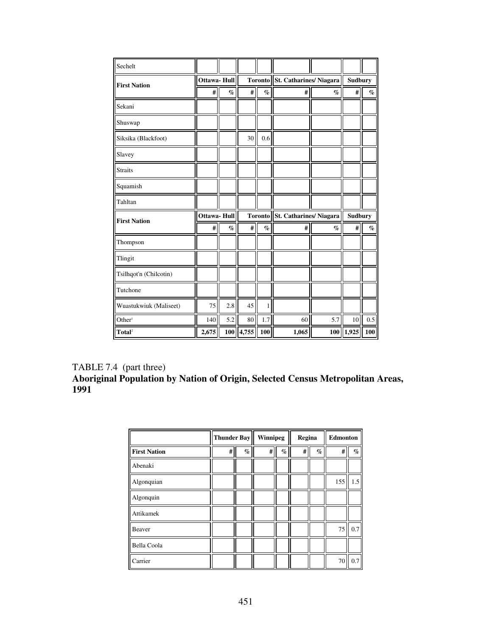| Sechelt                |                    |      |                |                |                                |      |                |      |
|------------------------|--------------------|------|----------------|----------------|--------------------------------|------|----------------|------|
| <b>First Nation</b>    | <b>Ottawa-Hull</b> |      |                | <b>Toronto</b> | <b>St. Catharines/ Niagara</b> |      | <b>Sudbury</b> |      |
|                        | #                  | $\%$ | #              | $\%$           | #                              | $\%$ | #              | $\%$ |
| Sekani                 |                    |      |                |                |                                |      |                |      |
| Shuswap                |                    |      |                |                |                                |      |                |      |
| Siksika (Blackfoot)    |                    |      | 30             | 0.6            |                                |      |                |      |
| Slavey                 |                    |      |                |                |                                |      |                |      |
| <b>Straits</b>         |                    |      |                |                |                                |      |                |      |
| Squamish               |                    |      |                |                |                                |      |                |      |
| Tahltan                |                    |      |                |                |                                |      |                |      |
| <b>First Nation</b>    | <b>Ottawa-Hull</b> |      | <b>Toronto</b> |                | St. Catharines/Niagara         |      | <b>Sudbury</b> |      |
|                        | #                  | $\%$ | #              | $\%$           |                                | $\%$ | #              | $\%$ |
| Thompson               |                    |      |                |                |                                |      |                |      |
| Tlingit                |                    |      |                |                |                                |      |                |      |
| Tsilhqot'n (Chilcotin) |                    |      |                |                |                                |      |                |      |
| Tutchone               |                    |      |                |                |                                |      |                |      |
| Wuastukwiuk (Maliseet) | 75                 | 2.8  | 45             | 1              |                                |      |                |      |
| Other <sup>1</sup>     | 140                | 5.2  | 80             | 1.7            | 60                             | 5.7  | 10             | 0.5  |
| Total <sup>2</sup>     | 2,675              | 100  | 4,755          | 100            | 1,065                          | 100  | 1,925          | 100  |

#### TABLE 7.4 (part three)

**Aboriginal Population by Nation of Origin, Selected Census Metropolitan Areas, 1991**

|                     | <b>Thunder Bay</b> |      | Winnipeg |      | Regina |      | Edmonton |      |
|---------------------|--------------------|------|----------|------|--------|------|----------|------|
| <b>First Nation</b> | #                  | $\%$ | #        | $\%$ | #      | $\%$ | #        | $\%$ |
| Abenaki             |                    |      |          |      |        |      |          |      |
| Algonquian          |                    |      |          |      |        |      | 155      | 1.5  |
| Algonquin           |                    |      |          |      |        |      |          |      |
| Attikamek           |                    |      |          |      |        |      |          |      |
| Beaver              |                    |      |          |      |        |      | 75       | 0.7  |
| <b>Bella Coola</b>  |                    |      |          |      |        |      |          |      |
| Carrier             |                    |      |          |      |        |      | 70       | 0.7  |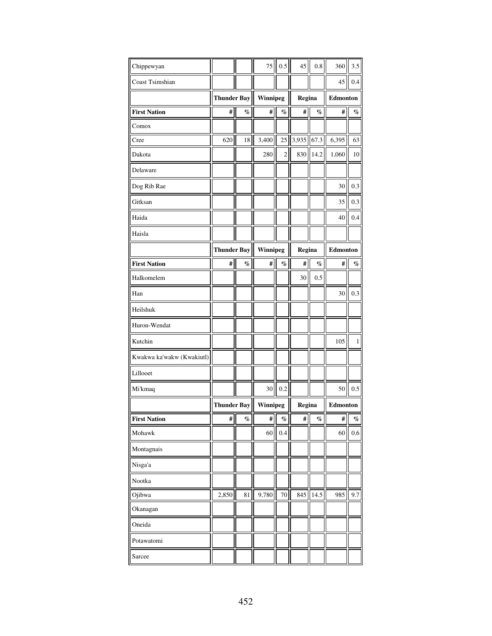| Chippewyan                |                    |    | 75       | 0.5            | 45     | 0.8    | 360             | 3.5          |
|---------------------------|--------------------|----|----------|----------------|--------|--------|-----------------|--------------|
| Coast Tsimshian           |                    |    |          |                |        |        | 45              | 0.4          |
|                           | <b>Thunder Bay</b> |    | Winnipeg |                | Regina |        | <b>Edmonton</b> |              |
| <b>First Nation</b>       | #                  | %  | #        | %              | #      | $\%$   | #               | %            |
| Comox                     |                    |    |          |                |        |        |                 |              |
| Cree                      | 620                | 18 | 3,400    | 25             | 3,935  | 67.3   | 6,395           | 63           |
| Dakota                    |                    |    | 280      | $\overline{c}$ | 830    | 14.2   | 1,060           | 10           |
| Delaware                  |                    |    |          |                |        |        |                 |              |
| Dog Rib Rae               |                    |    |          |                |        |        | 30              | 0.3          |
| Gitksan                   |                    |    |          |                |        |        | 35              | 0.3          |
| Haida                     |                    |    |          |                |        |        | 40              | 0.4          |
| Haisla                    |                    |    |          |                |        |        |                 |              |
|                           | <b>Thunder Bay</b> |    | Winnipeg |                | Regina |        | Edmonton        |              |
| <b>First Nation</b>       | #                  | %  | #        | %              | #      | $\%$   | #               | %            |
| Halkomelem                |                    |    |          |                | 30     | 0.5    |                 |              |
| Han                       |                    |    |          |                |        |        | 30              | 0.3          |
| Heilshuk                  |                    |    |          |                |        |        |                 |              |
| Huron-Wendat              |                    |    |          |                |        |        |                 |              |
| Kutchin                   |                    |    |          |                |        |        | 105             | $\mathbf{1}$ |
| Kwakwa ka'wakw (Kwakiutl) |                    |    |          |                |        |        |                 |              |
| Lillooet                  |                    |    |          |                |        |        |                 |              |
| Mi'kmaq                   |                    |    | 30       | 0.2            |        |        | 50              | 0.5          |
|                           | <b>Thunder Bay</b> |    |          | Winnipeg       |        | Regina | <b>Edmonton</b> |              |
| <b>First Nation</b>       | #                  | %  | #        | %              | #      | %      | #               | $\%$         |
| Mohawk                    |                    |    | 60       | 0.4            |        |        | 60              | 0.6          |
| Montagnais                |                    |    |          |                |        |        |                 |              |
| Nisga'a                   |                    |    |          |                |        |        |                 |              |
| Nootka                    |                    |    |          |                |        |        |                 |              |
| Ojibwa                    | 2,850              | 81 | 9,780    | $70\,$         | 845    | 14.5   | 985             | 9.7          |
| Okanagan                  |                    |    |          |                |        |        |                 |              |
| Oneida                    |                    |    |          |                |        |        |                 |              |
| Potawatomi                |                    |    |          |                |        |        |                 |              |
| Sarcee                    |                    |    |          |                |        |        |                 |              |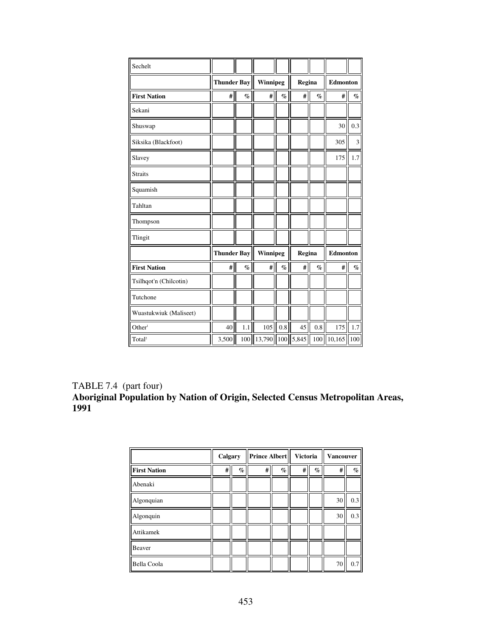| Sechelt                |                    |      |          |      |           |      |                 |      |
|------------------------|--------------------|------|----------|------|-----------|------|-----------------|------|
|                        | <b>Thunder Bay</b> |      | Winnipeg |      | Regina    |      | Edmonton        |      |
| <b>First Nation</b>    | #                  | $\%$ | #        | $\%$ | #         | $\%$ | #               | $\%$ |
| Sekani                 |                    |      |          |      |           |      |                 |      |
| Shuswap                |                    |      |          |      |           |      | 30              | 0.3  |
| Siksika (Blackfoot)    |                    |      |          |      |           |      | 305             | 3    |
| Slavey                 |                    |      |          |      |           |      | 175             | 1.7  |
| <b>Straits</b>         |                    |      |          |      |           |      |                 |      |
| Squamish               |                    |      |          |      |           |      |                 |      |
| Tahltan                |                    |      |          |      |           |      |                 |      |
| Thompson               |                    |      |          |      |           |      |                 |      |
| Tlingit                |                    |      |          |      |           |      |                 |      |
|                        | <b>Thunder Bay</b> |      | Winnipeg |      | Regina    |      | <b>Edmonton</b> |      |
| <b>First Nation</b>    | #                  | $\%$ | #        | $\%$ | #         | $\%$ | #               | $\%$ |
| Tsilhqot'n (Chilcotin) |                    |      |          |      |           |      |                 |      |
| Tutchone               |                    |      |          |      |           |      |                 |      |
| Wuastukwiuk (Maliseet) |                    |      |          |      |           |      |                 |      |
| Other <sup>1</sup>     | 40                 | 1.1  | 105      | 0.8  | 45        | 0.8  | 175             | 1.7  |
| Total <sup>2</sup>     | 3,500              | 100  | 13,790   |      | 100 5,845 | 100  | 10,165          | 100  |

# TABLE 7.4 (part four)

**Aboriginal Population by Nation of Origin, Selected Census Metropolitan Areas, 1991**

|                     | Calgary |      | <b>Prince Albert</b> |      | <b>Victoria</b> |      | <b>Vancouver</b> |      |
|---------------------|---------|------|----------------------|------|-----------------|------|------------------|------|
| <b>First Nation</b> | #       | $\%$ | #                    | $\%$ | #               | $\%$ | #                | $\%$ |
| Abenaki             |         |      |                      |      |                 |      |                  |      |
| Algonquian          |         |      |                      |      |                 |      | 30               | 0.3  |
| Algonquin           |         |      |                      |      |                 |      | 30               | 0.3  |
| Attikamek           |         |      |                      |      |                 |      |                  |      |
| Beaver              |         |      |                      |      |                 |      |                  |      |
| <b>Bella Coola</b>  |         |      |                      |      |                 |      | 70               | 0.7  |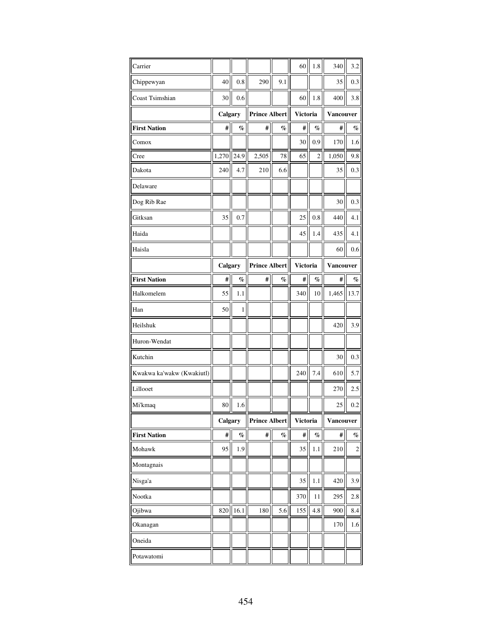| Carrier                   |           |      |                      |      | 60              | 1.8            | 340              | 3.2              |
|---------------------------|-----------|------|----------------------|------|-----------------|----------------|------------------|------------------|
| Chippewyan                | 40        | 0.8  | 290                  | 9.1  |                 |                | 35               | 0.3              |
| Coast Tsimshian           | 30        | 0.6  |                      |      | 60              | 1.8            | 400              | 3.8              |
|                           | Calgary   |      | <b>Prince Albert</b> |      | Victoria        |                | <b>Vancouver</b> |                  |
| <b>First Nation</b>       | #<br>$\%$ |      | #                    | $\%$ | #               | $\%$           | #                | $\%$             |
| Comox                     |           |      |                      |      | 30              | 0.9            | 170              | 1.6              |
| Cree                      | 1,270     | 24.9 | 2,505                | 78   | 65              | $\overline{c}$ | 1,050            | 9.8              |
| Dakota                    | 240       | 4.7  | 210                  | 6.6  |                 |                | 35               | 0.3              |
| Delaware                  |           |      |                      |      |                 |                |                  |                  |
| Dog Rib Rae               |           |      |                      |      |                 |                | 30               | 0.3              |
| Gitksan                   | 35        | 0.7  |                      |      | 25              | 0.8            | 440              | 4.1              |
| Haida                     |           |      |                      |      | 45              | 1.4            | 435              | 4.1              |
| Haisla                    |           |      |                      |      |                 |                | 60               | 0.6              |
|                           | Calgary   |      | <b>Prince Albert</b> |      | Victoria        |                | <b>Vancouver</b> |                  |
| <b>First Nation</b>       | #         | $\%$ | #                    | $\%$ | #               | $\%$           | #                | $\%$             |
| Halkomelem                | 55        | 1.1  |                      |      | 340             | 10             | 1,465            | 13.7             |
| Han                       | 50        | 1    |                      |      |                 |                |                  |                  |
| Heilshuk                  |           |      |                      |      |                 |                | 420              | 3.9              |
| Huron-Wendat              |           |      |                      |      |                 |                |                  |                  |
| Kutchin                   |           |      |                      |      |                 |                | 30               | 0.3              |
| Kwakwa ka'wakw (Kwakiutl) |           |      |                      |      | 240             | 7.4            | 610              | 5.7              |
| Lillooet                  |           |      |                      |      |                 |                | 270              | 2.5              |
| Mi'kmaq                   | 80        | 1.6  |                      |      |                 |                | 25               | 0.2              |
|                           | Calgary   |      | <b>Prince Albert</b> |      | <b>Victoria</b> |                | <b>Vancouver</b> |                  |
| <b>First Nation</b>       | #         | $\%$ | #                    | $\%$ | #               | $\%$           | #                | %                |
| Mohawk                    | 95        | 1.9  |                      |      | 35              | 1.1            | 210              | $\boldsymbol{2}$ |
| Montagnais                |           |      |                      |      |                 |                |                  |                  |
| Nisga'a                   |           |      |                      |      | 35              | 1.1            | 420              | 3.9              |
| Nootka                    |           |      |                      |      | 370             | 11             | 295              | $2.8\,$          |
| Ojibwa                    | 820       | 16.1 | 180                  | 5.6  | 155             | 4.8            | 900              | 8.4              |
| Okanagan                  |           |      |                      |      |                 |                | 170              | 1.6              |
| Oneida                    |           |      |                      |      |                 |                |                  |                  |
| Potawatomi                |           |      |                      |      |                 |                |                  |                  |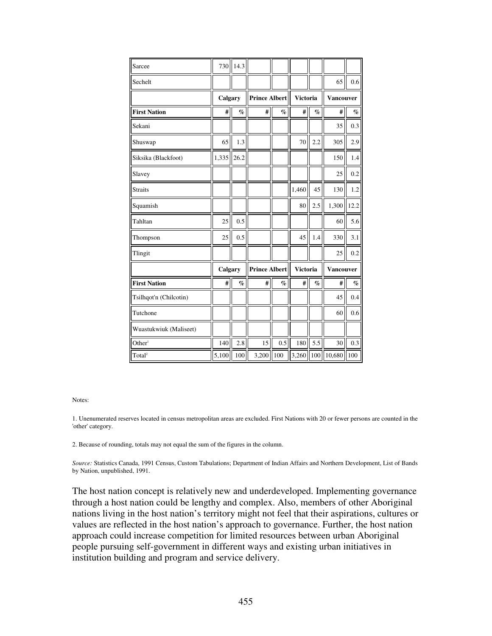| Sarcee                 | 730     | 14.3 |                                         |                      |                      |                 |                  |      |
|------------------------|---------|------|-----------------------------------------|----------------------|----------------------|-----------------|------------------|------|
| Sechelt                |         |      |                                         |                      |                      |                 | 65               | 0.6  |
|                        | Calgary |      |                                         | <b>Prince Albert</b> |                      | <b>Victoria</b> | <b>Vancouver</b> |      |
| <b>First Nation</b>    | #       | $\%$ | #                                       | $\mathcal{G}_0$      | #<br>$\mathcal{G}_0$ |                 | #                | $\%$ |
| Sekani                 |         |      |                                         |                      |                      |                 | 35               | 0.3  |
| Shuswap                | 65      | 1.3  |                                         |                      | 70                   | 2.2             | 305              | 2.9  |
| Siksika (Blackfoot)    | 1,335   | 26.2 |                                         |                      |                      |                 | 150              | 1.4  |
| Slavey                 |         |      |                                         |                      |                      |                 | 25               | 0.2  |
| <b>Straits</b>         |         |      |                                         |                      | 1,460                | 45              | 130              | 1.2  |
| Squamish               |         |      |                                         |                      | 80                   | 2.5             | 1,300            | 12.2 |
| Tahltan                | 25      | 0.5  |                                         |                      |                      |                 | 60               | 5.6  |
| Thompson               | 25      | 0.5  |                                         |                      | 45                   | 1.4             | 330              | 3.1  |
| Tlingit                |         |      |                                         |                      |                      |                 | 25               | 0.2  |
|                        | Calgary |      | <b>Prince Albert</b><br><b>Victoria</b> |                      |                      | Vancouver       |                  |      |
| <b>First Nation</b>    | #       | $\%$ | #                                       | $\%$                 | #                    | $\%$            | #                | $\%$ |
| Tsilhqot'n (Chilcotin) |         |      |                                         |                      |                      |                 | 45               | 0.4  |
| Tutchone               |         |      |                                         |                      |                      |                 | 60               | 0.6  |
| Wuastukwiuk (Maliseet) |         |      |                                         |                      |                      |                 |                  |      |
| Other <sup>1</sup>     | 140     | 2.8  | 15                                      | 0.5                  | 180                  | 5.5             | 30               | 0.3  |
| Total <sup>2</sup>     | 5,100   | 100  | 3,200                                   | 100                  | 3,260                | 100             | 10,680           | 100  |

Notes:

1. Unenumerated reserves located in census metropolitan areas are excluded. First Nations with 20 or fewer persons are counted in the 'other' category.

2. Because of rounding, totals may not equal the sum of the figures in the column.

*Source:* Statistics Canada, 1991 Census, Custom Tabulations; Department of Indian Affairs and Northern Development, List of Bands by Nation, unpublished, 1991.

The host nation concept is relatively new and underdeveloped. Implementing governance through a host nation could be lengthy and complex. Also, members of other Aboriginal nations living in the host nation's territory might not feel that their aspirations, cultures or values are reflected in the host nation's approach to governance. Further, the host nation approach could increase competition for limited resources between urban Aboriginal people pursuing self-government in different ways and existing urban initiatives in institution building and program and service delivery.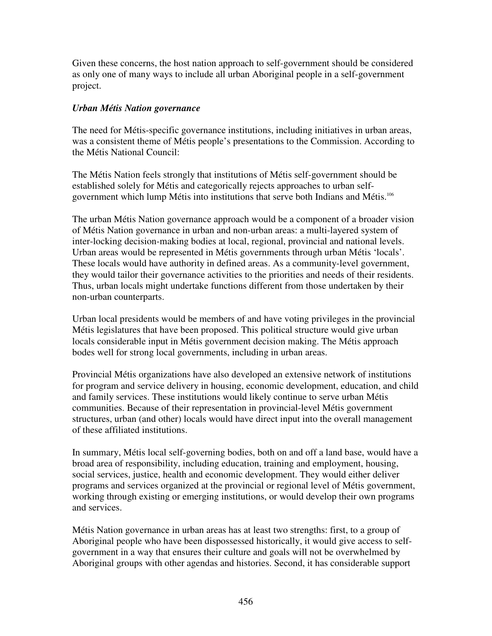Given these concerns, the host nation approach to self-government should be considered as only one of many ways to include all urban Aboriginal people in a self-government project.

### *Urban Métis Nation governance*

The need for Métis-specific governance institutions, including initiatives in urban areas, was a consistent theme of Métis people's presentations to the Commission. According to the Métis National Council:

The Métis Nation feels strongly that institutions of Métis self-government should be established solely for Métis and categorically rejects approaches to urban selfgovernment which lump Métis into institutions that serve both Indians and Métis. 106

The urban Métis Nation governance approach would be a component of a broader vision of Métis Nation governance in urban and non-urban areas: a multi-layered system of inter-locking decision-making bodies at local, regional, provincial and national levels. Urban areas would be represented in Métis governments through urban Métis 'locals'. These locals would have authority in defined areas. As a community-level government, they would tailor their governance activities to the priorities and needs of their residents. Thus, urban locals might undertake functions different from those undertaken by their non-urban counterparts.

Urban local presidents would be members of and have voting privileges in the provincial Métis legislatures that have been proposed. This political structure would give urban locals considerable input in Métis government decision making. The Métis approach bodes well for strong local governments, including in urban areas.

Provincial Métis organizations have also developed an extensive network of institutions for program and service delivery in housing, economic development, education, and child and family services. These institutions would likely continue to serve urban Métis communities. Because of their representation in provincial-level Métis government structures, urban (and other) locals would have direct input into the overall management of these affiliated institutions.

In summary, Métis local self-governing bodies, both on and off a land base, would have a broad area of responsibility, including education, training and employment, housing, social services, justice, health and economic development. They would either deliver programs and services organized at the provincial or regional level of Métis government, working through existing or emerging institutions, or would develop their own programs and services.

Métis Nation governance in urban areas has at least two strengths: first, to a group of Aboriginal people who have been dispossessed historically, it would give access to selfgovernment in a way that ensures their culture and goals will not be overwhelmed by Aboriginal groups with other agendas and histories. Second, it has considerable support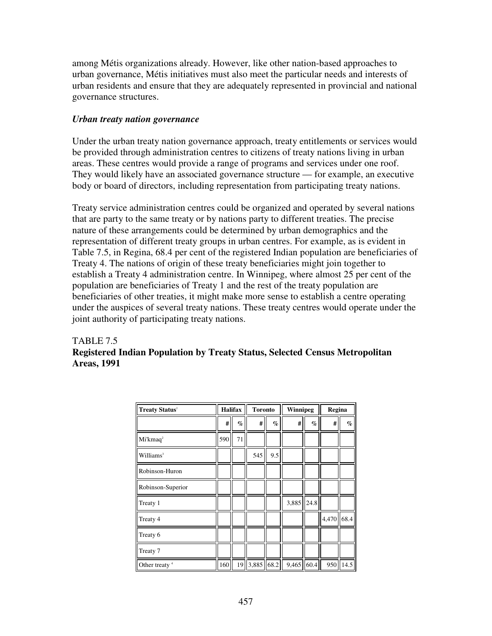among Métis organizations already. However, like other nation-based approaches to urban governance, Métis initiatives must also meet the particular needs and interests of urban residents and ensure that they are adequately represented in provincial and national governance structures.

#### *Urban treaty nation governance*

Under the urban treaty nation governance approach, treaty entitlements or services would be provided through administration centres to citizens of treaty nations living in urban areas. These centres would provide a range of programs and services under one roof. They would likely have an associated governance structure — for example, an executive body or board of directors, including representation from participating treaty nations.

Treaty service administration centres could be organized and operated by several nations that are party to the same treaty or by nations party to different treaties. The precise nature of these arrangements could be determined by urban demographics and the representation of different treaty groups in urban centres. For example, as is evident in Table 7.5, in Regina, 68.4 per cent of the registered Indian population are beneficiaries of Treaty 4. The nations of origin of these treaty beneficiaries might join together to establish a Treaty 4 administration centre. In Winnipeg, where almost 25 per cent of the population are beneficiaries of Treaty 1 and the rest of the treaty population are beneficiaries of other treaties, it might make more sense to establish a centre operating under the auspices of several treaty nations. These treaty centres would operate under the joint authority of participating treaty nations.

#### TABLE 7.5 **Registered Indian Population by Treaty Status, Selected Census Metropolitan Areas, 1991**

| <b>Treaty Status</b> <sup>1</sup> | <b>Halifax</b> |      | <b>Toronto</b> |      | Winnipeg |      | Regina |      |
|-----------------------------------|----------------|------|----------------|------|----------|------|--------|------|
|                                   | #              | $\%$ | #              | $\%$ | #        | $\%$ | #      | $\%$ |
| Mi'kmaq <sup>2</sup>              | 590            | 71   |                |      |          |      |        |      |
| Williams <sup>3</sup>             |                |      | 545            | 9.5  |          |      |        |      |
| Robinson-Huron                    |                |      |                |      |          |      |        |      |
| Robinson-Superior                 |                |      |                |      |          |      |        |      |
| Treaty 1                          |                |      |                |      | 3,885    | 24.8 |        |      |
| Treaty 4                          |                |      |                |      |          |      | 4,470  | 68.4 |
| Treaty 6                          |                |      |                |      |          |      |        |      |
| Treaty 7                          |                |      |                |      |          |      |        |      |
| Other treaty <sup>4</sup>         | 160            | 19   | 3,885          | 68.2 | 9,465    | 60.4 | 950    | 14.5 |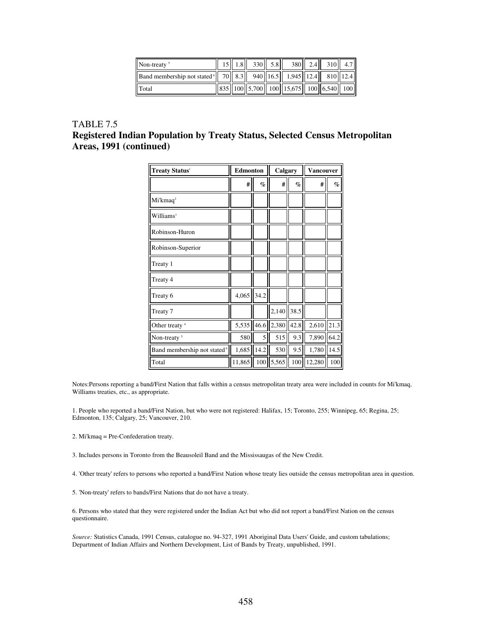| Non-treaty $5$                                                                               |  |  | 1.8 330 5.8 380 2.4 310 4.7                         |  |  |
|----------------------------------------------------------------------------------------------|--|--|-----------------------------------------------------|--|--|
| Band membership not stated $\binom{8}{1}$ 70 8.3 940 16.5 1 945 12.4 $\binom{8}{1}$ 310 12.4 |  |  |                                                     |  |  |
| Total                                                                                        |  |  | $\ 835\ 100\ 5,700\ 100\ 15,675\ 100\ 6,540\ 100\ $ |  |  |

#### TABLE 7.5

#### **Registered Indian Population by Treaty Status, Selected Census Metropolitan Areas, 1991 (continued)**

| <b>Treaty Status</b> <sup>1</sup>       | Edmonton |      | Calgary |                 | <b>Vancouver</b> |      |
|-----------------------------------------|----------|------|---------|-----------------|------------------|------|
|                                         | #        | $\%$ | #       | $\mathcal{G}_0$ | #                | $\%$ |
| $Mi'kmaq^2$                             |          |      |         |                 |                  |      |
| Williams <sup>3</sup>                   |          |      |         |                 |                  |      |
| Robinson-Huron                          |          |      |         |                 |                  |      |
| Robinson-Superior                       |          |      |         |                 |                  |      |
| Treaty 1                                |          |      |         |                 |                  |      |
| Treaty 4                                |          |      |         |                 |                  |      |
| Treaty 6                                | 4,065    | 34.2 |         |                 |                  |      |
| Treaty 7                                |          |      | 2,140   | 38.5            |                  |      |
| Other treaty <sup>4</sup>               | 5,535    | 46.6 | 2,380   | 42.8            | 2,610            | 21.3 |
| Non-treaty <sup>5</sup>                 | 580      | 5    | 515     | 9.3             | 7,890            | 64.2 |
| Band membership not stated <sup>6</sup> | 1,685    | 14.2 | 530     | 9.5             | 1,780            | 14.5 |
| Total                                   | 11,865   | 100  | 5,565   | 100             | 12,280           | 100  |

Notes:Persons reporting a band/First Nation that falls within a census metropolitan treaty area were included in counts for Mi'kmaq, Williams treaties, etc., as appropriate.

1. People who reported a band/First Nation, but who were not registered: Halifax, 15; Toronto, 255; Winnipeg, 65; Regina, 25; Edmonton, 135; Calgary, 25; Vancouver, 210.

2. Mi'kmaq = Pre-Confederation treaty.

3. Includes persons in Toronto from the Beausoleil Band and the Mississaugas of the New Credit.

4. 'Other treaty'refers to persons who reported a band/First Nation whose treaty lies outside the census metropolitan area in question.

5. 'Non-treaty' refers to bands/First Nations that do not have a treaty.

6. Persons who stated that they were registered under the Indian Act but who did not report a band/First Nation on the census questionnaire.

*Source:* Statistics Canada, 1991 Census, catalogue no. 94-327, 1991 Aboriginal Data Users'Guide, and custom tabulations; Department of Indian Affairs and Northern Development, List of Bands by Treaty, unpublished, 1991.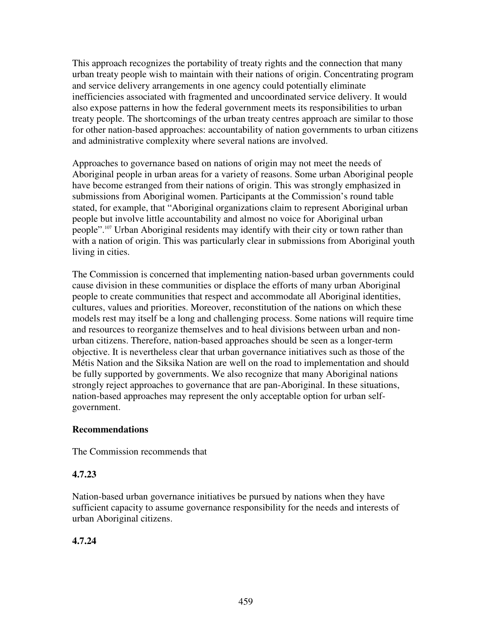This approach recognizes the portability of treaty rights and the connection that many urban treaty people wish to maintain with their nations of origin. Concentrating program and service delivery arrangements in one agency could potentially eliminate inefficiencies associated with fragmented and uncoordinated service delivery. It would also expose patterns in how the federal government meets its responsibilities to urban treaty people. The shortcomings of the urban treaty centres approach are similar to those for other nation-based approaches: accountability of nation governments to urban citizens and administrative complexity where several nations are involved.

Approaches to governance based on nations of origin may not meet the needs of Aboriginal people in urban areas for a variety of reasons. Some urban Aboriginal people have become estranged from their nations of origin. This was strongly emphasized in submissions from Aboriginal women. Participants at the Commission's round table stated, for example, that "Aboriginal organizations claim to represent Aboriginal urban people but involve little accountability and almost no voice for Aboriginal urban people". <sup>107</sup> Urban Aboriginal residents may identify with their city or town rather than with a nation of origin. This was particularly clear in submissions from Aboriginal youth living in cities.

The Commission is concerned that implementing nation-based urban governments could cause division in these communities or displace the efforts of many urban Aboriginal people to create communities that respect and accommodate all Aboriginal identities, cultures, values and priorities. Moreover, reconstitution of the nations on which these models rest may itself be a long and challenging process. Some nations will require time and resources to reorganize themselves and to heal divisions between urban and nonurban citizens. Therefore, nation-based approaches should be seen as a longer-term objective. It is nevertheless clear that urban governance initiatives such as those of the Métis Nation and the Siksika Nation are well on the road to implementation and should be fully supported by governments. We also recognize that many Aboriginal nations strongly reject approaches to governance that are pan-Aboriginal. In these situations, nation-based approaches may represent the only acceptable option for urban selfgovernment.

#### **Recommendations**

The Commission recommends that

#### **4.7.23**

Nation-based urban governance initiatives be pursued by nations when they have sufficient capacity to assume governance responsibility for the needs and interests of urban Aboriginal citizens.

#### **4.7.24**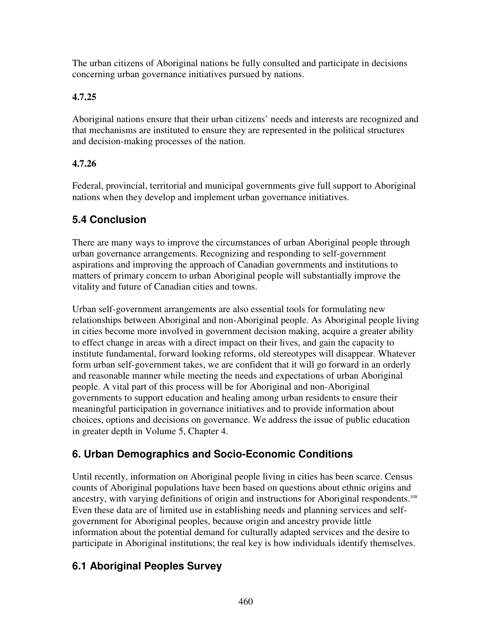The urban citizens of Aboriginal nations be fully consulted and participate in decisions concerning urban governance initiatives pursued by nations.

## **4.7.25**

Aboriginal nations ensure that their urban citizens' needs and interests are recognized and that mechanisms are instituted to ensure they are represented in the political structures and decision-making processes of the nation.

## **4.7.26**

Federal, provincial, territorial and municipal governments give full support to Aboriginal nations when they develop and implement urban governance initiatives.

# **5.4 Conclusion**

There are many ways to improve the circumstances of urban Aboriginal people through urban governance arrangements. Recognizing and responding to self-government aspirations and improving the approach of Canadian governments and institutions to matters of primary concern to urban Aboriginal people will substantially improve the vitality and future of Canadian cities and towns.

Urban self-government arrangements are also essential tools for formulating new relationships between Aboriginal and non-Aboriginal people. As Aboriginal people living in cities become more involved in government decision making, acquire a greater ability to effect change in areas with a direct impact on their lives, and gain the capacity to institute fundamental, forward looking reforms, old stereotypes will disappear. Whatever form urban self-government takes, we are confident that it will go forward in an orderly and reasonable manner while meeting the needs and expectations of urban Aboriginal people. A vital part of this process will be for Aboriginal and non-Aboriginal governments to support education and healing among urban residents to ensure their meaningful participation in governance initiatives and to provide information about choices, options and decisions on governance. We address the issue of public education in greater depth in Volume 5, Chapter 4.

# **6. Urban Demographics and Socio-Economic Conditions**

Until recently, information on Aboriginal people living in cities has been scarce. Census counts of Aboriginal populations have been based on questions about ethnic origins and ancestry, with varying definitions of origin and instructions for Aboriginal respondents. 108 Even these data are of limited use in establishing needs and planning services and selfgovernment for Aboriginal peoples, because origin and ancestry provide little information about the potential demand for culturally adapted services and the desire to participate in Aboriginal institutions; the real key is how individuals identify themselves.

# **6.1 Aboriginal Peoples Survey**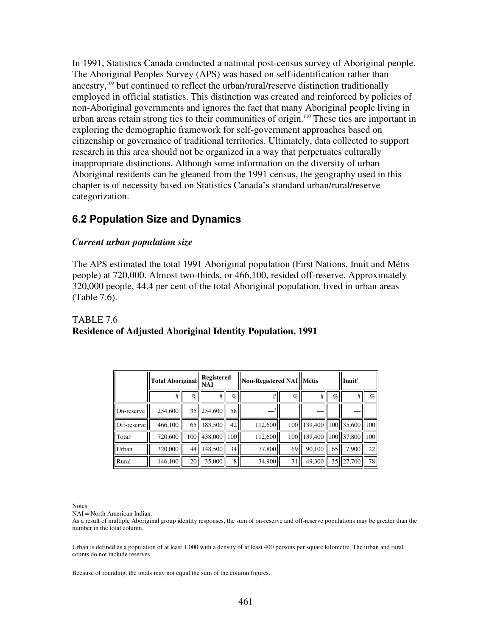In 1991, Statistics Canada conducted a national post-census survey of Aboriginal people. The Aboriginal Peoples Survey (APS) was based on self-identification rather than ancestry, 109 but continued to reflect the urban/rural/reserve distinction traditionally employed in official statistics. This distinction was created and reinforced by policies of non-Aboriginal governments and ignores the fact that many Aboriginal people living in urban areas retain strong ties to their communities of origin. <sup>110</sup> These ties are important in exploring the demographic framework for self-government approaches based on citizenship or governance of traditional territories. Ultimately, data collected to support research in this area should not be organized in a way that perpetuates culturally inappropriate distinctions. Although some information on the diversity of urban Aboriginal residents can be gleaned from the 1991 census, the geography used in this chapter is of necessity based on Statistics Canada's standard urban/rural/reserve categorization.

## **6.2 Population Size and Dynamics**

#### *Current urban population size*

The APS estimated the total 1991 Aboriginal population (First Nations, Inuit and Métis people) at 720,000. Almost two-thirds, or 466,100, resided off-reserve. Approximately 320,000 people, 44.4 per cent of the total Aboriginal population, lived in urban areas (Table 7.6).

#### TABLE 7.6 **Residence of Adjusted Aboriginal Identity Population, 1991**

|                    | <b>Total Aboriginal</b> |      | <b>Registered</b><br>NAI |      | Non-Registered NAI   Métis |      |                                    |    | Inuit <sup>1</sup> |      |
|--------------------|-------------------------|------|--------------------------|------|----------------------------|------|------------------------------------|----|--------------------|------|
|                    | #                       | $\%$ | #                        | $\%$ | #                          | $\%$ | #                                  | %  | #                  | $\%$ |
| On-reserve         | 254,600                 | 35   | 254,600                  | 58   |                            |      |                                    |    |                    |      |
| Off-reserve        | 466,100                 | 65   | 183,500                  | 42   | 112,600                    |      | 100   139,400   100   35,600   100 |    |                    |      |
| Total <sup>3</sup> | 720,600                 |      | 100 438,000 100          |      | 112,600                    |      | 100   139,400   100   37,800   100 |    |                    |      |
| Urban              | 320,000                 | 44   | 148,500                  | 34   | 77,800                     | 69   | 90,100                             | 65 | 7,900              | 22   |
| Rural              | 146,100                 | 20   | 35,000                   | 8    | 34,900                     | 31   | 49,300                             |    | 35 27,700          | 78   |

Notes:

NAI = North American Indian.

As a result of multiple Aboriginal group identity responses, the sum of on-reserve and off-reserve populations may be greater than the number in the total column.

Urban is defined as a population of at least 1,000 with a density of at least 400 persons per square kilometre. The urban and rural counts do not include reserves.

Because of rounding, the totals may not equal the sum of the column figures.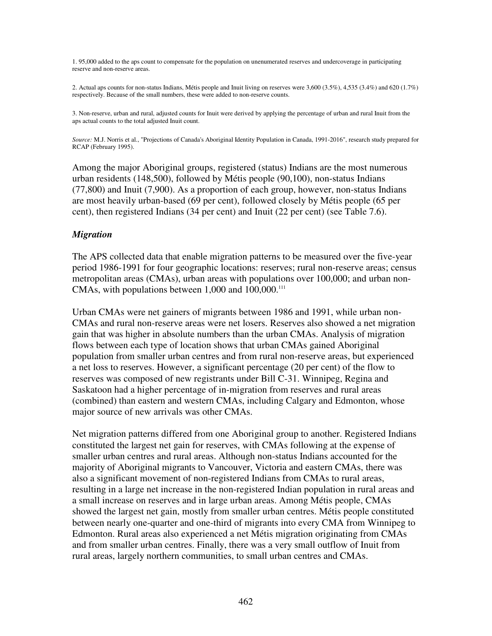1. 95,000 added to the aps count to compensate for the population on unenumerated reserves and undercoverage in participating reserve and non-reserve areas.

2. Actual aps counts for non-status Indians, Métis people and Inuit living on reserves were 3,600 (3.5%), 4,535 (3.4%) and 620 (1.7%) respectively. Because of the small numbers, these were added to non-reserve counts.

3. Non-reserve, urban and rural, adjusted counts for Inuit were derived by applying the percentage of urban and rural Inuit from the aps actual counts to the total adjusted Inuit count.

*Source:* M.J. Norris et al., "Projections of Canada's Aboriginal Identity Population in Canada, 1991-2016", research study prepared for RCAP (February 1995).

Among the major Aboriginal groups, registered (status) Indians are the most numerous urban residents (148,500), followed by Métis people (90,100), non-status Indians (77,800) and Inuit (7,900). As a proportion of each group, however, non-status Indians are most heavily urban-based (69 per cent), followed closely by Métis people (65 per cent), then registered Indians (34 per cent) and Inuit (22 per cent) (see Table 7.6).

#### *Migration*

The APS collected data that enable migration patterns to be measured over the five-year period 1986-1991 for four geographic locations: reserves; rural non-reserve areas; census metropolitan areas (CMAs), urban areas with populations over 100,000; and urban non-CMAs, with populations between 1,000 and 100,000. 111

Urban CMAs were net gainers of migrants between 1986 and 1991, while urban non-CMAs and rural non-reserve areas were net losers. Reserves also showed a net migration gain that was higher in absolute numbers than the urban CMAs. Analysis of migration flows between each type of location shows that urban CMAs gained Aboriginal population from smaller urban centres and from rural non-reserve areas, but experienced a net loss to reserves. However, a significant percentage (20 per cent) of the flow to reserves was composed of new registrants under Bill C-31. Winnipeg, Regina and Saskatoon had a higher percentage of in-migration from reserves and rural areas (combined) than eastern and western CMAs, including Calgary and Edmonton, whose major source of new arrivals was other CMAs.

Net migration patterns differed from one Aboriginal group to another. Registered Indians constituted the largest net gain for reserves, with CMAs following at the expense of smaller urban centres and rural areas. Although non-status Indians accounted for the majority of Aboriginal migrants to Vancouver, Victoria and eastern CMAs, there was also a significant movement of non-registered Indians from CMAs to rural areas, resulting in a large net increase in the non-registered Indian population in rural areas and a small increase on reserves and in large urban areas. Among Métis people, CMAs showed the largest net gain, mostly from smaller urban centres. Métis people constituted between nearly one-quarter and one-third of migrants into every CMA from Winnipeg to Edmonton. Rural areas also experienced a net Métis migration originating from CMAs and from smaller urban centres. Finally, there was a very small outflow of Inuit from rural areas, largely northern communities, to small urban centres and CMAs.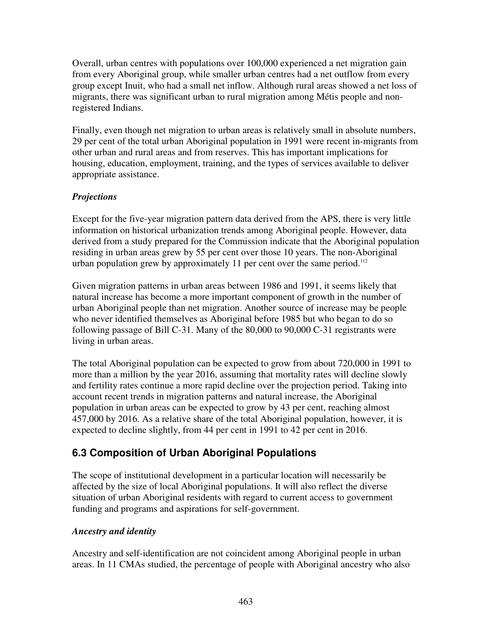Overall, urban centres with populations over 100,000 experienced a net migration gain from every Aboriginal group, while smaller urban centres had a net outflow from every group except Inuit, who had a small net inflow. Although rural areas showed a net loss of migrants, there was significant urban to rural migration among Métis people and nonregistered Indians.

Finally, even though net migration to urban areas is relatively small in absolute numbers, 29 per cent of the total urban Aboriginal population in 1991 were recent in-migrants from other urban and rural areas and from reserves. This has important implications for housing, education, employment, training, and the types of services available to deliver appropriate assistance.

### *Projections*

Except for the five-year migration pattern data derived from the APS, there is very little information on historical urbanization trends among Aboriginal people. However, data derived from a study prepared for the Commission indicate that the Aboriginal population residing in urban areas grew by 55 per cent over those 10 years. The non-Aboriginal urban population grew by approximately 11 per cent over the same period.<sup>112</sup>

Given migration patterns in urban areas between 1986 and 1991, it seems likely that natural increase has become a more important component of growth in the number of urban Aboriginal people than net migration. Another source of increase may be people who never identified themselves as Aboriginal before 1985 but who began to do so following passage of Bill C-31. Many of the 80,000 to 90,000 C-31 registrants were living in urban areas.

The total Aboriginal population can be expected to grow from about 720,000 in 1991 to more than a million by the year 2016, assuming that mortality rates will decline slowly and fertility rates continue a more rapid decline over the projection period. Taking into account recent trends in migration patterns and natural increase, the Aboriginal population in urban areas can be expected to grow by 43 per cent, reaching almost 457,000 by 2016. As a relative share of the total Aboriginal population, however, it is expected to decline slightly, from 44 per cent in 1991 to 42 per cent in 2016.

# **6.3 Composition of Urban Aboriginal Populations**

The scope of institutional development in a particular location will necessarily be affected by the size of local Aboriginal populations. It will also reflect the diverse situation of urban Aboriginal residents with regard to current access to government funding and programs and aspirations for self-government.

#### *Ancestry and identity*

Ancestry and self-identification are not coincident among Aboriginal people in urban areas. In 11 CMAs studied, the percentage of people with Aboriginal ancestry who also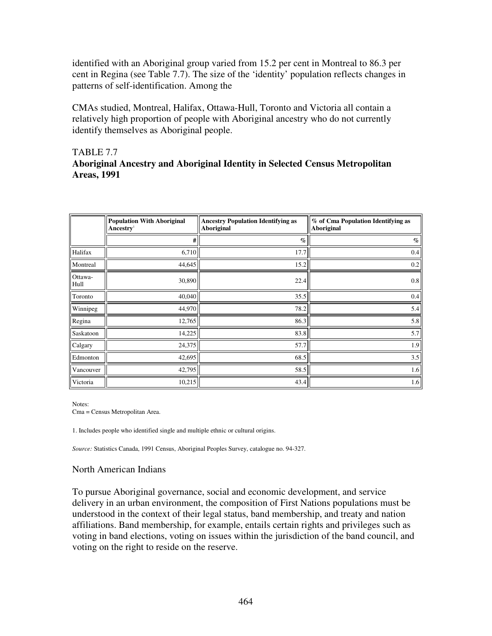identified with an Aboriginal group varied from 15.2 per cent in Montreal to 86.3 per cent in Regina (see Table 7.7). The size of the 'identity' population reflects changes in patterns of self-identification. Among the

CMAs studied, Montreal, Halifax, Ottawa-Hull, Toronto and Victoria all contain a relatively high proportion of people with Aboriginal ancestry who do not currently identify themselves as Aboriginal people.

#### TABLE 7.7 **Aboriginal Ancestry and Aboriginal Identity in Selected Census Metropolitan Areas, 1991**

|                 | <b>Population With Aboriginal</b><br>Ancestry <sup>1</sup> | <b>Ancestry Population Identifying as</b><br>Aboriginal | % of Cma Population Identifying as<br>Aboriginal |  |  |
|-----------------|------------------------------------------------------------|---------------------------------------------------------|--------------------------------------------------|--|--|
|                 | #                                                          | $\%$                                                    | $\%$                                             |  |  |
| Halifax         | 6,710                                                      | 17.7                                                    | 0.4                                              |  |  |
| Montreal        | 44,645                                                     | 15.2                                                    | 0.2                                              |  |  |
| Ottawa-<br>Hull | 30,890                                                     | 22.4                                                    | 0.8                                              |  |  |
| Toronto         | 40,040                                                     | 35.5                                                    | 0.4                                              |  |  |
| Winnipeg        | 44,970                                                     | 78.2                                                    | 5.4                                              |  |  |
| Regina          | 12,765                                                     | 86.3                                                    | 5.8                                              |  |  |
| Saskatoon       | 14,225                                                     | 83.8                                                    | 5.7                                              |  |  |
| Calgary         | 24,375                                                     | 57.7                                                    | 1.9                                              |  |  |
| Edmonton        | 42,695                                                     | 68.5                                                    | 3.5                                              |  |  |
| Vancouver       | 42,795                                                     | 58.5                                                    | 1.6                                              |  |  |
| Victoria        | 10,215                                                     | 43.4                                                    | 1.6                                              |  |  |

Notes:

Cma = Census Metropolitan Area.

1. Includes people who identified single and multiple ethnic or cultural origins.

*Source:* Statistics Canada, 1991 Census, Aboriginal Peoples Survey, catalogue no. 94-327.

#### North American Indians

To pursue Aboriginal governance, social and economic development, and service delivery in an urban environment, the composition of First Nations populations must be understood in the context of their legal status, band membership, and treaty and nation affiliations. Band membership, for example, entails certain rights and privileges such as voting in band elections, voting on issues within the jurisdiction of the band council, and voting on the right to reside on the reserve.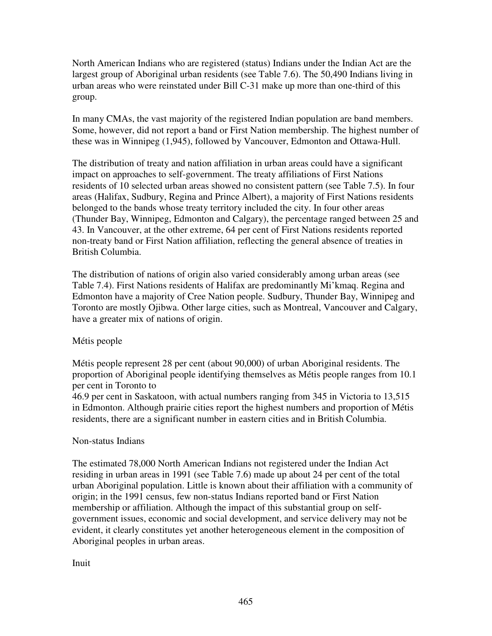North American Indians who are registered (status) Indians under the Indian Act are the largest group of Aboriginal urban residents (see Table 7.6). The 50,490 Indians living in urban areas who were reinstated under Bill C-31 make up more than one-third of this group.

In many CMAs, the vast majority of the registered Indian population are band members. Some, however, did not report a band or First Nation membership. The highest number of these was in Winnipeg (1,945), followed by Vancouver, Edmonton and Ottawa-Hull.

The distribution of treaty and nation affiliation in urban areas could have a significant impact on approaches to self-government. The treaty affiliations of First Nations residents of 10 selected urban areas showed no consistent pattern (see Table 7.5). In four areas (Halifax, Sudbury, Regina and Prince Albert), a majority of First Nations residents belonged to the bands whose treaty territory included the city. In four other areas (Thunder Bay, Winnipeg, Edmonton and Calgary), the percentage ranged between 25 and 43. In Vancouver, at the other extreme, 64 per cent of First Nations residents reported non-treaty band or First Nation affiliation, reflecting the general absence of treaties in British Columbia.

The distribution of nations of origin also varied considerably among urban areas (see Table 7.4). First Nations residents of Halifax are predominantly Mi'kmaq. Regina and Edmonton have a majority of Cree Nation people. Sudbury, Thunder Bay, Winnipeg and Toronto are mostly Ojibwa. Other large cities, such as Montreal, Vancouver and Calgary, have a greater mix of nations of origin.

#### Métis people

Métis people represent 28 per cent (about 90,000) of urban Aboriginal residents. The proportion of Aboriginal people identifying themselves as Métis people ranges from 10.1 per cent in Toronto to

46.9 per cent in Saskatoon, with actual numbers ranging from 345 in Victoria to 13,515 in Edmonton. Although prairie cities report the highest numbers and proportion of Métis residents, there are a significant number in eastern cities and in British Columbia.

#### Non-status Indians

The estimated 78,000 North American Indians not registered under the Indian Act residing in urban areas in 1991 (see Table 7.6) made up about 24 per cent of the total urban Aboriginal population. Little is known about their affiliation with a community of origin; in the 1991 census, few non-status Indians reported band or First Nation membership or affiliation. Although the impact of this substantial group on selfgovernment issues, economic and social development, and service delivery may not be evident, it clearly constitutes yet another heterogeneous element in the composition of Aboriginal peoples in urban areas.

Inuit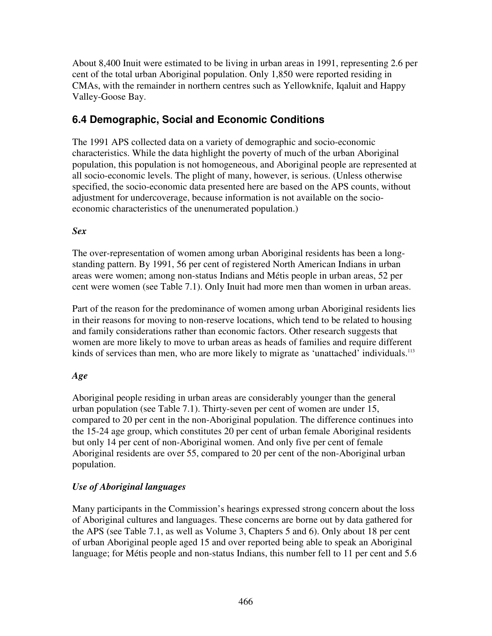About 8,400 Inuit were estimated to be living in urban areas in 1991, representing 2.6 per cent of the total urban Aboriginal population. Only 1,850 were reported residing in CMAs, with the remainder in northern centres such as Yellowknife, Iqaluit and Happy Valley-Goose Bay.

# **6.4 Demographic, Social and Economic Conditions**

The 1991 APS collected data on a variety of demographic and socio-economic characteristics. While the data highlight the poverty of much of the urban Aboriginal population, this population is not homogeneous, and Aboriginal people are represented at all socio-economic levels. The plight of many, however, is serious. (Unless otherwise specified, the socio-economic data presented here are based on the APS counts, without adjustment for undercoverage, because information is not available on the socioeconomic characteristics of the unenumerated population.)

#### *Sex*

The over-representation of women among urban Aboriginal residents has been a longstanding pattern. By 1991, 56 per cent of registered North American Indians in urban areas were women; among non-status Indians and Métis people in urban areas, 52 per cent were women (see Table 7.1). Only Inuit had more men than women in urban areas.

Part of the reason for the predominance of women among urban Aboriginal residents lies in their reasons for moving to non-reserve locations, which tend to be related to housing and family considerations rather than economic factors. Other research suggests that women are more likely to move to urban areas as heads of families and require different kinds of services than men, who are more likely to migrate as 'unattached' individuals.<sup>113</sup>

#### *Age*

Aboriginal people residing in urban areas are considerably younger than the general urban population (see Table 7.1). Thirty-seven per cent of women are under 15, compared to 20 per cent in the non-Aboriginal population. The difference continues into the 15-24 age group, which constitutes 20 per cent of urban female Aboriginal residents but only 14 per cent of non-Aboriginal women. And only five per cent of female Aboriginal residents are over 55, compared to 20 per cent of the non-Aboriginal urban population.

## *Use of Aboriginal languages*

Many participants in the Commission's hearings expressed strong concern about the loss of Aboriginal cultures and languages. These concerns are borne out by data gathered for the APS (see Table 7.1, as well as Volume 3, Chapters 5 and 6). Only about 18 per cent of urban Aboriginal people aged 15 and over reported being able to speak an Aboriginal language; for Métis people and non-status Indians, this number fell to 11 per cent and 5.6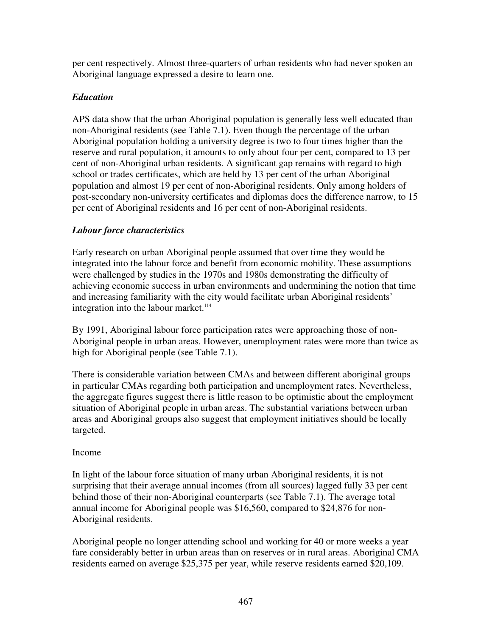per cent respectively. Almost three-quarters of urban residents who had never spoken an Aboriginal language expressed a desire to learn one.

### *Education*

APS data show that the urban Aboriginal population is generally less well educated than non-Aboriginal residents (see Table 7.1). Even though the percentage of the urban Aboriginal population holding a university degree is two to four times higher than the reserve and rural population, it amounts to only about four per cent, compared to 13 per cent of non-Aboriginal urban residents. A significant gap remains with regard to high school or trades certificates, which are held by 13 per cent of the urban Aboriginal population and almost 19 per cent of non-Aboriginal residents. Only among holders of post-secondary non-university certificates and diplomas does the difference narrow, to 15 per cent of Aboriginal residents and 16 per cent of non-Aboriginal residents.

### *Labour force characteristics*

Early research on urban Aboriginal people assumed that over time they would be integrated into the labour force and benefit from economic mobility. These assumptions were challenged by studies in the 1970s and 1980s demonstrating the difficulty of achieving economic success in urban environments and undermining the notion that time and increasing familiarity with the city would facilitate urban Aboriginal residents' integration into the labour market. 114

By 1991, Aboriginal labour force participation rates were approaching those of non-Aboriginal people in urban areas. However, unemployment rates were more than twice as high for Aboriginal people (see Table 7.1).

There is considerable variation between CMAs and between different aboriginal groups in particular CMAs regarding both participation and unemployment rates. Nevertheless, the aggregate figures suggest there is little reason to be optimistic about the employment situation of Aboriginal people in urban areas. The substantial variations between urban areas and Aboriginal groups also suggest that employment initiatives should be locally targeted.

#### Income

In light of the labour force situation of many urban Aboriginal residents, it is not surprising that their average annual incomes (from all sources) lagged fully 33 per cent behind those of their non-Aboriginal counterparts (see Table 7.1). The average total annual income for Aboriginal people was \$16,560, compared to \$24,876 for non-Aboriginal residents.

Aboriginal people no longer attending school and working for 40 or more weeks a year fare considerably better in urban areas than on reserves or in rural areas. Aboriginal CMA residents earned on average \$25,375 per year, while reserve residents earned \$20,109.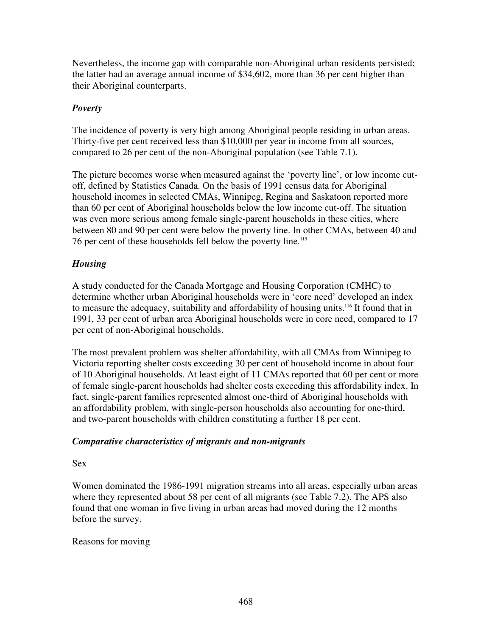Nevertheless, the income gap with comparable non-Aboriginal urban residents persisted; the latter had an average annual income of \$34,602, more than 36 per cent higher than their Aboriginal counterparts.

### *Poverty*

The incidence of poverty is very high among Aboriginal people residing in urban areas. Thirty-five per cent received less than \$10,000 per year in income from all sources, compared to 26 per cent of the non-Aboriginal population (see Table 7.1).

The picture becomes worse when measured against the 'poverty line', or low income cutoff, defined by Statistics Canada. On the basis of 1991 census data for Aboriginal household incomes in selected CMAs, Winnipeg, Regina and Saskatoon reported more than 60 per cent of Aboriginal households below the low income cut-off. The situation was even more serious among female single-parent households in these cities, where between 80 and 90 per cent were below the poverty line. In other CMAs, between 40 and 76 per cent of these households fell below the poverty line. 115

## *Housing*

A study conducted for the Canada Mortgage and Housing Corporation (CMHC) to determine whether urban Aboriginal households were in 'core need' developed an index to measure the adequacy, suitability and affordability of housing units.<sup>116</sup> It found that in 1991, 33 per cent of urban area Aboriginal households were in core need, compared to 17 per cent of non-Aboriginal households.

The most prevalent problem was shelter affordability, with all CMAs from Winnipeg to Victoria reporting shelter costs exceeding 30 per cent of household income in about four of 10 Aboriginal households. At least eight of 11 CMAs reported that 60 per cent or more of female single-parent households had shelter costs exceeding this affordability index. In fact, single-parent families represented almost one-third of Aboriginal households with an affordability problem, with single-person households also accounting for one-third, and two-parent households with children constituting a further 18 per cent.

#### *Comparative characteristics of migrants and non-migrants*

#### Sex

Women dominated the 1986-1991 migration streams into all areas, especially urban areas where they represented about 58 per cent of all migrants (see Table 7.2). The APS also found that one woman in five living in urban areas had moved during the 12 months before the survey.

## Reasons for moving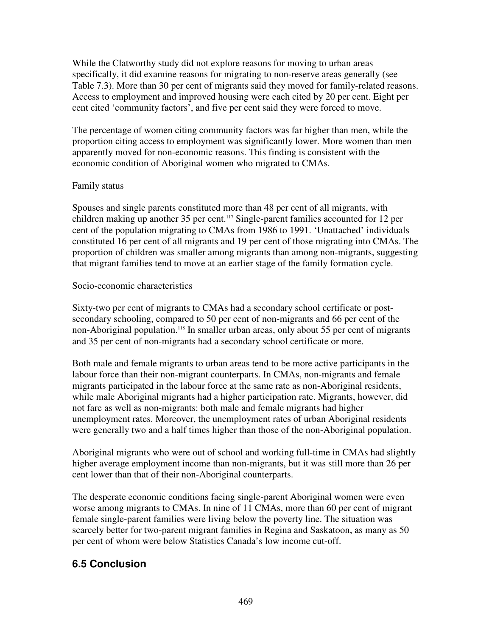While the Clatworthy study did not explore reasons for moving to urban areas specifically, it did examine reasons for migrating to non-reserve areas generally (see Table 7.3). More than 30 per cent of migrants said they moved for family-related reasons. Access to employment and improved housing were each cited by 20 per cent. Eight per cent cited 'community factors', and five per cent said they were forced to move.

The percentage of women citing community factors was far higher than men, while the proportion citing access to employment was significantly lower. More women than men apparently moved for non-economic reasons. This finding is consistent with the economic condition of Aboriginal women who migrated to CMAs.

#### Family status

Spouses and single parents constituted more than 48 per cent of all migrants, with children making up another 35 per cent. <sup>117</sup> Single-parent families accounted for 12 per cent of the population migrating to CMAs from 1986 to 1991. 'Unattached' individuals constituted 16 per cent of all migrants and 19 per cent of those migrating into CMAs. The proportion of children was smaller among migrants than among non-migrants, suggesting that migrant families tend to move at an earlier stage of the family formation cycle.

#### Socio-economic characteristics

Sixty-two per cent of migrants to CMAs had a secondary school certificate or postsecondary schooling, compared to 50 per cent of non-migrants and 66 per cent of the non-Aboriginal population. 118 In smaller urban areas, only about 55 per cent of migrants and 35 per cent of non-migrants had a secondary school certificate or more.

Both male and female migrants to urban areas tend to be more active participants in the labour force than their non-migrant counterparts. In CMAs, non-migrants and female migrants participated in the labour force at the same rate as non-Aboriginal residents, while male Aboriginal migrants had a higher participation rate. Migrants, however, did not fare as well as non-migrants: both male and female migrants had higher unemployment rates. Moreover, the unemployment rates of urban Aboriginal residents were generally two and a half times higher than those of the non-Aboriginal population.

Aboriginal migrants who were out of school and working full-time in CMAs had slightly higher average employment income than non-migrants, but it was still more than 26 per cent lower than that of their non-Aboriginal counterparts.

The desperate economic conditions facing single-parent Aboriginal women were even worse among migrants to CMAs. In nine of 11 CMAs, more than 60 per cent of migrant female single-parent families were living below the poverty line. The situation was scarcely better for two-parent migrant families in Regina and Saskatoon, as many as 50 per cent of whom were below Statistics Canada's low income cut-off.

# **6.5 Conclusion**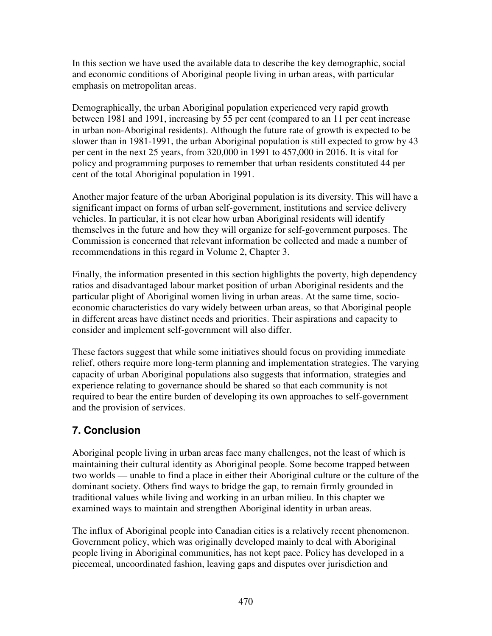In this section we have used the available data to describe the key demographic, social and economic conditions of Aboriginal people living in urban areas, with particular emphasis on metropolitan areas.

Demographically, the urban Aboriginal population experienced very rapid growth between 1981 and 1991, increasing by 55 per cent (compared to an 11 per cent increase in urban non-Aboriginal residents). Although the future rate of growth is expected to be slower than in 1981-1991, the urban Aboriginal population is still expected to grow by 43 per cent in the next 25 years, from 320,000 in 1991 to 457,000 in 2016. It is vital for policy and programming purposes to remember that urban residents constituted 44 per cent of the total Aboriginal population in 1991.

Another major feature of the urban Aboriginal population is its diversity. This will have a significant impact on forms of urban self-government, institutions and service delivery vehicles. In particular, it is not clear how urban Aboriginal residents will identify themselves in the future and how they will organize for self-government purposes. The Commission is concerned that relevant information be collected and made a number of recommendations in this regard in Volume 2, Chapter 3.

Finally, the information presented in this section highlights the poverty, high dependency ratios and disadvantaged labour market position of urban Aboriginal residents and the particular plight of Aboriginal women living in urban areas. At the same time, socioeconomic characteristics do vary widely between urban areas, so that Aboriginal people in different areas have distinct needs and priorities. Their aspirations and capacity to consider and implement self-government will also differ.

These factors suggest that while some initiatives should focus on providing immediate relief, others require more long-term planning and implementation strategies. The varying capacity of urban Aboriginal populations also suggests that information, strategies and experience relating to governance should be shared so that each community is not required to bear the entire burden of developing its own approaches to self-government and the provision of services.

# **7. Conclusion**

Aboriginal people living in urban areas face many challenges, not the least of which is maintaining their cultural identity as Aboriginal people. Some become trapped between two worlds — unable to find a place in either their Aboriginal culture or the culture of the dominant society. Others find ways to bridge the gap, to remain firmly grounded in traditional values while living and working in an urban milieu. In this chapter we examined ways to maintain and strengthen Aboriginal identity in urban areas.

The influx of Aboriginal people into Canadian cities is a relatively recent phenomenon. Government policy, which was originally developed mainly to deal with Aboriginal people living in Aboriginal communities, has not kept pace. Policy has developed in a piecemeal, uncoordinated fashion, leaving gaps and disputes over jurisdiction and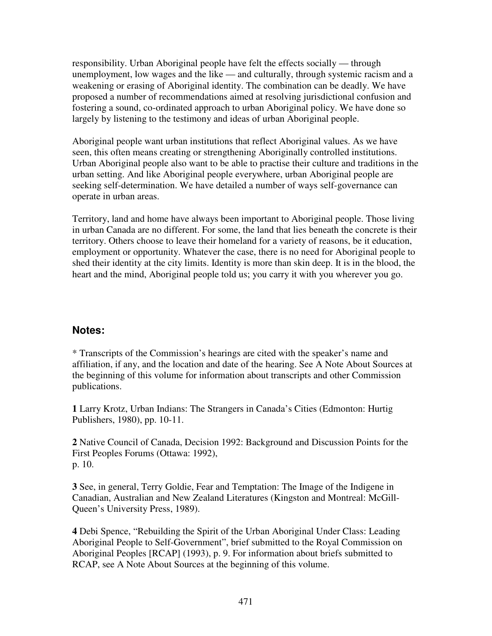responsibility. Urban Aboriginal people have felt the effects socially — through unemployment, low wages and the like — and culturally, through systemic racism and a weakening or erasing of Aboriginal identity. The combination can be deadly. We have proposed a number of recommendations aimed at resolving jurisdictional confusion and fostering a sound, co-ordinated approach to urban Aboriginal policy. We have done so largely by listening to the testimony and ideas of urban Aboriginal people.

Aboriginal people want urban institutions that reflect Aboriginal values. As we have seen, this often means creating or strengthening Aboriginally controlled institutions. Urban Aboriginal people also want to be able to practise their culture and traditions in the urban setting. And like Aboriginal people everywhere, urban Aboriginal people are seeking self-determination. We have detailed a number of ways self-governance can operate in urban areas.

Territory, land and home have always been important to Aboriginal people. Those living in urban Canada are no different. For some, the land that lies beneath the concrete is their territory. Others choose to leave their homeland for a variety of reasons, be it education, employment or opportunity. Whatever the case, there is no need for Aboriginal people to shed their identity at the city limits. Identity is more than skin deep. It is in the blood, the heart and the mind, Aboriginal people told us; you carry it with you wherever you go.

## **Notes:**

\* Transcripts of the Commission's hearings are cited with the speaker's name and affiliation, if any, and the location and date of the hearing. See A Note About Sources at the beginning of this volume for information about transcripts and other Commission publications.

**1** Larry Krotz, Urban Indians: The Strangers in Canada's Cities (Edmonton: Hurtig Publishers, 1980), pp. 10-11.

**2** Native Council of Canada, Decision 1992: Background and Discussion Points for the First Peoples Forums (Ottawa: 1992), p. 10.

**3** See, in general, Terry Goldie, Fear and Temptation: The Image of the Indigene in Canadian, Australian and New Zealand Literatures (Kingston and Montreal: McGill-Queen's University Press, 1989).

**4** Debi Spence, "Rebuilding the Spirit of the Urban Aboriginal Under Class: Leading Aboriginal People to Self-Government", brief submitted to the Royal Commission on Aboriginal Peoples [RCAP] (1993), p. 9. For information about briefs submitted to RCAP, see A Note About Sources at the beginning of this volume.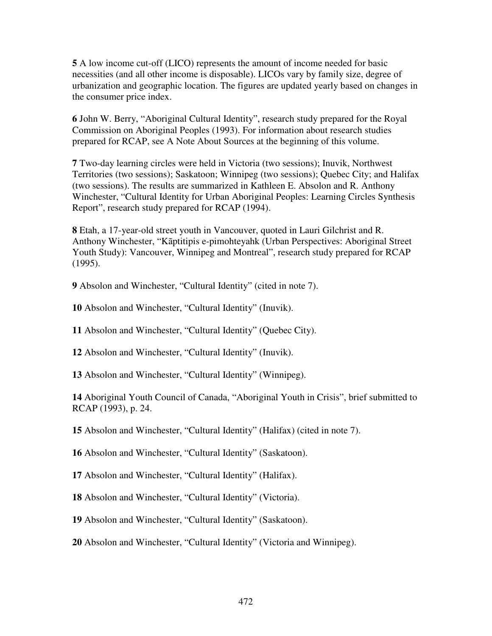**5** A low income cut-off (LICO) represents the amount of income needed for basic necessities (and all other income is disposable). LICOs vary by family size, degree of urbanization and geographic location. The figures are updated yearly based on changes in the consumer price index.

**6** John W. Berry, "Aboriginal Cultural Identity", research study prepared for the Royal Commission on Aboriginal Peoples (1993). For information about research studies prepared for RCAP, see A Note About Sources at the beginning of this volume.

**7** Two-day learning circles were held in Victoria (two sessions); Inuvik, Northwest Territories (two sessions); Saskatoon; Winnipeg (two sessions); Quebec City; and Halifax (two sessions). The results are summarized in Kathleen E. Absolon and R. Anthony Winchester, "Cultural Identity for Urban Aboriginal Peoples: Learning Circles Synthesis Report", research study prepared for RCAP (1994).

**8** Etah, a 17-year-old street youth in Vancouver, quoted in Lauri Gilchrist and R. Anthony Winchester, "Kãptitipis e-pimohteyahk (Urban Perspectives: Aboriginal Street Youth Study): Vancouver, Winnipeg and Montreal", research study prepared for RCAP (1995).

**9** Absolon and Winchester, "Cultural Identity" (cited in note 7).

**10** Absolon and Winchester, "Cultural Identity" (Inuvik).

**11** Absolon and Winchester, "Cultural Identity" (Quebec City).

**12** Absolon and Winchester, "Cultural Identity" (Inuvik).

**13** Absolon and Winchester, "Cultural Identity" (Winnipeg).

**14** Aboriginal Youth Council of Canada, "Aboriginal Youth in Crisis", brief submitted to RCAP (1993), p. 24.

**15** Absolon and Winchester, "Cultural Identity" (Halifax) (cited in note 7).

**16** Absolon and Winchester, "Cultural Identity" (Saskatoon).

**17** Absolon and Winchester, "Cultural Identity" (Halifax).

**18** Absolon and Winchester, "Cultural Identity" (Victoria).

**19** Absolon and Winchester, "Cultural Identity" (Saskatoon).

**20** Absolon and Winchester, "Cultural Identity" (Victoria and Winnipeg).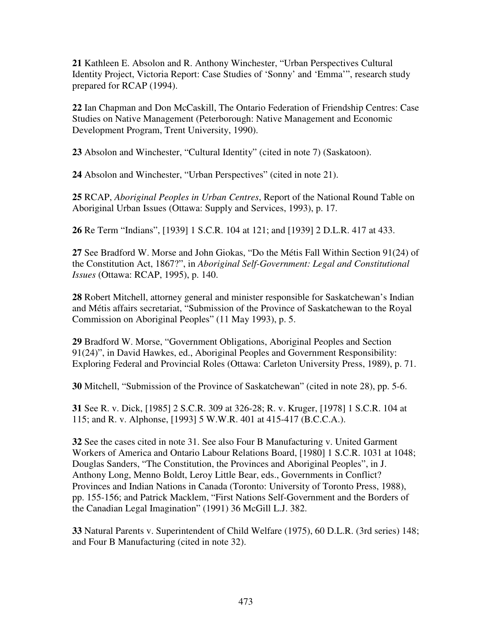**21** Kathleen E. Absolon and R. Anthony Winchester, "Urban Perspectives Cultural Identity Project, Victoria Report: Case Studies of 'Sonny' and 'Emma'", research study prepared for RCAP (1994).

**22** Ian Chapman and Don McCaskill, The Ontario Federation of Friendship Centres: Case Studies on Native Management (Peterborough: Native Management and Economic Development Program, Trent University, 1990).

**23** Absolon and Winchester, "Cultural Identity" (cited in note 7) (Saskatoon).

**24** Absolon and Winchester, "Urban Perspectives" (cited in note 21).

**25** RCAP, *Aboriginal Peoples in Urban Centres*, Report of the National Round Table on Aboriginal Urban Issues (Ottawa: Supply and Services, 1993), p. 17.

**26** Re Term "Indians", [1939] 1 S.C.R. 104 at 121; and [1939] 2 D.L.R. 417 at 433.

**27** See Bradford W. Morse and John Giokas, "Do the Métis Fall Within Section 91(24) of the Constitution Act, 1867?", in *Aboriginal Self-Government: Legal and Constitutional Issues* (Ottawa: RCAP, 1995), p. 140.

**28** Robert Mitchell, attorney general and minister responsible for Saskatchewan's Indian and Métis affairs secretariat, "Submission of the Province of Saskatchewan to the Royal Commission on Aboriginal Peoples" (11 May 1993), p. 5.

**29** Bradford W. Morse, "Government Obligations, Aboriginal Peoples and Section 91(24)", in David Hawkes, ed., Aboriginal Peoples and Government Responsibility: Exploring Federal and Provincial Roles (Ottawa: Carleton University Press, 1989), p. 71.

**30** Mitchell, "Submission of the Province of Saskatchewan" (cited in note 28), pp. 5-6.

**31** See R. v. Dick, [1985] 2 S.C.R. 309 at 326-28; R. v. Kruger, [1978] 1 S.C.R. 104 at 115; and R. v. Alphonse, [1993] 5 W.W.R. 401 at 415-417 (B.C.C.A.).

**32** See the cases cited in note 31. See also Four B Manufacturing v. United Garment Workers of America and Ontario Labour Relations Board, [1980] 1 S.C.R. 1031 at 1048; Douglas Sanders, "The Constitution, the Provinces and Aboriginal Peoples", in J. Anthony Long, Menno Boldt, Leroy Little Bear, eds., Governments in Conflict? Provinces and Indian Nations in Canada (Toronto: University of Toronto Press, 1988), pp. 155-156; and Patrick Macklem, "First Nations Self-Government and the Borders of the Canadian Legal Imagination" (1991) 36 McGill L.J. 382.

**33** Natural Parents v. Superintendent of Child Welfare (1975), 60 D.L.R. (3rd series) 148; and Four B Manufacturing (cited in note 32).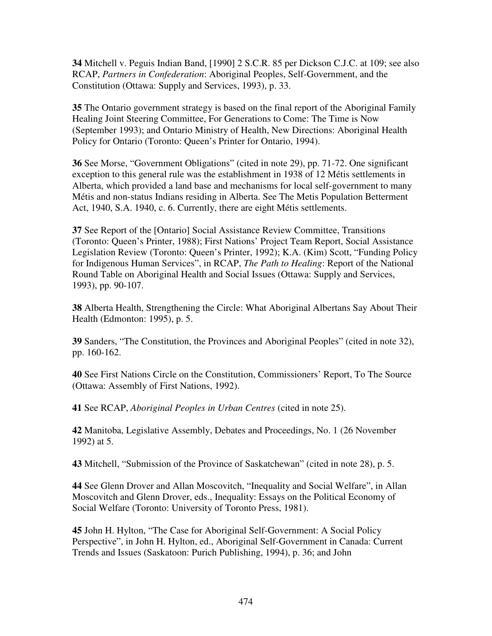**34** Mitchell v. Peguis Indian Band, [1990] 2 S.C.R. 85 per Dickson C.J.C. at 109; see also RCAP, *Partners in Confederation*: Aboriginal Peoples, Self-Government, and the Constitution (Ottawa: Supply and Services, 1993), p. 33.

**35** The Ontario government strategy is based on the final report of the Aboriginal Family Healing Joint Steering Committee, For Generations to Come: The Time is Now (September 1993); and Ontario Ministry of Health, New Directions: Aboriginal Health Policy for Ontario (Toronto: Queen's Printer for Ontario, 1994).

**36** See Morse, "Government Obligations" (cited in note 29), pp. 71-72. One significant exception to this general rule was the establishment in 1938 of 12 Métis settlements in Alberta, which provided a land base and mechanisms for local self-government to many Métis and non-status Indians residing in Alberta. See The Metis Population Betterment Act, 1940, S.A. 1940, c. 6. Currently, there are eight Métis settlements.

**37** See Report of the [Ontario] Social Assistance Review Committee, Transitions (Toronto: Queen's Printer, 1988); First Nations' Project Team Report, Social Assistance Legislation Review (Toronto: Queen's Printer, 1992); K.A. (Kim) Scott, "Funding Policy for Indigenous Human Services", in RCAP, *The Path to Healing*: Report of the National Round Table on Aboriginal Health and Social Issues (Ottawa: Supply and Services, 1993), pp. 90-107.

**38** Alberta Health, Strengthening the Circle: What Aboriginal Albertans Say About Their Health (Edmonton: 1995), p. 5.

**39** Sanders, "The Constitution, the Provinces and Aboriginal Peoples" (cited in note 32), pp. 160-162.

**40** See First Nations Circle on the Constitution, Commissioners' Report, To The Source (Ottawa: Assembly of First Nations, 1992).

**41** See RCAP, *Aboriginal Peoples in Urban Centres* (cited in note 25).

**42** Manitoba, Legislative Assembly, Debates and Proceedings, No. 1 (26 November 1992) at 5.

**43** Mitchell, "Submission of the Province of Saskatchewan" (cited in note 28), p. 5.

**44** See Glenn Drover and Allan Moscovitch, "Inequality and Social Welfare", in Allan Moscovitch and Glenn Drover, eds., Inequality: Essays on the Political Economy of Social Welfare (Toronto: University of Toronto Press, 1981).

**45** John H. Hylton, "The Case for Aboriginal Self-Government: A Social Policy Perspective", in John H. Hylton, ed., Aboriginal Self-Government in Canada: Current Trends and Issues (Saskatoon: Purich Publishing, 1994), p. 36; and John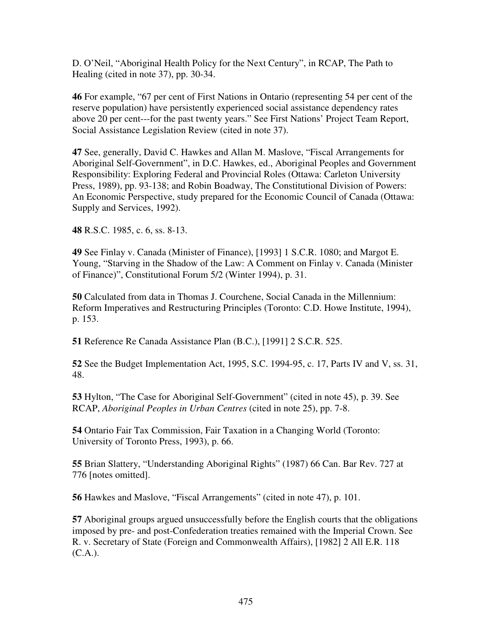D. O'Neil, "Aboriginal Health Policy for the Next Century", in RCAP, The Path to Healing (cited in note 37), pp. 30-34.

**46** For example, "67 per cent of First Nations in Ontario (representing 54 per cent of the reserve population) have persistently experienced social assistance dependency rates above 20 per cent---for the past twenty years." See First Nations' Project Team Report, Social Assistance Legislation Review (cited in note 37).

**47** See, generally, David C. Hawkes and Allan M. Maslove, "Fiscal Arrangements for Aboriginal Self-Government", in D.C. Hawkes, ed., Aboriginal Peoples and Government Responsibility: Exploring Federal and Provincial Roles (Ottawa: Carleton University Press, 1989), pp. 93-138; and Robin Boadway, The Constitutional Division of Powers: An Economic Perspective, study prepared for the Economic Council of Canada (Ottawa: Supply and Services, 1992).

**48** R.S.C. 1985, c. 6, ss. 8-13.

**49** See Finlay v. Canada (Minister of Finance), [1993] 1 S.C.R. 1080; and Margot E. Young, "Starving in the Shadow of the Law: A Comment on Finlay v. Canada (Minister of Finance)", Constitutional Forum 5/2 (Winter 1994), p. 31.

**50** Calculated from data in Thomas J. Courchene, Social Canada in the Millennium: Reform Imperatives and Restructuring Principles (Toronto: C.D. Howe Institute, 1994), p. 153.

**51** Reference Re Canada Assistance Plan (B.C.), [1991] 2 S.C.R. 525.

**52** See the Budget Implementation Act, 1995, S.C. 1994-95, c. 17, Parts IV and V, ss. 31, 48.

**53** Hylton, "The Case for Aboriginal Self-Government" (cited in note 45), p. 39. See RCAP, *Aboriginal Peoples in Urban Centres* (cited in note 25), pp. 7-8.

**54** Ontario Fair Tax Commission, Fair Taxation in a Changing World (Toronto: University of Toronto Press, 1993), p. 66.

**55** Brian Slattery, "Understanding Aboriginal Rights" (1987) 66 Can. Bar Rev. 727 at 776 [notes omitted].

**56** Hawkes and Maslove, "Fiscal Arrangements" (cited in note 47), p. 101.

**57** Aboriginal groups argued unsuccessfully before the English courts that the obligations imposed by pre- and post-Confederation treaties remained with the Imperial Crown. See R. v. Secretary of State (Foreign and Commonwealth Affairs), [1982] 2 All E.R. 118 (C.A.).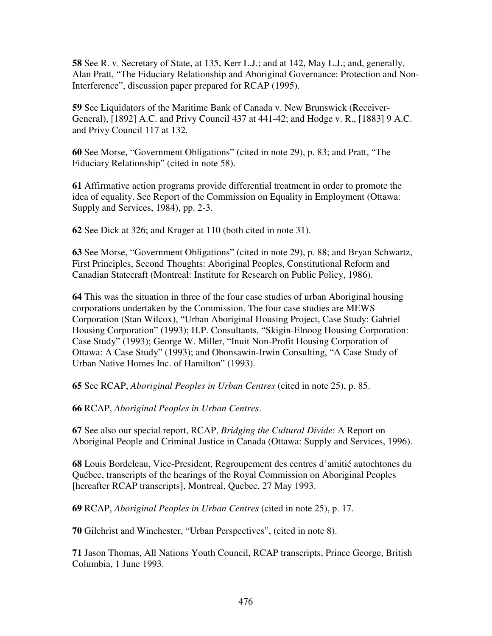**58** See R. v. Secretary of State, at 135, Kerr L.J.; and at 142, May L.J.; and, generally, Alan Pratt, "The Fiduciary Relationship and Aboriginal Governance: Protection and Non-Interference", discussion paper prepared for RCAP (1995).

**59** See Liquidators of the Maritime Bank of Canada v. New Brunswick (Receiver-General), [1892] A.C. and Privy Council 437 at 441-42; and Hodge v. R., [1883] 9 A.C. and Privy Council 117 at 132.

**60** See Morse, "Government Obligations" (cited in note 29), p. 83; and Pratt, "The Fiduciary Relationship" (cited in note 58).

**61** Affirmative action programs provide differential treatment in order to promote the idea of equality. See Report of the Commission on Equality in Employment (Ottawa: Supply and Services, 1984), pp. 2-3.

**62** See Dick at 326; and Kruger at 110 (both cited in note 31).

**63** See Morse, "Government Obligations" (cited in note 29), p. 88; and Bryan Schwartz, First Principles, Second Thoughts: Aboriginal Peoples, Constitutional Reform and Canadian Statecraft (Montreal: Institute for Research on Public Policy, 1986).

**64** This was the situation in three of the four case studies of urban Aboriginal housing corporations undertaken by the Commission. The four case studies are MEWS Corporation (Stan Wilcox), "Urban Aboriginal Housing Project, Case Study: Gabriel Housing Corporation" (1993); H.P. Consultants, "Skigin-Elnoog Housing Corporation: Case Study" (1993); George W. Miller, "Inuit Non-Profit Housing Corporation of Ottawa: A Case Study" (1993); and Obonsawin-Irwin Consulting, "A Case Study of Urban Native Homes Inc. of Hamilton" (1993).

**65** See RCAP, *Aboriginal Peoples in Urban Centres* (cited in note 25), p. 85.

**66** RCAP, *Aboriginal Peoples in Urban Centres*.

**67** See also our special report, RCAP, *Bridging the Cultural Divide*: A Report on Aboriginal People and Criminal Justice in Canada (Ottawa: Supply and Services, 1996).

**68** Louis Bordeleau, Vice-President, Regroupement des centres d'amitié autochtones du Québec, transcripts of the hearings of the Royal Commission on Aboriginal Peoples [hereafter RCAP transcripts], Montreal, Quebec, 27 May 1993.

**69** RCAP, *Aboriginal Peoples in Urban Centres* (cited in note 25), p. 17.

**70** Gilchrist and Winchester, "Urban Perspectives", (cited in note 8).

**71** Jason Thomas, All Nations Youth Council, RCAP transcripts, Prince George, British Columbia, 1 June 1993.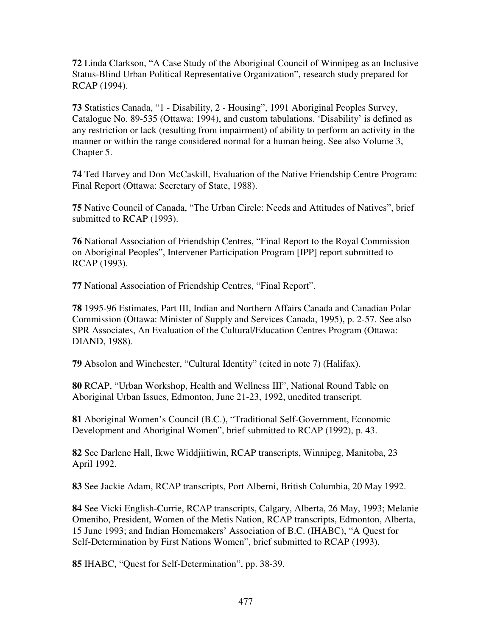**72** Linda Clarkson, "A Case Study of the Aboriginal Council of Winnipeg as an Inclusive Status-Blind Urban Political Representative Organization", research study prepared for RCAP (1994).

**73** Statistics Canada, "1 - Disability, 2 - Housing", 1991 Aboriginal Peoples Survey, Catalogue No. 89-535 (Ottawa: 1994), and custom tabulations. 'Disability' is defined as any restriction or lack (resulting from impairment) of ability to perform an activity in the manner or within the range considered normal for a human being. See also Volume 3, Chapter 5.

**74** Ted Harvey and Don McCaskill, Evaluation of the Native Friendship Centre Program: Final Report (Ottawa: Secretary of State, 1988).

**75** Native Council of Canada, "The Urban Circle: Needs and Attitudes of Natives", brief submitted to RCAP (1993).

**76** National Association of Friendship Centres, "Final Report to the Royal Commission on Aboriginal Peoples", Intervener Participation Program [IPP] report submitted to RCAP (1993).

**77** National Association of Friendship Centres, "Final Report".

**78** 1995-96 Estimates, Part III, Indian and Northern Affairs Canada and Canadian Polar Commission (Ottawa: Minister of Supply and Services Canada, 1995), p. 2-57. See also SPR Associates, An Evaluation of the Cultural/Education Centres Program (Ottawa: DIAND, 1988).

**79** Absolon and Winchester, "Cultural Identity" (cited in note 7) (Halifax).

**80** RCAP, "Urban Workshop, Health and Wellness III", National Round Table on Aboriginal Urban Issues, Edmonton, June 21-23, 1992, unedited transcript.

**81** Aboriginal Women's Council (B.C.), "Traditional Self-Government, Economic Development and Aboriginal Women", brief submitted to RCAP (1992), p. 43.

**82** See Darlene Hall, Ikwe Widdjiitiwin, RCAP transcripts, Winnipeg, Manitoba, 23 April 1992.

**83** See Jackie Adam, RCAP transcripts, Port Alberni, British Columbia, 20 May 1992.

**84** See Vicki English-Currie, RCAP transcripts, Calgary, Alberta, 26 May, 1993; Melanie Omeniho, President, Women of the Metis Nation, RCAP transcripts, Edmonton, Alberta, 15 June 1993; and Indian Homemakers' Association of B.C. (IHABC), "A Quest for Self-Determination by First Nations Women", brief submitted to RCAP (1993).

**85** IHABC, "Quest for Self-Determination", pp. 38-39.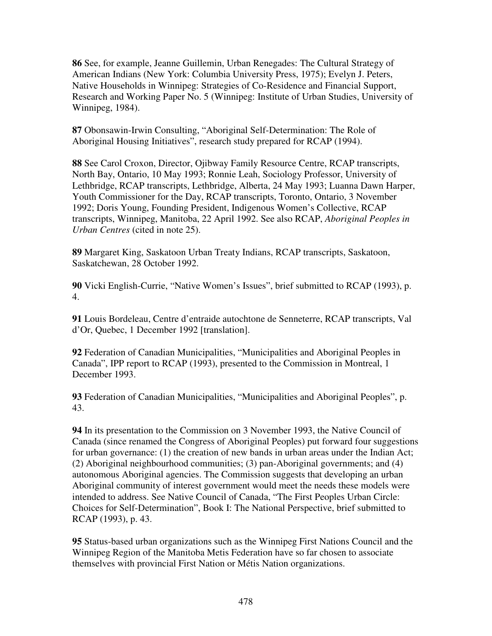**86** See, for example, Jeanne Guillemin, Urban Renegades: The Cultural Strategy of American Indians (New York: Columbia University Press, 1975); Evelyn J. Peters, Native Households in Winnipeg: Strategies of Co-Residence and Financial Support, Research and Working Paper No. 5 (Winnipeg: Institute of Urban Studies, University of Winnipeg, 1984).

**87** Obonsawin-Irwin Consulting, "Aboriginal Self-Determination: The Role of Aboriginal Housing Initiatives", research study prepared for RCAP (1994).

**88** See Carol Croxon, Director, Ojibway Family Resource Centre, RCAP transcripts, North Bay, Ontario, 10 May 1993; Ronnie Leah, Sociology Professor, University of Lethbridge, RCAP transcripts, Lethbridge, Alberta, 24 May 1993; Luanna Dawn Harper, Youth Commissioner for the Day, RCAP transcripts, Toronto, Ontario, 3 November 1992; Doris Young, Founding President, Indigenous Women's Collective, RCAP transcripts, Winnipeg, Manitoba, 22 April 1992. See also RCAP, *Aboriginal Peoples in Urban Centres* (cited in note 25).

**89** Margaret King, Saskatoon Urban Treaty Indians, RCAP transcripts, Saskatoon, Saskatchewan, 28 October 1992.

**90** Vicki English-Currie, "Native Women's Issues", brief submitted to RCAP (1993), p. 4.

**91** Louis Bordeleau, Centre d'entraide autochtone de Senneterre, RCAP transcripts, Val d'Or, Quebec, 1 December 1992 [translation].

**92** Federation of Canadian Municipalities, "Municipalities and Aboriginal Peoples in Canada", IPP report to RCAP (1993), presented to the Commission in Montreal, 1 December 1993.

**93** Federation of Canadian Municipalities, "Municipalities and Aboriginal Peoples", p. 43.

**94** In its presentation to the Commission on 3 November 1993, the Native Council of Canada (since renamed the Congress of Aboriginal Peoples) put forward four suggestions for urban governance: (1) the creation of new bands in urban areas under the Indian Act; (2) Aboriginal neighbourhood communities; (3) pan-Aboriginal governments; and (4) autonomous Aboriginal agencies. The Commission suggests that developing an urban Aboriginal community of interest government would meet the needs these models were intended to address. See Native Council of Canada, "The First Peoples Urban Circle: Choices for Self-Determination", Book I: The National Perspective, brief submitted to RCAP (1993), p. 43.

**95** Status-based urban organizations such as the Winnipeg First Nations Council and the Winnipeg Region of the Manitoba Metis Federation have so far chosen to associate themselves with provincial First Nation or Métis Nation organizations.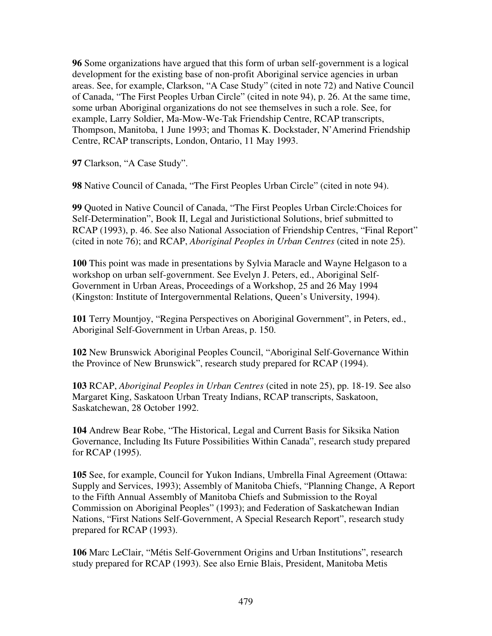**96** Some organizations have argued that this form of urban self-government is a logical development for the existing base of non-profit Aboriginal service agencies in urban areas. See, for example, Clarkson, "A Case Study" (cited in note 72) and Native Council of Canada, "The First Peoples Urban Circle" (cited in note 94), p. 26. At the same time, some urban Aboriginal organizations do not see themselves in such a role. See, for example, Larry Soldier, Ma-Mow-We-Tak Friendship Centre, RCAP transcripts, Thompson, Manitoba, 1 June 1993; and Thomas K. Dockstader, N'Amerind Friendship Centre, RCAP transcripts, London, Ontario, 11 May 1993.

**97** Clarkson, "A Case Study".

**98** Native Council of Canada, "The First Peoples Urban Circle" (cited in note 94).

**99** Quoted in Native Council of Canada, "The First Peoples Urban Circle:Choices for Self-Determination", Book II, Legal and Juristictional Solutions, brief submitted to RCAP (1993), p. 46. See also National Association of Friendship Centres, "Final Report" (cited in note 76); and RCAP, *Aboriginal Peoples in Urban Centres* (cited in note 25).

**100** This point was made in presentations by Sylvia Maracle and Wayne Helgason to a workshop on urban self-government. See Evelyn J. Peters, ed., Aboriginal Self-Government in Urban Areas, Proceedings of a Workshop, 25 and 26 May 1994 (Kingston: Institute of Intergovernmental Relations, Queen's University, 1994).

**101** Terry Mountjoy, "Regina Perspectives on Aboriginal Government", in Peters, ed., Aboriginal Self-Government in Urban Areas, p. 150.

**102** New Brunswick Aboriginal Peoples Council, "Aboriginal Self-Governance Within the Province of New Brunswick", research study prepared for RCAP (1994).

**103** RCAP, *Aboriginal Peoples in Urban Centres* (cited in note 25), pp. 18-19. See also Margaret King, Saskatoon Urban Treaty Indians, RCAP transcripts, Saskatoon, Saskatchewan, 28 October 1992.

**104** Andrew Bear Robe, "The Historical, Legal and Current Basis for Siksika Nation Governance, Including Its Future Possibilities Within Canada", research study prepared for RCAP (1995).

**105** See, for example, Council for Yukon Indians, Umbrella Final Agreement (Ottawa: Supply and Services, 1993); Assembly of Manitoba Chiefs, "Planning Change, A Report to the Fifth Annual Assembly of Manitoba Chiefs and Submission to the Royal Commission on Aboriginal Peoples" (1993); and Federation of Saskatchewan Indian Nations, "First Nations Self-Government, A Special Research Report", research study prepared for RCAP (1993).

**106** Marc LeClair, "Métis Self-Government Origins and Urban Institutions", research study prepared for RCAP (1993). See also Ernie Blais, President, Manitoba Metis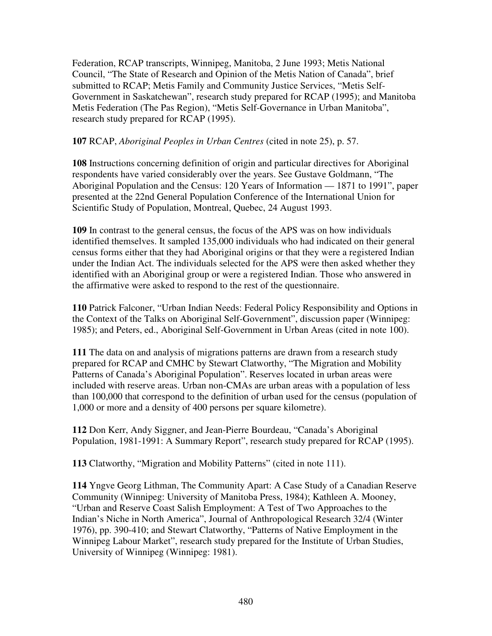Federation, RCAP transcripts, Winnipeg, Manitoba, 2 June 1993; Metis National Council, "The State of Research and Opinion of the Metis Nation of Canada", brief submitted to RCAP; Metis Family and Community Justice Services, "Metis Self-Government in Saskatchewan", research study prepared for RCAP (1995); and Manitoba Metis Federation (The Pas Region), "Metis Self-Governance in Urban Manitoba", research study prepared for RCAP (1995).

#### **107** RCAP, *Aboriginal Peoples in Urban Centres* (cited in note 25), p. 57.

**108** Instructions concerning definition of origin and particular directives for Aboriginal respondents have varied considerably over the years. See Gustave Goldmann, "The Aboriginal Population and the Census: 120 Years of Information — 1871 to 1991", paper presented at the 22nd General Population Conference of the International Union for Scientific Study of Population, Montreal, Quebec, 24 August 1993.

**109** In contrast to the general census, the focus of the APS was on how individuals identified themselves. It sampled 135,000 individuals who had indicated on their general census forms either that they had Aboriginal origins or that they were a registered Indian under the Indian Act. The individuals selected for the APS were then asked whether they identified with an Aboriginal group or were a registered Indian. Those who answered in the affirmative were asked to respond to the rest of the questionnaire.

**110** Patrick Falconer, "Urban Indian Needs: Federal Policy Responsibility and Options in the Context of the Talks on Aboriginal Self-Government", discussion paper (Winnipeg: 1985); and Peters, ed., Aboriginal Self-Government in Urban Areas (cited in note 100).

**111** The data on and analysis of migrations patterns are drawn from a research study prepared for RCAP and CMHC by Stewart Clatworthy, "The Migration and Mobility Patterns of Canada's Aboriginal Population". Reserves located in urban areas were included with reserve areas. Urban non-CMAs are urban areas with a population of less than 100,000 that correspond to the definition of urban used for the census (population of 1,000 or more and a density of 400 persons per square kilometre).

**112** Don Kerr, Andy Siggner, and Jean-Pierre Bourdeau, "Canada's Aboriginal Population, 1981-1991: A Summary Report", research study prepared for RCAP (1995).

**113** Clatworthy, "Migration and Mobility Patterns" (cited in note 111).

**114** Yngve Georg Lithman, The Community Apart: A Case Study of a Canadian Reserve Community (Winnipeg: University of Manitoba Press, 1984); Kathleen A. Mooney, "Urban and Reserve Coast Salish Employment: A Test of Two Approaches to the Indian's Niche in North America", Journal of Anthropological Research 32/4 (Winter 1976), pp. 390-410; and Stewart Clatworthy, "Patterns of Native Employment in the Winnipeg Labour Market", research study prepared for the Institute of Urban Studies, University of Winnipeg (Winnipeg: 1981).